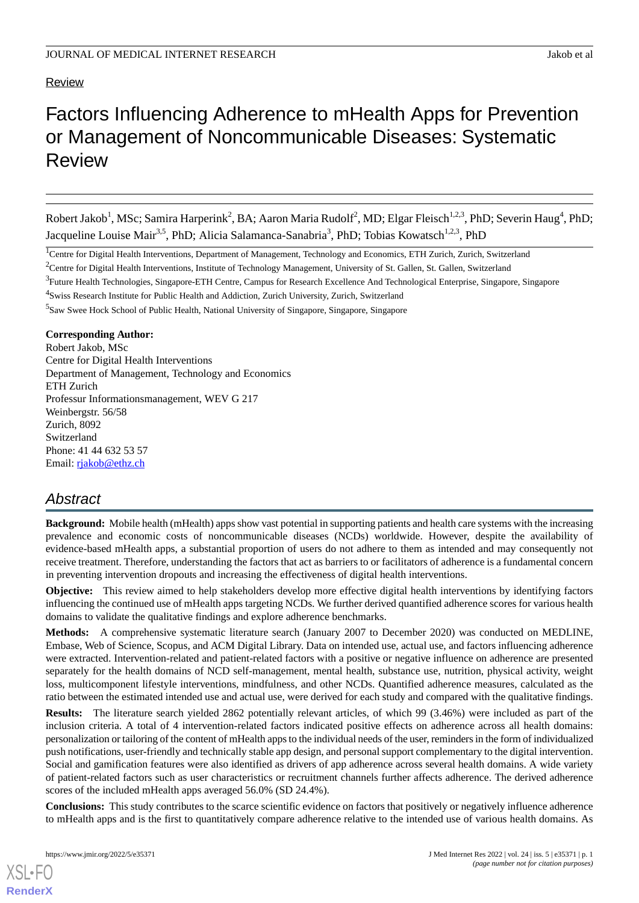# Review

# Factors Influencing Adherence to mHealth Apps for Prevention or Management of Noncommunicable Diseases: Systematic Review

Robert Jakob<sup>1</sup>, MSc; Samira Harperink<sup>2</sup>, BA; Aaron Maria Rudolf<sup>2</sup>, MD; Elgar Fleisch<sup>1,2,3</sup>, PhD; Severin Haug<sup>4</sup>, PhD; Jacqueline Louise Mair<sup>3,5</sup>, PhD; Alicia Salamanca-Sanabria<sup>3</sup>, PhD; Tobias Kowatsch<sup>1,2,3</sup>, PhD

<sup>1</sup>Centre for Digital Health Interventions, Department of Management, Technology and Economics, ETH Zurich, Zurich, Switzerland

<sup>3</sup>Future Health Technologies, Singapore-ETH Centre, Campus for Research Excellence And Technological Enterprise, Singapore, Singapore

<sup>4</sup>Swiss Research Institute for Public Health and Addiction, Zurich University, Zurich, Switzerland

<sup>5</sup>Saw Swee Hock School of Public Health, National University of Singapore, Singapore, Singapore

### **Corresponding Author:**

Robert Jakob, MSc Centre for Digital Health Interventions Department of Management, Technology and Economics ETH Zurich Professur Informationsmanagement, WEV G 217 Weinbergstr. 56/58 Zurich, 8092 Switzerland Phone: 41 44 632 53 57 Email: [rjakob@ethz.ch](mailto:rjakob@ethz.ch)

# *Abstract*

**Background:** Mobile health (mHealth) apps show vast potential in supporting patients and health care systems with the increasing prevalence and economic costs of noncommunicable diseases (NCDs) worldwide. However, despite the availability of evidence-based mHealth apps, a substantial proportion of users do not adhere to them as intended and may consequently not receive treatment. Therefore, understanding the factors that act as barriers to or facilitators of adherence is a fundamental concern in preventing intervention dropouts and increasing the effectiveness of digital health interventions.

**Objective:** This review aimed to help stakeholders develop more effective digital health interventions by identifying factors influencing the continued use of mHealth apps targeting NCDs. We further derived quantified adherence scores for various health domains to validate the qualitative findings and explore adherence benchmarks.

**Methods:** A comprehensive systematic literature search (January 2007 to December 2020) was conducted on MEDLINE, Embase, Web of Science, Scopus, and ACM Digital Library. Data on intended use, actual use, and factors influencing adherence were extracted. Intervention-related and patient-related factors with a positive or negative influence on adherence are presented separately for the health domains of NCD self-management, mental health, substance use, nutrition, physical activity, weight loss, multicomponent lifestyle interventions, mindfulness, and other NCDs. Quantified adherence measures, calculated as the ratio between the estimated intended use and actual use, were derived for each study and compared with the qualitative findings.

**Results:** The literature search yielded 2862 potentially relevant articles, of which 99 (3.46%) were included as part of the inclusion criteria. A total of 4 intervention-related factors indicated positive effects on adherence across all health domains: personalization or tailoring of the content of mHealth apps to the individual needs of the user, reminders in the form of individualized push notifications, user-friendly and technically stable app design, and personal support complementary to the digital intervention. Social and gamification features were also identified as drivers of app adherence across several health domains. A wide variety of patient-related factors such as user characteristics or recruitment channels further affects adherence. The derived adherence scores of the included mHealth apps averaged 56.0% (SD 24.4%).

**Conclusions:** This study contributes to the scarce scientific evidence on factors that positively or negatively influence adherence to mHealth apps and is the first to quantitatively compare adherence relative to the intended use of various health domains. As

<sup>&</sup>lt;sup>2</sup>Centre for Digital Health Interventions, Institute of Technology Management, University of St. Gallen, St. Gallen, Switzerland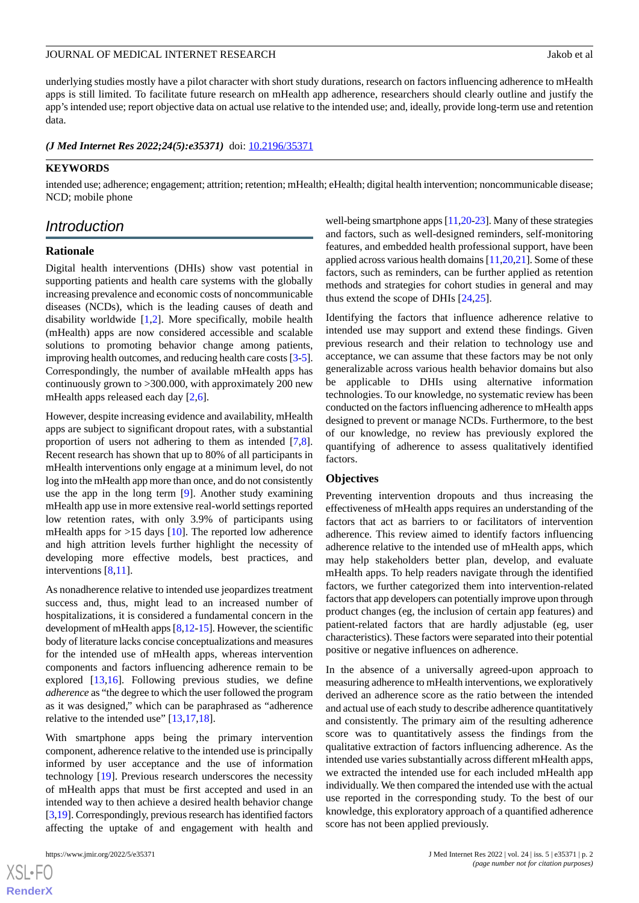underlying studies mostly have a pilot character with short study durations, research on factors influencing adherence to mHealth apps is still limited. To facilitate future research on mHealth app adherence, researchers should clearly outline and justify the app's intended use; report objective data on actual use relative to the intended use; and, ideally, provide long-term use and retention data.

*(J Med Internet Res 2022;24(5):e35371)* doi:  $10.2196/35371$ 

#### **KEYWORDS**

intended use; adherence; engagement; attrition; retention; mHealth; eHealth; digital health intervention; noncommunicable disease; NCD; mobile phone

# *Introduction*

# **Rationale**

Digital health interventions (DHIs) show vast potential in supporting patients and health care systems with the globally increasing prevalence and economic costs of noncommunicable diseases (NCDs), which is the leading causes of death and disability worldwide [\[1](#page-18-0),[2\]](#page-18-1). More specifically, mobile health (mHealth) apps are now considered accessible and scalable solutions to promoting behavior change among patients, improving health outcomes, and reducing health care costs [\[3](#page-18-2)[-5\]](#page-18-3). Correspondingly, the number of available mHealth apps has continuously grown to >300.000, with approximately 200 new mHealth apps released each day [[2,](#page-18-1)[6](#page-18-4)].

However, despite increasing evidence and availability, mHealth apps are subject to significant dropout rates, with a substantial proportion of users not adhering to them as intended [\[7](#page-18-5),[8\]](#page-18-6). Recent research has shown that up to 80% of all participants in mHealth interventions only engage at a minimum level, do not log into the mHealth app more than once, and do not consistently use the app in the long term [[9\]](#page-18-7). Another study examining mHealth app use in more extensive real-world settings reported low retention rates, with only 3.9% of participants using mHealth apps for >15 days [[10\]](#page-18-8). The reported low adherence and high attrition levels further highlight the necessity of developing more effective models, best practices, and interventions [\[8](#page-18-6),[11\]](#page-18-9).

As nonadherence relative to intended use jeopardizes treatment success and, thus, might lead to an increased number of hospitalizations, it is considered a fundamental concern in the development of mHealth apps [\[8](#page-18-6),[12-](#page-18-10)[15\]](#page-18-11). However, the scientific body of literature lacks concise conceptualizations and measures for the intended use of mHealth apps, whereas intervention components and factors influencing adherence remain to be explored [[13,](#page-18-12)[16](#page-18-13)]. Following previous studies, we define *adherence* as "the degree to which the user followed the program as it was designed," which can be paraphrased as "adherence relative to the intended use" [\[13](#page-18-12),[17,](#page-18-14)[18](#page-19-0)].

With smartphone apps being the primary intervention component, adherence relative to the intended use is principally informed by user acceptance and the use of information technology [[19\]](#page-19-1). Previous research underscores the necessity of mHealth apps that must be first accepted and used in an intended way to then achieve a desired health behavior change [[3,](#page-18-2)[19\]](#page-19-1). Correspondingly, previous research has identified factors affecting the uptake of and engagement with health and

 $XSI - F($ **[RenderX](http://www.renderx.com/)** well-being smartphone apps [\[11](#page-18-9),[20](#page-19-2)-[23](#page-19-3)]. Many of these strategies and factors, such as well-designed reminders, self-monitoring features, and embedded health professional support, have been applied across various health domains [\[11](#page-18-9)[,20](#page-19-2),[21](#page-19-4)]. Some of these factors, such as reminders, can be further applied as retention methods and strategies for cohort studies in general and may thus extend the scope of DHIs [\[24](#page-19-5),[25\]](#page-19-6).

Identifying the factors that influence adherence relative to intended use may support and extend these findings. Given previous research and their relation to technology use and acceptance, we can assume that these factors may be not only generalizable across various health behavior domains but also be applicable to DHIs using alternative information technologies. To our knowledge, no systematic review has been conducted on the factors influencing adherence to mHealth apps designed to prevent or manage NCDs. Furthermore, to the best of our knowledge, no review has previously explored the quantifying of adherence to assess qualitatively identified factors.

### **Objectives**

Preventing intervention dropouts and thus increasing the effectiveness of mHealth apps requires an understanding of the factors that act as barriers to or facilitators of intervention adherence. This review aimed to identify factors influencing adherence relative to the intended use of mHealth apps, which may help stakeholders better plan, develop, and evaluate mHealth apps. To help readers navigate through the identified factors, we further categorized them into intervention-related factors that app developers can potentially improve upon through product changes (eg, the inclusion of certain app features) and patient-related factors that are hardly adjustable (eg, user characteristics). These factors were separated into their potential positive or negative influences on adherence.

In the absence of a universally agreed-upon approach to measuring adherence to mHealth interventions, we exploratively derived an adherence score as the ratio between the intended and actual use of each study to describe adherence quantitatively and consistently. The primary aim of the resulting adherence score was to quantitatively assess the findings from the qualitative extraction of factors influencing adherence. As the intended use varies substantially across different mHealth apps, we extracted the intended use for each included mHealth app individually. We then compared the intended use with the actual use reported in the corresponding study. To the best of our knowledge, this exploratory approach of a quantified adherence score has not been applied previously.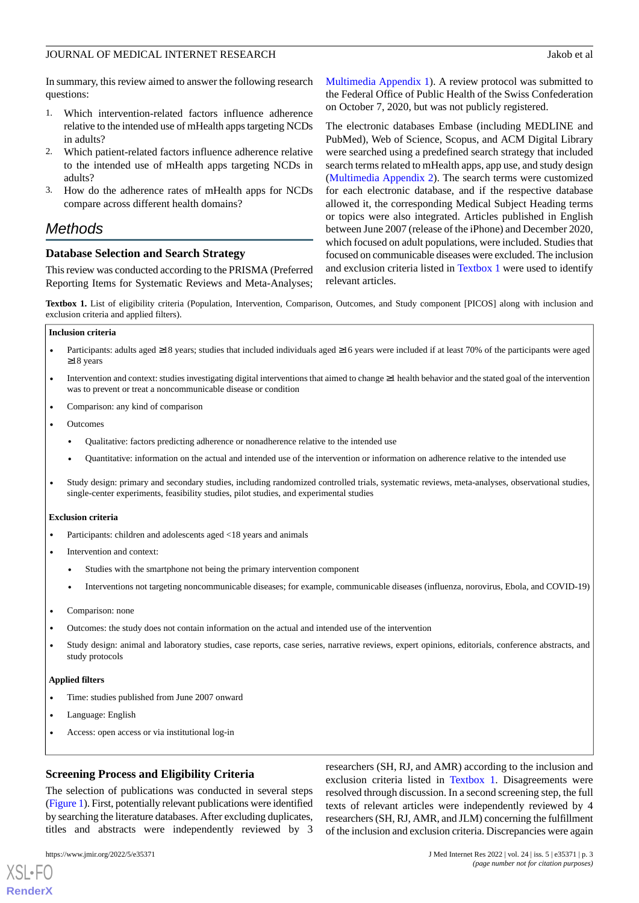In summary, this review aimed to answer the following research questions:

- 1. Which intervention-related factors influence adherence relative to the intended use of mHealth apps targeting NCDs in adults?
- 2. Which patient-related factors influence adherence relative to the intended use of mHealth apps targeting NCDs in adults?
- 3. How do the adherence rates of mHealth apps for NCDs compare across different health domains?

# *Methods*

# **Database Selection and Search Strategy**

<span id="page-2-0"></span>This review was conducted according to the PRISMA (Preferred Reporting Items for Systematic Reviews and Meta-Analyses;

[Multimedia Appendix 1](#page-17-0)). A review protocol was submitted to the Federal Office of Public Health of the Swiss Confederation on October 7, 2020, but was not publicly registered.

The electronic databases Embase (including MEDLINE and PubMed), Web of Science, Scopus, and ACM Digital Library were searched using a predefined search strategy that included search terms related to mHealth apps, app use, and study design ([Multimedia Appendix 2\)](#page-17-1). The search terms were customized for each electronic database, and if the respective database allowed it, the corresponding Medical Subject Heading terms or topics were also integrated. Articles published in English between June 2007 (release of the iPhone) and December 2020, which focused on adult populations, were included. Studies that focused on communicable diseases were excluded. The inclusion and exclusion criteria listed in [Textbox 1](#page-2-0) were used to identify relevant articles.

**Textbox 1.** List of eligibility criteria (Population, Intervention, Comparison, Outcomes, and Study component [PICOS] along with inclusion and exclusion criteria and applied filters).

#### **Inclusion criteria**

- Participants: adults aged  $\geq$ 18 years; studies that included individuals aged  $\geq$ 16 years were included if at least 70% of the participants were aged ≥18 years
- Intervention and context: studies investigating digital interventions that aimed to change ≥1 health behavior and the stated goal of the intervention was to prevent or treat a noncommunicable disease or condition
- Comparison: any kind of comparison
- **Outcomes** 
	- Qualitative: factors predicting adherence or nonadherence relative to the intended use
	- Quantitative: information on the actual and intended use of the intervention or information on adherence relative to the intended use
- Study design: primary and secondary studies, including randomized controlled trials, systematic reviews, meta-analyses, observational studies, single-center experiments, feasibility studies, pilot studies, and experimental studies

#### **Exclusion criteria**

- Participants: children and adolescents aged <18 years and animals
- Intervention and context:
	- Studies with the smartphone not being the primary intervention component
	- Interventions not targeting noncommunicable diseases; for example, communicable diseases (influenza, norovirus, Ebola, and COVID-19)
- Comparison: none
- Outcomes: the study does not contain information on the actual and intended use of the intervention
- Study design: animal and laboratory studies, case reports, case series, narrative reviews, expert opinions, editorials, conference abstracts, and study protocols

#### **Applied filters**

- Time: studies published from June 2007 onward
- Language: English
- Access: open access or via institutional log-in

# **Screening Process and Eligibility Criteria**

The selection of publications was conducted in several steps ([Figure 1](#page-3-0)). First, potentially relevant publications were identified by searching the literature databases. After excluding duplicates, titles and abstracts were independently reviewed by 3

[XSL](http://www.w3.org/Style/XSL)•FO **[RenderX](http://www.renderx.com/)**

researchers (SH, RJ, and AMR) according to the inclusion and exclusion criteria listed in [Textbox 1.](#page-2-0) Disagreements were resolved through discussion. In a second screening step, the full texts of relevant articles were independently reviewed by 4 researchers (SH, RJ, AMR, and JLM) concerning the fulfillment of the inclusion and exclusion criteria. Discrepancies were again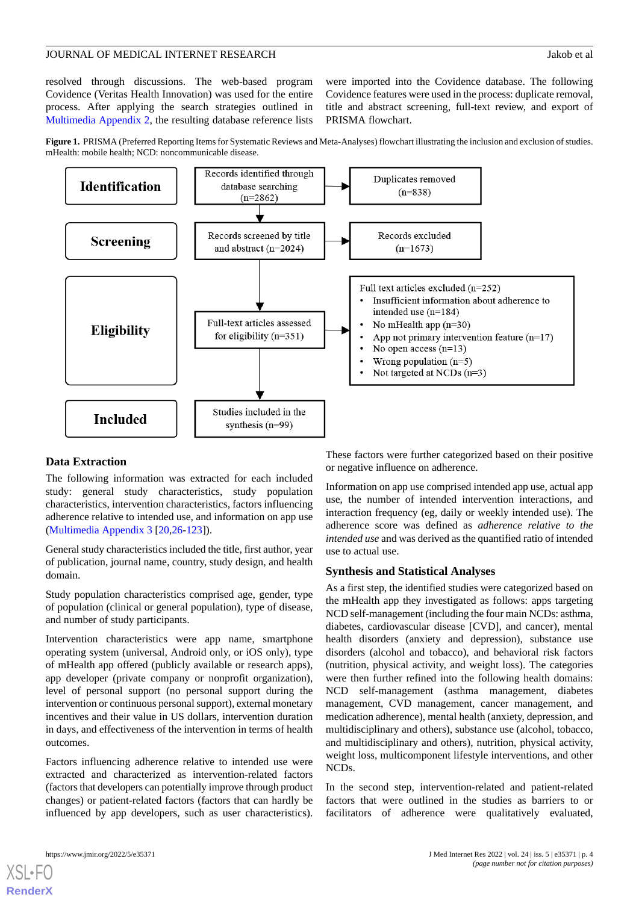resolved through discussions. The web-based program Covidence (Veritas Health Innovation) was used for the entire process. After applying the search strategies outlined in [Multimedia Appendix 2,](#page-17-1) the resulting database reference lists

were imported into the Covidence database. The following Covidence features were used in the process: duplicate removal, title and abstract screening, full-text review, and export of PRISMA flowchart.

<span id="page-3-0"></span>**Figure 1.** PRISMA (Preferred Reporting Items for Systematic Reviews and Meta-Analyses) flowchart illustrating the inclusion and exclusion of studies. mHealth: mobile health; NCD: noncommunicable disease.



# **Data Extraction**

The following information was extracted for each included study: general study characteristics, study population characteristics, intervention characteristics, factors influencing adherence relative to intended use, and information on app use ([Multimedia Appendix 3](#page-18-15) [[20](#page-19-2)[,26](#page-19-7)-[123\]](#page-24-0)).

General study characteristics included the title, first author, year of publication, journal name, country, study design, and health domain.

Study population characteristics comprised age, gender, type of population (clinical or general population), type of disease, and number of study participants.

Intervention characteristics were app name, smartphone operating system (universal, Android only, or iOS only), type of mHealth app offered (publicly available or research apps), app developer (private company or nonprofit organization), level of personal support (no personal support during the intervention or continuous personal support), external monetary incentives and their value in US dollars, intervention duration in days, and effectiveness of the intervention in terms of health outcomes.

Factors influencing adherence relative to intended use were extracted and characterized as intervention-related factors (factors that developers can potentially improve through product changes) or patient-related factors (factors that can hardly be influenced by app developers, such as user characteristics).

These factors were further categorized based on their positive or negative influence on adherence.

Information on app use comprised intended app use, actual app use, the number of intended intervention interactions, and interaction frequency (eg, daily or weekly intended use). The adherence score was defined as *adherence relative to the intended use* and was derived as the quantified ratio of intended use to actual use.

# **Synthesis and Statistical Analyses**

As a first step, the identified studies were categorized based on the mHealth app they investigated as follows: apps targeting NCD self-management (including the four main NCDs: asthma, diabetes, cardiovascular disease [CVD], and cancer), mental health disorders (anxiety and depression), substance use disorders (alcohol and tobacco), and behavioral risk factors (nutrition, physical activity, and weight loss). The categories were then further refined into the following health domains: NCD self-management (asthma management, diabetes management, CVD management, cancer management, and medication adherence), mental health (anxiety, depression, and multidisciplinary and others), substance use (alcohol, tobacco, and multidisciplinary and others), nutrition, physical activity, weight loss, multicomponent lifestyle interventions, and other NCDs.

In the second step, intervention-related and patient-related factors that were outlined in the studies as barriers to or facilitators of adherence were qualitatively evaluated,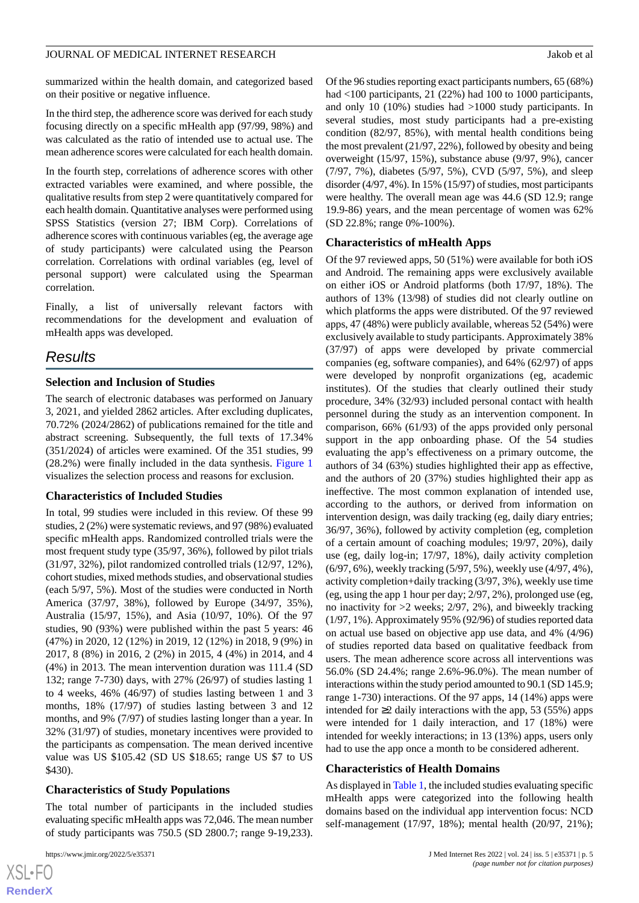summarized within the health domain, and categorized based on their positive or negative influence.

In the third step, the adherence score was derived for each study focusing directly on a specific mHealth app (97/99, 98%) and was calculated as the ratio of intended use to actual use. The mean adherence scores were calculated for each health domain.

In the fourth step, correlations of adherence scores with other extracted variables were examined, and where possible, the qualitative results from step 2 were quantitatively compared for each health domain. Quantitative analyses were performed using SPSS Statistics (version 27; IBM Corp). Correlations of adherence scores with continuous variables (eg, the average age of study participants) were calculated using the Pearson correlation. Correlations with ordinal variables (eg, level of personal support) were calculated using the Spearman correlation.

Finally, a list of universally relevant factors with recommendations for the development and evaluation of mHealth apps was developed.

# *Results*

# **Selection and Inclusion of Studies**

The search of electronic databases was performed on January 3, 2021, and yielded 2862 articles. After excluding duplicates, 70.72% (2024/2862) of publications remained for the title and abstract screening. Subsequently, the full texts of 17.34% (351/2024) of articles were examined. Of the 351 studies, 99 (28.2%) were finally included in the data synthesis. [Figure 1](#page-3-0) visualizes the selection process and reasons for exclusion.

# **Characteristics of Included Studies**

In total, 99 studies were included in this review. Of these 99 studies, 2 (2%) were systematic reviews, and 97 (98%) evaluated specific mHealth apps. Randomized controlled trials were the most frequent study type (35/97, 36%), followed by pilot trials (31/97, 32%), pilot randomized controlled trials (12/97, 12%), cohort studies, mixed methods studies, and observational studies (each 5/97, 5%). Most of the studies were conducted in North America (37/97, 38%), followed by Europe (34/97, 35%), Australia (15/97, 15%), and Asia (10/97, 10%). Of the 97 studies, 90 (93%) were published within the past 5 years: 46 (47%) in 2020, 12 (12%) in 2019, 12 (12%) in 2018, 9 (9%) in 2017, 8 (8%) in 2016, 2 (2%) in 2015, 4 (4%) in 2014, and 4 (4%) in 2013. The mean intervention duration was 111.4 (SD 132; range 7-730) days, with 27% (26/97) of studies lasting 1 to 4 weeks, 46% (46/97) of studies lasting between 1 and 3 months, 18% (17/97) of studies lasting between 3 and 12 months, and 9% (7/97) of studies lasting longer than a year. In 32% (31/97) of studies, monetary incentives were provided to the participants as compensation. The mean derived incentive value was US \$105.42 (SD US \$18.65; range US \$7 to US \$430).

# **Characteristics of Study Populations**

The total number of participants in the included studies evaluating specific mHealth apps was 72,046. The mean number of study participants was 750.5 (SD 2800.7; range 9-19,233).

Of the 96 studies reporting exact participants numbers, 65 (68%) had <100 participants, 21 (22%) had 100 to 1000 participants, and only 10 (10%) studies had >1000 study participants. In several studies, most study participants had a pre-existing condition (82/97, 85%), with mental health conditions being the most prevalent (21/97, 22%), followed by obesity and being overweight (15/97, 15%), substance abuse (9/97, 9%), cancer (7/97, 7%), diabetes (5/97, 5%), CVD (5/97, 5%), and sleep disorder (4/97, 4%). In 15% (15/97) of studies, most participants were healthy. The overall mean age was 44.6 (SD 12.9; range 19.9-86) years, and the mean percentage of women was 62% (SD 22.8%; range 0%-100%).

# **Characteristics of mHealth Apps**

Of the 97 reviewed apps, 50 (51%) were available for both iOS and Android. The remaining apps were exclusively available on either iOS or Android platforms (both 17/97, 18%). The authors of 13% (13/98) of studies did not clearly outline on which platforms the apps were distributed. Of the 97 reviewed apps, 47 (48%) were publicly available, whereas 52 (54%) were exclusively available to study participants. Approximately 38% (37/97) of apps were developed by private commercial companies (eg, software companies), and 64% (62/97) of apps were developed by nonprofit organizations (eg, academic institutes). Of the studies that clearly outlined their study procedure, 34% (32/93) included personal contact with health personnel during the study as an intervention component. In comparison, 66% (61/93) of the apps provided only personal support in the app onboarding phase. Of the 54 studies evaluating the app's effectiveness on a primary outcome, the authors of 34 (63%) studies highlighted their app as effective, and the authors of 20 (37%) studies highlighted their app as ineffective. The most common explanation of intended use, according to the authors, or derived from information on intervention design, was daily tracking (eg, daily diary entries; 36/97, 36%), followed by activity completion (eg, completion of a certain amount of coaching modules; 19/97, 20%), daily use (eg, daily log-in; 17/97, 18%), daily activity completion (6/97, 6%), weekly tracking (5/97, 5%), weekly use (4/97, 4%), activity completion+daily tracking (3/97, 3%), weekly use time (eg, using the app 1 hour per day; 2/97, 2%), prolonged use (eg, no inactivity for >2 weeks; 2/97, 2%), and biweekly tracking (1/97, 1%). Approximately 95% (92/96) of studies reported data on actual use based on objective app use data, and 4% (4/96) of studies reported data based on qualitative feedback from users. The mean adherence score across all interventions was 56.0% (SD 24.4%; range 2.6%-96.0%). The mean number of interactions within the study period amounted to 90.1 (SD 145.9; range 1-730) interactions. Of the 97 apps, 14 (14%) apps were intended for  $\geq$ 2 daily interactions with the app, 53 (55%) apps were intended for 1 daily interaction, and 17 (18%) were intended for weekly interactions; in 13 (13%) apps, users only had to use the app once a month to be considered adherent.

#### **Characteristics of Health Domains**

As displayed in [Table 1](#page-6-0), the included studies evaluating specific mHealth apps were categorized into the following health domains based on the individual app intervention focus: NCD self-management (17/97, 18%); mental health (20/97, 21%);

```
XSL•FO
RenderX
```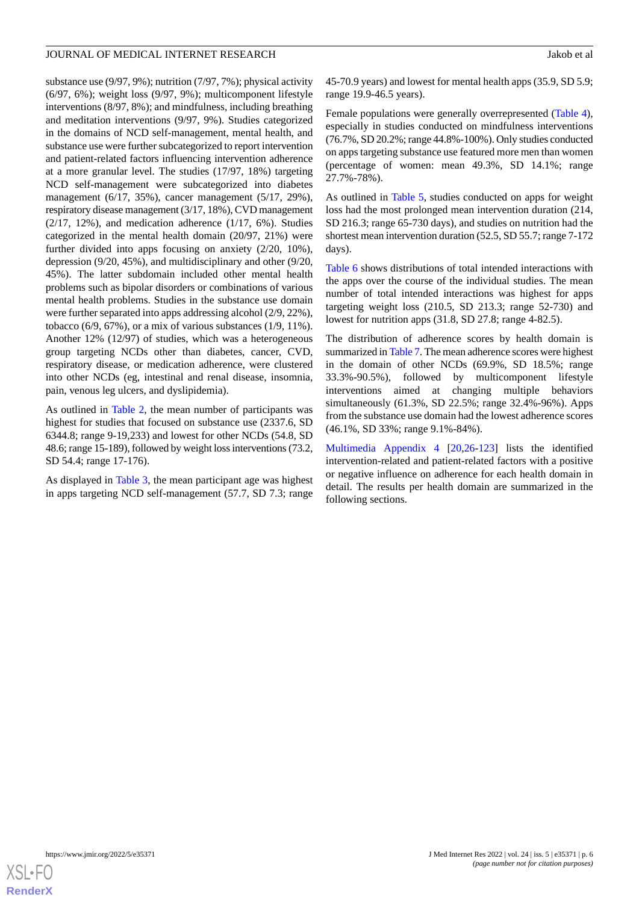substance use (9/97, 9%); nutrition (7/97, 7%); physical activity (6/97, 6%); weight loss (9/97, 9%); multicomponent lifestyle interventions (8/97, 8%); and mindfulness, including breathing and meditation interventions (9/97, 9%). Studies categorized in the domains of NCD self-management, mental health, and substance use were further subcategorized to report intervention and patient-related factors influencing intervention adherence at a more granular level. The studies (17/97, 18%) targeting NCD self-management were subcategorized into diabetes management (6/17, 35%), cancer management (5/17, 29%), respiratory disease management (3/17, 18%), CVD management  $(2/17, 12%)$ , and medication adherence  $(1/17, 6%)$ . Studies categorized in the mental health domain (20/97, 21%) were further divided into apps focusing on anxiety (2/20, 10%), depression (9/20, 45%), and multidisciplinary and other (9/20, 45%). The latter subdomain included other mental health problems such as bipolar disorders or combinations of various mental health problems. Studies in the substance use domain were further separated into apps addressing alcohol (2/9, 22%), tobacco (6/9, 67%), or a mix of various substances  $(1/9, 11\%)$ . Another 12% (12/97) of studies, which was a heterogeneous group targeting NCDs other than diabetes, cancer, CVD, respiratory disease, or medication adherence, were clustered into other NCDs (eg, intestinal and renal disease, insomnia, pain, venous leg ulcers, and dyslipidemia).

As outlined in [Table 2](#page-6-1), the mean number of participants was highest for studies that focused on substance use (2337.6, SD 6344.8; range 9-19,233) and lowest for other NCDs (54.8, SD 48.6; range 15-189), followed by weight loss interventions (73.2, SD 54.4; range 17-176).

As displayed in [Table 3,](#page-7-0) the mean participant age was highest in apps targeting NCD self-management (57.7, SD 7.3; range

45-70.9 years) and lowest for mental health apps (35.9, SD 5.9; range 19.9-46.5 years).

Female populations were generally overrepresented [\(Table 4\)](#page-7-1), especially in studies conducted on mindfulness interventions (76.7%, SD 20.2%; range 44.8%-100%). Only studies conducted on apps targeting substance use featured more men than women (percentage of women: mean 49.3%, SD 14.1%; range 27.7%-78%).

As outlined in [Table 5](#page-8-0), studies conducted on apps for weight loss had the most prolonged mean intervention duration (214, SD 216.3; range 65-730 days), and studies on nutrition had the shortest mean intervention duration (52.5, SD 55.7; range 7-172 days).

[Table 6](#page-8-1) shows distributions of total intended interactions with the apps over the course of the individual studies. The mean number of total intended interactions was highest for apps targeting weight loss (210.5, SD 213.3; range 52-730) and lowest for nutrition apps (31.8, SD 27.8; range 4-82.5).

The distribution of adherence scores by health domain is summarized in [Table 7](#page-9-0). The mean adherence scores were highest in the domain of other NCDs (69.9%, SD 18.5%; range 33.3%-90.5%), followed by multicomponent lifestyle interventions aimed at changing multiple behaviors simultaneously (61.3%, SD 22.5%; range 32.4%-96%). Apps from the substance use domain had the lowest adherence scores (46.1%, SD 33%; range 9.1%-84%).

[Multimedia Appendix 4](#page-18-16) [\[20](#page-19-2),[26-](#page-19-7)[123\]](#page-24-0) lists the identified intervention-related and patient-related factors with a positive or negative influence on adherence for each health domain in detail. The results per health domain are summarized in the following sections.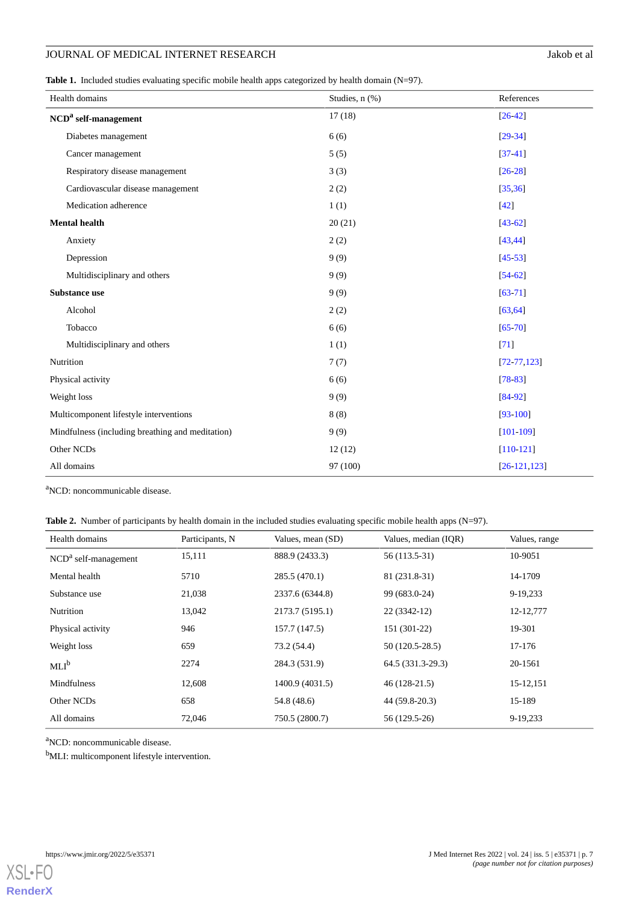# **JOURNAL OF MEDICAL INTERNET RESEARCH** Jakob et al

<span id="page-6-0"></span>Table 1. Included studies evaluating specific mobile health apps categorized by health domain (N=97).

| Health domains                                   | Studies, $n$ $%$ ) | References       |
|--------------------------------------------------|--------------------|------------------|
| NCD <sup>a</sup> self-management                 | 17(18)             | $[26-42]$        |
| Diabetes management                              | 6(6)               | $[29-34]$        |
| Cancer management                                | 5(5)               | $[37-41]$        |
| Respiratory disease management                   | 3(3)               | $[26-28]$        |
| Cardiovascular disease management                | 2(2)               | [35, 36]         |
| Medication adherence                             | 1(1)               | $[42]$           |
| <b>Mental health</b>                             | 20(21)             | $[43-62]$        |
| Anxiety                                          | 2(2)               | [43, 44]         |
| Depression                                       | 9(9)               | $[45 - 53]$      |
| Multidisciplinary and others                     | 9(9)               | $[54-62]$        |
| <b>Substance use</b>                             | 9(9)               | $[63 - 71]$      |
| Alcohol                                          | 2(2)               | [63, 64]         |
| Tobacco                                          | 6(6)               | $[65-70]$        |
| Multidisciplinary and others                     | 1(1)               | $[71]$           |
| Nutrition                                        | 7(7)               | $[72 - 77, 123]$ |
| Physical activity                                | 6(6)               | $[78-83]$        |
| Weight loss                                      | 9(9)               | $[84-92]$        |
| Multicomponent lifestyle interventions           | 8(8)               | $[93 - 100]$     |
| Mindfulness (including breathing and meditation) | 9(9)               | $[101 - 109]$    |
| Other NCDs                                       | 12(12)             | $[110-121]$      |
| All domains                                      | 97 (100)           | $[26-121, 123]$  |

<span id="page-6-1"></span><sup>a</sup>NCD: noncommunicable disease.

|  |  |  | Table 2. Number of participants by health domain in the included studies evaluating specific mobile health apps (N=97). |  |
|--|--|--|-------------------------------------------------------------------------------------------------------------------------|--|
|--|--|--|-------------------------------------------------------------------------------------------------------------------------|--|

| Health domains         | Participants, N | Values, mean (SD) | Values, median (IOR) | Values, range |
|------------------------|-----------------|-------------------|----------------------|---------------|
| $NCDa$ self-management | 15,111          | 888.9 (2433.3)    | 56 (113.5-31)        | 10-9051       |
| Mental health          | 5710            | 285.5 (470.1)     | 81 (231.8-31)        | 14-1709       |
| Substance use          | 21,038          | 2337.6 (6344.8)   | 99 (683.0-24)        | 9-19,233      |
| Nutrition              | 13,042          | 2173.7 (5195.1)   | 22 (3342-12)         | 12-12,777     |
| Physical activity      | 946             | 157.7 (147.5)     | 151 (301-22)         | 19-301        |
| Weight loss            | 659             | 73.2 (54.4)       | 50 (120.5-28.5)      | 17-176        |
| $MLI^b$                | 2274            | 284.3 (531.9)     | 64.5 (331.3-29.3)    | 20-1561       |
| Mindfulness            | 12,608          | 1400.9 (4031.5)   | $46(128-21.5)$       | 15-12,151     |
| Other NCDs             | 658             | 54.8 (48.6)       | 44 (59.8-20.3)       | 15-189        |
| All domains            | 72,046          | 750.5 (2800.7)    | 56 (129.5-26)        | 9-19,233      |

<sup>a</sup>NCD: noncommunicable disease.

b<sub>MLI</sub>: multicomponent lifestyle intervention.

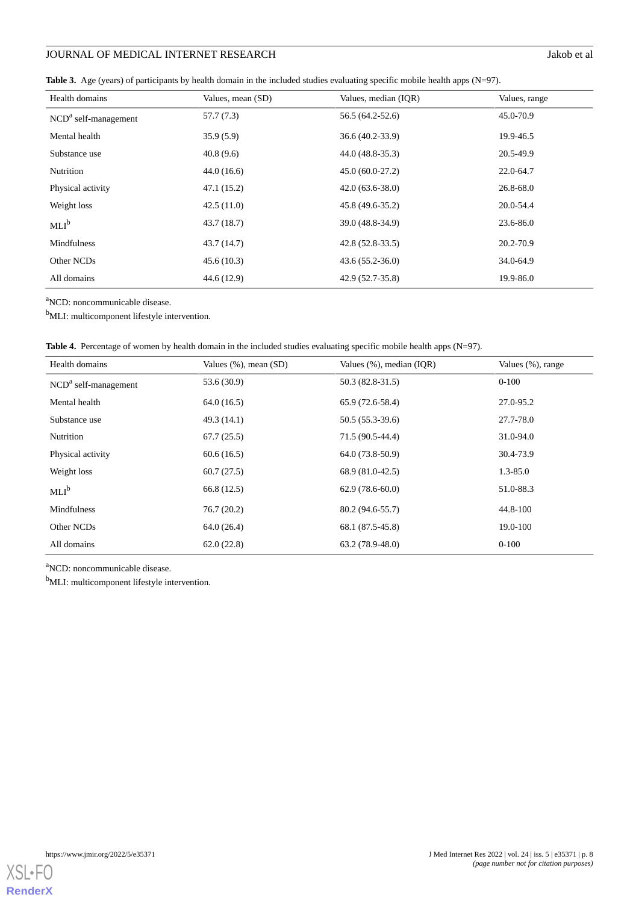# **JOURNAL OF MEDICAL INTERNET RESEARCH** Jakob et al

<span id="page-7-0"></span>

|  |  |  |  |  |  | Table 3. Age (years) of participants by health domain in the included studies evaluating specific mobile health apps $(N=97)$ . |
|--|--|--|--|--|--|---------------------------------------------------------------------------------------------------------------------------------|
|--|--|--|--|--|--|---------------------------------------------------------------------------------------------------------------------------------|

| Health domains         | Values, mean (SD) | Values, median (IQR) | Values, range |
|------------------------|-------------------|----------------------|---------------|
| $NCDa$ self-management | 57.7 (7.3)        | 56.5 (64.2-52.6)     | 45.0-70.9     |
| Mental health          | 35.9(5.9)         | $36.6(40.2-33.9)$    | 19.9-46.5     |
| Substance use          | 40.8(9.6)         | $44.0(48.8-35.3)$    | 20.5-49.9     |
| Nutrition              | 44.0(16.6)        | $45.0(60.0-27.2)$    | 22.0-64.7     |
| Physical activity      | 47.1 (15.2)       | $42.0(63.6-38.0)$    | 26.8-68.0     |
| Weight loss            | 42.5(11.0)        | 45.8 (49.6-35.2)     | 20.0-54.4     |
| $MLI^b$                | 43.7(18.7)        | 39.0 (48.8-34.9)     | 23.6-86.0     |
| Mindfulness            | 43.7 (14.7)       | $42.8(52.8-33.5)$    | 20.2-70.9     |
| Other NCDs             | 45.6(10.3)        | $43.6(55.2-36.0)$    | 34.0-64.9     |
| All domains            | 44.6 (12.9)       | 42.9 (52.7-35.8)     | 19.9-86.0     |

<sup>a</sup>NCD: noncommunicable disease.

<span id="page-7-1"></span><sup>b</sup>MLI: multicomponent lifestyle intervention.

|  | Table 4. Percentage of women by health domain in the included studies evaluating specific mobile health apps $(N=97)$ . |  |  |  |  |  |  |  |  |  |  |
|--|-------------------------------------------------------------------------------------------------------------------------|--|--|--|--|--|--|--|--|--|--|
|--|-------------------------------------------------------------------------------------------------------------------------|--|--|--|--|--|--|--|--|--|--|

| Health domains         | Values $(\%)$ , mean $(SD)$ | Values (%), median (IOR) | Values (%), range |
|------------------------|-----------------------------|--------------------------|-------------------|
| $NCDa$ self-management | 53.6 (30.9)                 | $50.3(82.8-31.5)$        | $0 - 100$         |
| Mental health          | 64.0(16.5)                  | $65.9(72.6-58.4)$        | 27.0-95.2         |
| Substance use          | 49.3(14.1)                  | 50.5 (55.3-39.6)         | 27.7-78.0         |
| Nutrition              | 67.7(25.5)                  | 71.5 (90.5-44.4)         | 31.0-94.0         |
| Physical activity      | 60.6(16.5)                  | 64.0 (73.8-50.9)         | 30.4-73.9         |
| Weight loss            | 60.7(27.5)                  | 68.9 (81.0-42.5)         | $1.3 - 85.0$      |
| $MLI^b$                | 66.8 (12.5)                 | $62.9(78.6-60.0)$        | 51.0-88.3         |
| Mindfulness            | 76.7(20.2)                  | 80.2 (94.6-55.7)         | $44.8 - 100$      |
| Other NCDs             | 64.0(26.4)                  | 68.1 (87.5-45.8)         | 19.0-100          |
| All domains            | 62.0(22.8)                  | $63.2(78.9-48.0)$        | $0 - 100$         |

<sup>a</sup>NCD: noncommunicable disease.

b<sub>MLI</sub>: multicomponent lifestyle intervention.

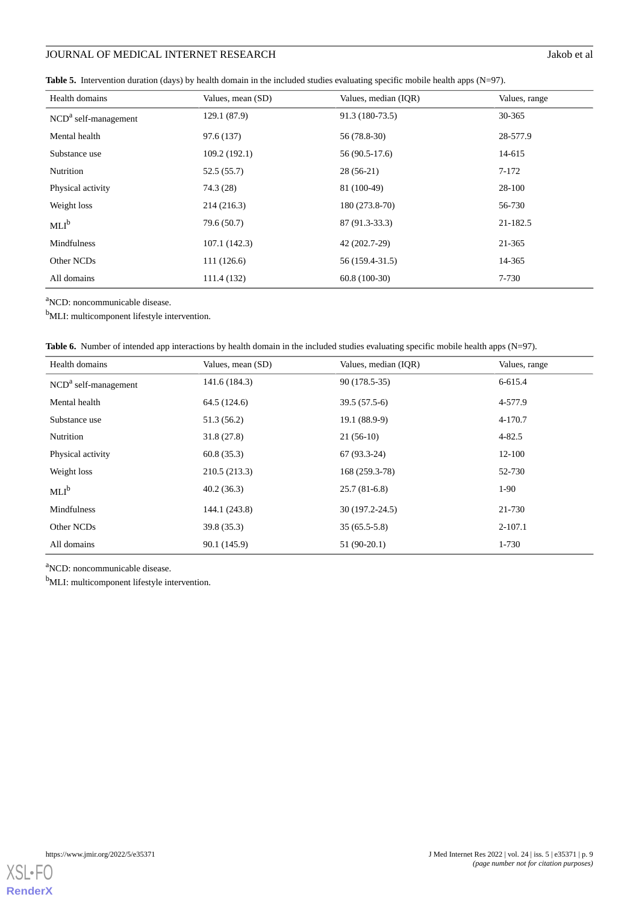# **JOURNAL OF MEDICAL INTERNET RESEARCH** Jakob et al

<span id="page-8-0"></span>

| Table 5. Intervention duration (days) by health domain in the included studies evaluating specific mobile health apps $(N=97)$ . |  |  |
|----------------------------------------------------------------------------------------------------------------------------------|--|--|
|----------------------------------------------------------------------------------------------------------------------------------|--|--|

| Health domains         | Values, mean (SD) | Values, median (IOR) | Values, range |
|------------------------|-------------------|----------------------|---------------|
| $NCDa$ self-management | 129.1(87.9)       | 91.3 (180-73.5)      | 30-365        |
| Mental health          | 97.6 (137)        | 56 (78.8-30)         | 28-577.9      |
| Substance use          | 109.2(192.1)      | 56 (90.5-17.6)       | 14-615        |
| Nutrition              | 52.5(55.7)        | $28(56-21)$          | $7-172$       |
| Physical activity      | 74.3 (28)         | 81 (100-49)          | 28-100        |
| Weight loss            | 214 (216.3)       | 180 (273.8-70)       | 56-730        |
| $MLI^b$                | 79.6 (50.7)       | 87 (91.3-33.3)       | 21-182.5      |
| Mindfulness            | 107.1(142.3)      | 42 (202.7-29)        | 21-365        |
| Other NCDs             | 111(126.6)        | 56 (159.4-31.5)      | 14-365        |
| All domains            | 111.4 (132)       | $60.8(100-30)$       | 7-730         |

<sup>a</sup>NCD: noncommunicable disease.

<span id="page-8-1"></span><sup>b</sup>MLI: multicomponent lifestyle intervention.

|  |  |  |  | Table 6. Number of intended app interactions by health domain in the included studies evaluating specific mobile health apps $(N=97)$ . |  |  |  |
|--|--|--|--|-----------------------------------------------------------------------------------------------------------------------------------------|--|--|--|
|--|--|--|--|-----------------------------------------------------------------------------------------------------------------------------------------|--|--|--|

| Health domains         | Values, mean (SD) | Values, median (IOR) | Values, range |
|------------------------|-------------------|----------------------|---------------|
| $NCDa$ self-management | 141.6 (184.3)     | 90 (178.5-35)        | 6-615.4       |
| Mental health          | 64.5 (124.6)      | $39.5(57.5-6)$       | 4-577.9       |
| Substance use          | 51.3(56.2)        | $19.1(88.9-9)$       | $4 - 170.7$   |
| Nutrition              | 31.8(27.8)        | $21(56-10)$          | $4 - 82.5$    |
| Physical activity      | 60.8(35.3)        | $67(93.3-24)$        | 12-100        |
| Weight loss            | 210.5(213.3)      | 168 (259.3-78)       | 52-730        |
| $MLI^b$                | 40.2(36.3)        | $25.7(81-6.8)$       | $1-90$        |
| Mindfulness            | 144.1 (243.8)     | 30 (197.2-24.5)      | 21-730        |
| Other NCDs             | 39.8(35.3)        | $35(65.5-5.8)$       | $2-107.1$     |
| All domains            | 90.1 (145.9)      | $51(90-20.1)$        | 1-730         |

<sup>a</sup>NCD: noncommunicable disease.

b<sub>MLI</sub>: multicomponent lifestyle intervention.

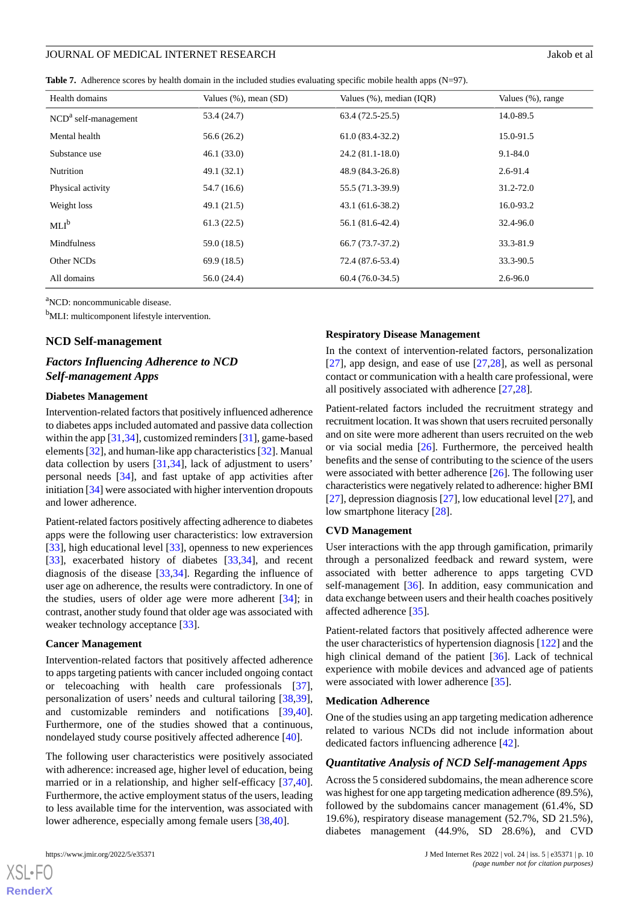<span id="page-9-0"></span>**Table 7.** Adherence scores by health domain in the included studies evaluating specific mobile health apps (N=97).

| Health domains         | Values $(\%)$ , mean $(SD)$ | Values $(\%)$ , median $(IQR)$ | Values (%), range |
|------------------------|-----------------------------|--------------------------------|-------------------|
| $NCDa$ self-management | 53.4 (24.7)                 | $63.4(72.5-25.5)$              | 14.0-89.5         |
| Mental health          | 56.6(26.2)                  | $61.0(83.4-32.2)$              | 15.0-91.5         |
| Substance use          | 46.1(33.0)                  | $24.2(81.1-18.0)$              | $9.1 - 84.0$      |
| Nutrition              | 49.1(32.1)                  | 48.9 (84.3-26.8)               | $2.6 - 91.4$      |
| Physical activity      | 54.7 (16.6)                 | 55.5 (71.3-39.9)               | 31.2-72.0         |
| Weight loss            | 49.1(21.5)                  | $43.1(61.6-38.2)$              | 16.0-93.2         |
| $MLI^b$                | 61.3(22.5)                  | 56.1 (81.6-42.4)               | 32.4-96.0         |
| Mindfulness            | 59.0 (18.5)                 | 66.7 (73.7-37.2)               | 33.3-81.9         |
| Other NCDs             | 69.9(18.5)                  | 72.4 (87.6-53.4)               | 33.3-90.5         |
| All domains            | 56.0 (24.4)                 | $60.4(76.0-34.5)$              | $2.6 - 96.0$      |

<sup>a</sup>NCD: noncommunicable disease.

b<sub>MLI</sub>: multicomponent lifestyle intervention.

#### **NCD Self-management**

# *Factors Influencing Adherence to NCD Self-management Apps*

### **Diabetes Management**

Intervention-related factors that positively influenced adherence to diabetes apps included automated and passive data collection within the app [[31,](#page-19-14)[34](#page-19-9)], customized reminders [\[31](#page-19-14)], game-based elements [\[32](#page-19-15)], and human-like app characteristics [\[32](#page-19-15)]. Manual data collection by users [[31](#page-19-14)[,34](#page-19-9)], lack of adjustment to users' personal needs [[34\]](#page-19-9), and fast uptake of app activities after initiation [\[34\]](#page-19-9) were associated with higher intervention dropouts and lower adherence.

Patient-related factors positively affecting adherence to diabetes apps were the following user characteristics: low extraversion [[33\]](#page-19-16), high educational level [33], openness to new experiences [[33\]](#page-19-16), exacerbated history of diabetes [\[33](#page-19-16),[34\]](#page-19-9), and recent diagnosis of the disease [[33,](#page-19-16)[34](#page-19-9)]. Regarding the influence of user age on adherence, the results were contradictory. In one of the studies, users of older age were more adherent [[34\]](#page-19-9); in contrast, another study found that older age was associated with weaker technology acceptance [\[33](#page-19-16)].

#### **Cancer Management**

Intervention-related factors that positively affected adherence to apps targeting patients with cancer included ongoing contact or telecoaching with health care professionals [[37\]](#page-19-10), personalization of users' needs and cultural tailoring [\[38](#page-20-7),[39\]](#page-20-8), and customizable reminders and notifications [\[39](#page-20-8),[40\]](#page-20-9). Furthermore, one of the studies showed that a continuous, nondelayed study course positively affected adherence [\[40](#page-20-9)].

The following user characteristics were positively associated with adherence: increased age, higher level of education, being married or in a relationship, and higher self-efficacy [\[37](#page-19-10),[40\]](#page-20-9). Furthermore, the active employment status of the users, leading to less available time for the intervention, was associated with lower adherence, especially among female users [\[38](#page-20-7),[40\]](#page-20-9).

 $XS$  $\cdot$ FC **[RenderX](http://www.renderx.com/)**

#### **Respiratory Disease Management**

In the context of intervention-related factors, personalization [[27\]](#page-19-17), app design, and ease of use  $[27,28]$  $[27,28]$  $[27,28]$ , as well as personal contact or communication with a health care professional, were all positively associated with adherence [[27](#page-19-17)[,28](#page-19-11)].

Patient-related factors included the recruitment strategy and recruitment location. It was shown that users recruited personally and on site were more adherent than users recruited on the web or via social media [\[26](#page-19-7)]. Furthermore, the perceived health benefits and the sense of contributing to the science of the users were associated with better adherence [[26\]](#page-19-7). The following user characteristics were negatively related to adherence: higher BMI [[27\]](#page-19-17), depression diagnosis [[27\]](#page-19-17), low educational level [\[27](#page-19-17)], and low smartphone literacy [[28\]](#page-19-11).

#### **CVD Management**

User interactions with the app through gamification, primarily through a personalized feedback and reward system, were associated with better adherence to apps targeting CVD self-management [[36\]](#page-19-13). In addition, easy communication and data exchange between users and their health coaches positively affected adherence [\[35](#page-19-12)].

Patient-related factors that positively affected adherence were the user characteristics of hypertension diagnosis [[122](#page-24-2)] and the high clinical demand of the patient [[36\]](#page-19-13). Lack of technical experience with mobile devices and advanced age of patients were associated with lower adherence [[35\]](#page-19-12).

#### **Medication Adherence**

One of the studies using an app targeting medication adherence related to various NCDs did not include information about dedicated factors influencing adherence [\[42](#page-20-0)].

#### *Quantitative Analysis of NCD Self-management Apps*

Across the 5 considered subdomains, the mean adherence score was highest for one app targeting medication adherence (89.5%), followed by the subdomains cancer management (61.4%, SD 19.6%), respiratory disease management (52.7%, SD 21.5%), diabetes management (44.9%, SD 28.6%), and CVD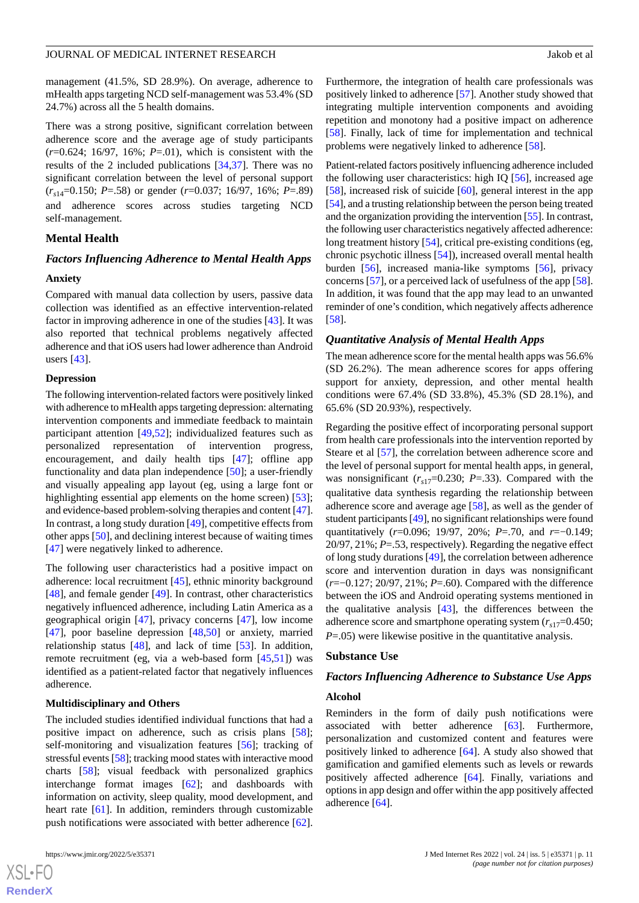management (41.5%, SD 28.9%). On average, adherence to mHealth apps targeting NCD self-management was 53.4% (SD 24.7%) across all the 5 health domains.

There was a strong positive, significant correlation between adherence score and the average age of study participants (*r*=0.624; 16/97, 16%; *P*=.01), which is consistent with the results of the 2 included publications [\[34](#page-19-9),[37\]](#page-19-10). There was no significant correlation between the level of personal support (*r<sup>s</sup>*14=0.150; *P*=.58) or gender (*r*=0.037; 16/97, 16%; *P*=.89) and adherence scores across studies targeting NCD self-management.

### **Mental Health**

# *Factors Influencing Adherence to Mental Health Apps*

#### **Anxiety**

Compared with manual data collection by users, passive data collection was identified as an effective intervention-related factor in improving adherence in one of the studies [[43\]](#page-20-2). It was also reported that technical problems negatively affected adherence and that iOS users had lower adherence than Android users [[43\]](#page-20-2).

#### **Depression**

The following intervention-related factors were positively linked with adherence to mHealth apps targeting depression: alternating intervention components and immediate feedback to maintain participant attention [[49,](#page-20-10)[52](#page-20-11)]; individualized features such as personalized representation of intervention progress, encouragement, and daily health tips [[47\]](#page-20-12); offline app functionality and data plan independence [\[50](#page-20-13)]; a user-friendly and visually appealing app layout (eg, using a large font or highlighting essential app elements on the home screen) [[53\]](#page-20-5); and evidence-based problem-solving therapies and content [\[47\]](#page-20-12). In contrast, a long study duration [\[49](#page-20-10)], competitive effects from other apps [[50\]](#page-20-13), and declining interest because of waiting times [[47\]](#page-20-12) were negatively linked to adherence.

The following user characteristics had a positive impact on adherence: local recruitment [\[45](#page-20-4)], ethnic minority background [[48\]](#page-20-14), and female gender [[49\]](#page-20-10). In contrast, other characteristics negatively influenced adherence, including Latin America as a geographical origin [[47\]](#page-20-12), privacy concerns [\[47](#page-20-12)], low income [[47\]](#page-20-12), poor baseline depression [[48,](#page-20-14)[50](#page-20-13)] or anxiety, married relationship status [[48\]](#page-20-14), and lack of time [\[53](#page-20-5)]. In addition, remote recruitment (eg, via a web-based form [[45](#page-20-4)[,51](#page-20-15)]) was identified as a patient-related factor that negatively influences adherence.

#### **Multidisciplinary and Others**

The included studies identified individual functions that had a positive impact on adherence, such as crisis plans [[58\]](#page-21-7); self-monitoring and visualization features [[56\]](#page-20-16); tracking of stressful events [\[58\]](#page-21-7); tracking mood states with interactive mood charts [[58\]](#page-21-7); visual feedback with personalized graphics interchange format images [[62\]](#page-21-0); and dashboards with information on activity, sleep quality, mood development, and heart rate [[61\]](#page-21-8). In addition, reminders through customizable push notifications were associated with better adherence [[62\]](#page-21-0).

 $XS$  $\cdot$ FC **[RenderX](http://www.renderx.com/)**

Furthermore, the integration of health care professionals was positively linked to adherence [\[57](#page-21-9)]. Another study showed that integrating multiple intervention components and avoiding repetition and monotony had a positive impact on adherence [[58\]](#page-21-7). Finally, lack of time for implementation and technical problems were negatively linked to adherence [[58\]](#page-21-7).

Patient-related factors positively influencing adherence included the following user characteristics: high IQ [[56\]](#page-20-16), increased age [[58\]](#page-21-7), increased risk of suicide [[60\]](#page-21-10), general interest in the app [[54\]](#page-20-6), and a trusting relationship between the person being treated and the organization providing the intervention [[55](#page-20-17)]. In contrast, the following user characteristics negatively affected adherence: long treatment history [\[54](#page-20-6)], critical pre-existing conditions (eg, chronic psychotic illness [[54\]](#page-20-6)), increased overall mental health burden [[56\]](#page-20-16), increased mania-like symptoms [\[56](#page-20-16)], privacy concerns [\[57](#page-21-9)], or a perceived lack of usefulness of the app [[58\]](#page-21-7). In addition, it was found that the app may lead to an unwanted reminder of one's condition, which negatively affects adherence [[58\]](#page-21-7).

#### *Quantitative Analysis of Mental Health Apps*

The mean adherence score for the mental health apps was 56.6% (SD 26.2%). The mean adherence scores for apps offering support for anxiety, depression, and other mental health conditions were 67.4% (SD 33.8%), 45.3% (SD 28.1%), and 65.6% (SD 20.93%), respectively.

Regarding the positive effect of incorporating personal support from health care professionals into the intervention reported by Steare et al [[57\]](#page-21-9), the correlation between adherence score and the level of personal support for mental health apps, in general, was nonsignificant  $(r<sub>s17</sub>=0.230; P=.33)$ . Compared with the qualitative data synthesis regarding the relationship between adherence score and average age [\[58](#page-21-7)], as well as the gender of student participants [[49](#page-20-10)], no significant relationships were found quantitatively (*r*=0.096; 19/97, 20%; *P*=.70, and *r*=−0.149; 20/97, 21%; *P*=.53, respectively). Regarding the negative effect of long study durations [[49\]](#page-20-10), the correlation between adherence score and intervention duration in days was nonsignificant (*r*=−0.127; 20/97, 21%; *P*=.60). Compared with the difference between the iOS and Android operating systems mentioned in the qualitative analysis  $[43]$  $[43]$ , the differences between the adherence score and smartphone operating system  $(r_{s17}=0.450;$ *P*=.05) were likewise positive in the quantitative analysis.

# **Substance Use**

# *Factors Influencing Adherence to Substance Use Apps*

#### **Alcohol**

Reminders in the form of daily push notifications were associated with better adherence [\[63](#page-21-1)]. Furthermore, personalization and customized content and features were positively linked to adherence [\[64](#page-21-3)]. A study also showed that gamification and gamified elements such as levels or rewards positively affected adherence [[64\]](#page-21-3). Finally, variations and options in app design and offer within the app positively affected adherence [[64\]](#page-21-3).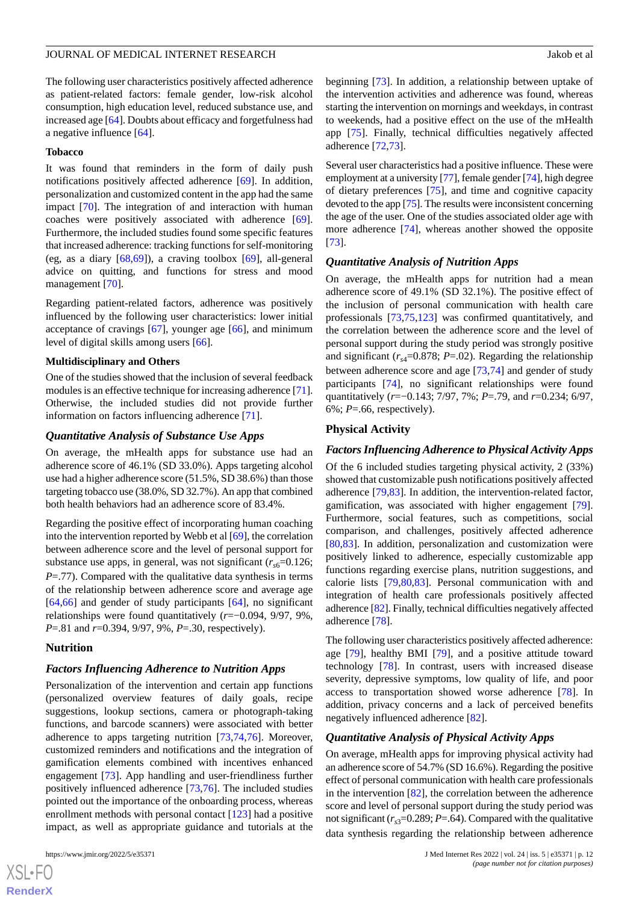The following user characteristics positively affected adherence as patient-related factors: female gender, low-risk alcohol consumption, high education level, reduced substance use, and increased age [\[64](#page-21-3)]. Doubts about efficacy and forgetfulness had a negative influence [\[64](#page-21-3)].

#### **Tobacco**

It was found that reminders in the form of daily push notifications positively affected adherence [[69\]](#page-21-11). In addition, personalization and customized content in the app had the same impact [\[70](#page-21-5)]. The integration of and interaction with human coaches were positively associated with adherence [[69\]](#page-21-11). Furthermore, the included studies found some specific features that increased adherence: tracking functions for self-monitoring (eg, as a diary [[68,](#page-21-12)[69](#page-21-11)]), a craving toolbox [[69\]](#page-21-11), all-general advice on quitting, and functions for stress and mood management [\[70](#page-21-5)].

Regarding patient-related factors, adherence was positively influenced by the following user characteristics: lower initial acceptance of cravings [\[67](#page-21-13)], younger age [\[66](#page-21-14)], and minimum level of digital skills among users [[66\]](#page-21-14).

#### **Multidisciplinary and Others**

One of the studies showed that the inclusion of several feedback modules is an effective technique for increasing adherence [[71\]](#page-21-2). Otherwise, the included studies did not provide further information on factors influencing adherence [[71\]](#page-21-2).

#### *Quantitative Analysis of Substance Use Apps*

On average, the mHealth apps for substance use had an adherence score of 46.1% (SD 33.0%). Apps targeting alcohol use had a higher adherence score (51.5%, SD 38.6%) than those targeting tobacco use (38.0%, SD 32.7%). An app that combined both health behaviors had an adherence score of 83.4%.

Regarding the positive effect of incorporating human coaching into the intervention reported by Webb et al [\[69\]](#page-21-11), the correlation between adherence score and the level of personal support for substance use apps, in general, was not significant  $(r_{\rm sf} = 0.126)$ ; *P*=.77). Compared with the qualitative data synthesis in terms of the relationship between adherence score and average age [[64](#page-21-3)[,66](#page-21-14)] and gender of study participants [\[64](#page-21-3)], no significant relationships were found quantitatively (*r*=−0.094, 9/97, 9%, *P*=.81 and *r*=0.394, 9/97, 9%, *P*=.30, respectively).

#### **Nutrition**

### *Factors Influencing Adherence to Nutrition Apps*

Personalization of the intervention and certain app functions (personalized overview features of daily goals, recipe suggestions, lookup sections, camera or photograph-taking functions, and barcode scanners) were associated with better adherence to apps targeting nutrition [\[73](#page-21-15),[74,](#page-21-16)[76](#page-22-6)]. Moreover, customized reminders and notifications and the integration of gamification elements combined with incentives enhanced engagement [[73\]](#page-21-15). App handling and user-friendliness further positively influenced adherence [[73,](#page-21-15)[76](#page-22-6)]. The included studies pointed out the importance of the onboarding process, whereas enrollment methods with personal contact [[123\]](#page-24-0) had a positive impact, as well as appropriate guidance and tutorials at the

[XSL](http://www.w3.org/Style/XSL)•FO **[RenderX](http://www.renderx.com/)** beginning [\[73](#page-21-15)]. In addition, a relationship between uptake of the intervention activities and adherence was found, whereas starting the intervention on mornings and weekdays, in contrast to weekends, had a positive effect on the use of the mHealth app [[75\]](#page-21-17). Finally, technical difficulties negatively affected adherence [[72](#page-21-6)[,73](#page-21-15)].

Several user characteristics had a positive influence. These were employment at a university [\[77\]](#page-22-0), female gender [\[74](#page-21-16)], high degree of dietary preferences [[75\]](#page-21-17), and time and cognitive capacity devoted to the app [\[75](#page-21-17)]. The results were inconsistent concerning the age of the user. One of the studies associated older age with more adherence [\[74](#page-21-16)], whereas another showed the opposite [[73\]](#page-21-15).

# *Quantitative Analysis of Nutrition Apps*

On average, the mHealth apps for nutrition had a mean adherence score of 49.1% (SD 32.1%). The positive effect of the inclusion of personal communication with health care professionals [\[73](#page-21-15),[75,](#page-21-17)[123](#page-24-0)] was confirmed quantitatively, and the correlation between the adherence score and the level of personal support during the study period was strongly positive and significant  $(r_{\text{sd}}=0.878; P=.02)$ . Regarding the relationship between adherence score and age [\[73](#page-21-15),[74\]](#page-21-16) and gender of study participants [[74\]](#page-21-16), no significant relationships were found quantitatively (*r*=−0.143; 7/97, 7%; *P*=.79, and *r*=0.234; 6/97, 6%; *P*=.66, respectively).

# **Physical Activity**

#### *Factors Influencing Adherence to Physical Activity Apps*

Of the 6 included studies targeting physical activity, 2 (33%) showed that customizable push notifications positively affected adherence [\[79](#page-22-7),[83\]](#page-22-2). In addition, the intervention-related factor, gamification, was associated with higher engagement [[79\]](#page-22-7). Furthermore, social features, such as competitions, social comparison, and challenges, positively affected adherence [[80,](#page-22-8)[83\]](#page-22-2). In addition, personalization and customization were positively linked to adherence, especially customizable app functions regarding exercise plans, nutrition suggestions, and calorie lists [\[79](#page-22-7),[80,](#page-22-8)[83](#page-22-2)]. Personal communication with and integration of health care professionals positively affected adherence [[82\]](#page-22-9). Finally, technical difficulties negatively affected adherence [[78\]](#page-22-1).

The following user characteristics positively affected adherence: age [\[79](#page-22-7)], healthy BMI [\[79](#page-22-7)], and a positive attitude toward technology [[78\]](#page-22-1). In contrast, users with increased disease severity, depressive symptoms, low quality of life, and poor access to transportation showed worse adherence [\[78](#page-22-1)]. In addition, privacy concerns and a lack of perceived benefits negatively influenced adherence [\[82](#page-22-9)].

#### *Quantitative Analysis of Physical Activity Apps*

On average, mHealth apps for improving physical activity had an adherence score of 54.7% (SD 16.6%). Regarding the positive effect of personal communication with health care professionals in the intervention  $[82]$  $[82]$ , the correlation between the adherence score and level of personal support during the study period was not significant  $(r_{s3}=0.289; P=.64)$ . Compared with the qualitative data synthesis regarding the relationship between adherence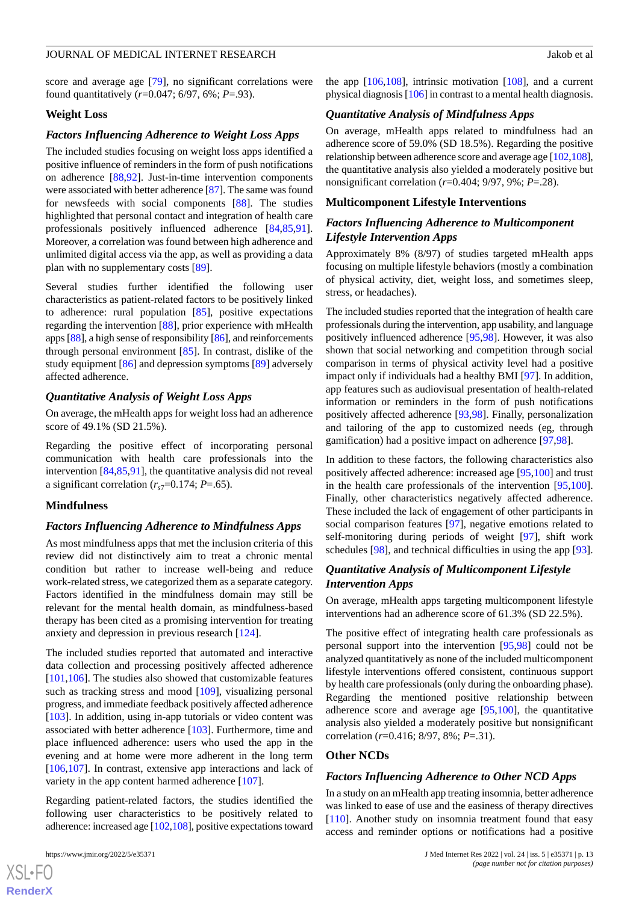score and average age [[79\]](#page-22-7), no significant correlations were found quantitatively (*r*=0.047; 6/97, 6%; *P*=.93).

# **Weight Loss**

### *Factors Influencing Adherence to Weight Loss Apps*

The included studies focusing on weight loss apps identified a positive influence of reminders in the form of push notifications on adherence [\[88](#page-22-10),[92\]](#page-22-4). Just-in-time intervention components were associated with better adherence [[87](#page-22-11)]. The same was found for newsfeeds with social components [[88\]](#page-22-10). The studies highlighted that personal contact and integration of health care professionals positively influenced adherence [[84](#page-22-3)[,85](#page-22-12),[91\]](#page-22-13). Moreover, a correlation was found between high adherence and unlimited digital access via the app, as well as providing a data plan with no supplementary costs [\[89](#page-22-14)].

Several studies further identified the following user characteristics as patient-related factors to be positively linked to adherence: rural population [[85\]](#page-22-12), positive expectations regarding the intervention [[88\]](#page-22-10), prior experience with mHealth apps [[88](#page-22-10)], a high sense of responsibility [[86\]](#page-22-15), and reinforcements through personal environment [\[85](#page-22-12)]. In contrast, dislike of the study equipment [\[86](#page-22-15)] and depression symptoms [[89\]](#page-22-14) adversely affected adherence.

### *Quantitative Analysis of Weight Loss Apps*

On average, the mHealth apps for weight loss had an adherence score of 49.1% (SD 21.5%).

Regarding the positive effect of incorporating personal communication with health care professionals into the intervention [\[84](#page-22-3),[85](#page-22-12)[,91](#page-22-13)], the quantitative analysis did not reveal a significant correlation  $(r<sub>s7</sub>=0.174; P=.65)$ .

#### **Mindfulness**

#### *Factors Influencing Adherence to Mindfulness Apps*

As most mindfulness apps that met the inclusion criteria of this review did not distinctively aim to treat a chronic mental condition but rather to increase well-being and reduce work-related stress, we categorized them as a separate category. Factors identified in the mindfulness domain may still be relevant for the mental health domain, as mindfulness-based therapy has been cited as a promising intervention for treating anxiety and depression in previous research [[124\]](#page-24-3).

The included studies reported that automated and interactive data collection and processing positively affected adherence [[101](#page-23-1)[,106](#page-23-4)]. The studies also showed that customizable features such as tracking stress and mood [[109\]](#page-23-2), visualizing personal progress, and immediate feedback positively affected adherence [[103\]](#page-23-5). In addition, using in-app tutorials or video content was associated with better adherence [\[103](#page-23-5)]. Furthermore, time and place influenced adherence: users who used the app in the evening and at home were more adherent in the long term [[106](#page-23-4)[,107](#page-23-6)]. In contrast, extensive app interactions and lack of variety in the app content harmed adherence [\[107](#page-23-6)].

Regarding patient-related factors, the studies identified the following user characteristics to be positively related to adherence: increased age [[102](#page-23-7)[,108](#page-23-8)], positive expectations toward

the app [\[106](#page-23-4),[108\]](#page-23-8), intrinsic motivation [\[108](#page-23-8)], and a current physical diagnosis [\[106](#page-23-4)] in contrast to a mental health diagnosis.

# *Quantitative Analysis of Mindfulness Apps*

On average, mHealth apps related to mindfulness had an adherence score of 59.0% (SD 18.5%). Regarding the positive relationship between adherence score and average age [\[102](#page-23-7)[,108](#page-23-8)], the quantitative analysis also yielded a moderately positive but nonsignificant correlation (*r*=0.404; 9/97, 9%; *P*=.28).

#### **Multicomponent Lifestyle Interventions**

# *Factors Influencing Adherence to Multicomponent Lifestyle Intervention Apps*

Approximately 8% (8/97) of studies targeted mHealth apps focusing on multiple lifestyle behaviors (mostly a combination of physical activity, diet, weight loss, and sometimes sleep, stress, or headaches).

The included studies reported that the integration of health care professionals during the intervention, app usability, and language positively influenced adherence [[95,](#page-23-9)[98](#page-23-10)]. However, it was also shown that social networking and competition through social comparison in terms of physical activity level had a positive impact only if individuals had a healthy BMI [\[97](#page-23-11)]. In addition, app features such as audiovisual presentation of health-related information or reminders in the form of push notifications positively affected adherence [\[93](#page-22-5),[98\]](#page-23-10). Finally, personalization and tailoring of the app to customized needs (eg, through gamification) had a positive impact on adherence [[97](#page-23-11)[,98](#page-23-10)].

In addition to these factors, the following characteristics also positively affected adherence: increased age [[95](#page-23-9)[,100](#page-23-0)] and trust in the health care professionals of the intervention [\[95](#page-23-9),[100\]](#page-23-0). Finally, other characteristics negatively affected adherence. These included the lack of engagement of other participants in social comparison features [[97\]](#page-23-11), negative emotions related to self-monitoring during periods of weight [[97\]](#page-23-11), shift work schedules [\[98](#page-23-10)], and technical difficulties in using the app [[93\]](#page-22-5).

# *Quantitative Analysis of Multicomponent Lifestyle Intervention Apps*

On average, mHealth apps targeting multicomponent lifestyle interventions had an adherence score of 61.3% (SD 22.5%).

The positive effect of integrating health care professionals as personal support into the intervention [\[95](#page-23-9),[98\]](#page-23-10) could not be analyzed quantitatively as none of the included multicomponent lifestyle interventions offered consistent, continuous support by health care professionals (only during the onboarding phase). Regarding the mentioned positive relationship between adherence score and average age [\[95](#page-23-9),[100](#page-23-0)], the quantitative analysis also yielded a moderately positive but nonsignificant correlation (*r*=0.416; 8/97, 8%; *P*=.31).

### **Other NCDs**

#### *Factors Influencing Adherence to Other NCD Apps*

In a study on an mHealth app treating insomnia, better adherence was linked to ease of use and the easiness of therapy directives [[110\]](#page-23-3). Another study on insomnia treatment found that easy access and reminder options or notifications had a positive

 $XS$  $\cdot$ FC **[RenderX](http://www.renderx.com/)**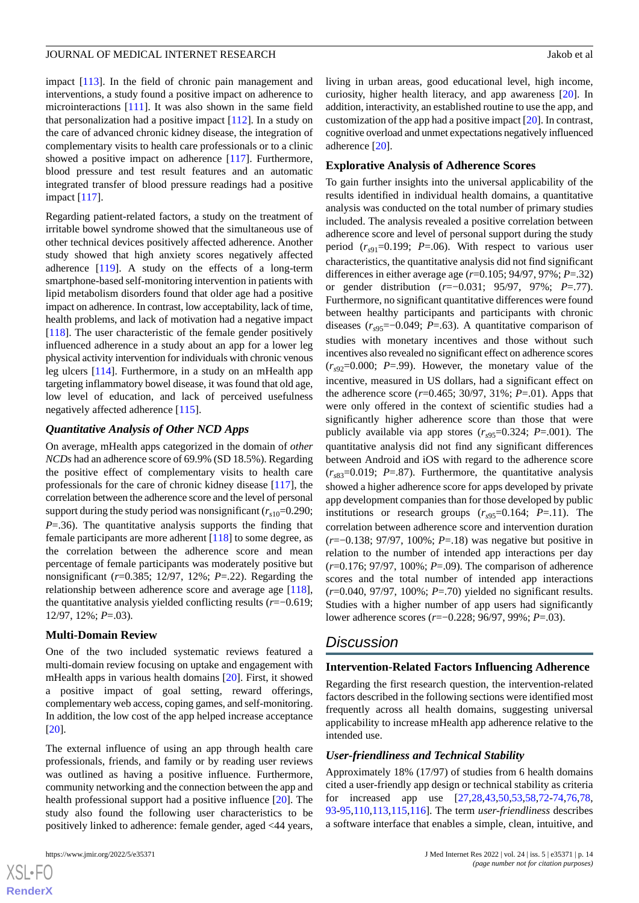impact [\[113](#page-23-12)]. In the field of chronic pain management and interventions, a study found a positive impact on adherence to microinteractions [[111](#page-23-13)]. It was also shown in the same field that personalization had a positive impact [[112](#page-23-14)]. In a study on the care of advanced chronic kidney disease, the integration of complementary visits to health care professionals or to a clinic showed a positive impact on adherence [\[117](#page-24-4)]. Furthermore, blood pressure and test result features and an automatic integrated transfer of blood pressure readings had a positive impact [[117\]](#page-24-4).

Regarding patient-related factors, a study on the treatment of irritable bowel syndrome showed that the simultaneous use of other technical devices positively affected adherence. Another study showed that high anxiety scores negatively affected adherence [\[119\]](#page-24-5). A study on the effects of a long-term smartphone-based self-monitoring intervention in patients with lipid metabolism disorders found that older age had a positive impact on adherence. In contrast, low acceptability, lack of time, health problems, and lack of motivation had a negative impact [[118\]](#page-24-6). The user characteristic of the female gender positively influenced adherence in a study about an app for a lower leg physical activity intervention for individuals with chronic venous leg ulcers [[114\]](#page-23-15). Furthermore, in a study on an mHealth app targeting inflammatory bowel disease, it was found that old age, low level of education, and lack of perceived usefulness negatively affected adherence [[115\]](#page-24-7).

### *Quantitative Analysis of Other NCD Apps*

On average, mHealth apps categorized in the domain of *other NCDs* had an adherence score of 69.9% (SD 18.5%). Regarding the positive effect of complementary visits to health care professionals for the care of chronic kidney disease [[117\]](#page-24-4), the correlation between the adherence score and the level of personal support during the study period was nonsignificant  $(r<sub>s10</sub>=0.290;$ *P*=.36). The quantitative analysis supports the finding that female participants are more adherent [\[118](#page-24-6)] to some degree, as the correlation between the adherence score and mean percentage of female participants was moderately positive but nonsignificant (*r*=0.385; 12/97, 12%; *P*=.22). Regarding the relationship between adherence score and average age [[118\]](#page-24-6), the quantitative analysis yielded conflicting results (*r*=−0.619; 12/97, 12%; *P*=.03).

# **Multi-Domain Review**

One of the two included systematic reviews featured a multi-domain review focusing on uptake and engagement with mHealth apps in various health domains [[20\]](#page-19-2). First, it showed a positive impact of goal setting, reward offerings, complementary web access, coping games, and self-monitoring. In addition, the low cost of the app helped increase acceptance [[20\]](#page-19-2).

The external influence of using an app through health care professionals, friends, and family or by reading user reviews was outlined as having a positive influence. Furthermore, community networking and the connection between the app and health professional support had a positive influence [\[20](#page-19-2)]. The study also found the following user characteristics to be positively linked to adherence: female gender, aged <44 years,

 $XS$  $\cdot$ FC **[RenderX](http://www.renderx.com/)** living in urban areas, good educational level, high income, curiosity, higher health literacy, and app awareness [\[20](#page-19-2)]. In addition, interactivity, an established routine to use the app, and customization of the app had a positive impact [[20\]](#page-19-2). In contrast, cognitive overload and unmet expectations negatively influenced adherence [[20\]](#page-19-2).

### **Explorative Analysis of Adherence Scores**

To gain further insights into the universal applicability of the results identified in individual health domains, a quantitative analysis was conducted on the total number of primary studies included. The analysis revealed a positive correlation between adherence score and level of personal support during the study period  $(r<sub>s91</sub>=0.199; P=.06)$ . With respect to various user characteristics, the quantitative analysis did not find significant differences in either average age (*r*=0.105; 94/97, 97%; *P*=.32) or gender distribution (*r*=−0.031; 95/97, 97%; *P*=.77). Furthermore, no significant quantitative differences were found between healthy participants and participants with chronic diseases ( $r_{s95}$ =−0.049; *P*=.63). A quantitative comparison of studies with monetary incentives and those without such incentives also revealed no significant effect on adherence scores  $(r<sub>s92</sub>=0.000; P=.99)$ . However, the monetary value of the incentive, measured in US dollars, had a significant effect on the adherence score (*r*=0.465; 30/97, 31%; *P*=.01). Apps that were only offered in the context of scientific studies had a significantly higher adherence score than those that were publicly available via app stores  $(r<sub>s95</sub>=0.324; P=.001)$ . The quantitative analysis did not find any significant differences between Android and iOS with regard to the adherence score  $(r<sub>s83</sub>=0.019; P=.87)$ . Furthermore, the quantitative analysis showed a higher adherence score for apps developed by private app development companies than for those developed by public institutions or research groups  $(r<sub>s95</sub>=0.164; P=.11)$ . The correlation between adherence score and intervention duration (*r*=−0.138; 97/97, 100%; *P*=.18) was negative but positive in relation to the number of intended app interactions per day (*r*=0.176; 97/97, 100%; *P*=.09). The comparison of adherence scores and the total number of intended app interactions (*r*=0.040, 97/97, 100%; *P*=.70) yielded no significant results. Studies with a higher number of app users had significantly lower adherence scores (*r*=−0.228; 96/97, 99%; *P*=.03).

# *Discussion*

# **Intervention-Related Factors Influencing Adherence**

Regarding the first research question, the intervention-related factors described in the following sections were identified most frequently across all health domains, suggesting universal applicability to increase mHealth app adherence relative to the intended use.

# *User-friendliness and Technical Stability*

Approximately 18% (17/97) of studies from 6 health domains cited a user-friendly app design or technical stability as criteria for increased app use [[27](#page-19-17)[,28](#page-19-11),[43](#page-20-2)[,50](#page-20-13),[53](#page-20-5)[,58](#page-21-7),[72](#page-21-6)[-74](#page-21-16),[76](#page-22-6)[,78](#page-22-1), [93-](#page-22-5)[95,](#page-23-9)[110](#page-23-3),[113](#page-23-12)[,115,](#page-24-7)[116\]](#page-24-8). The term *user-friendliness* describes a software interface that enables a simple, clean, intuitive, and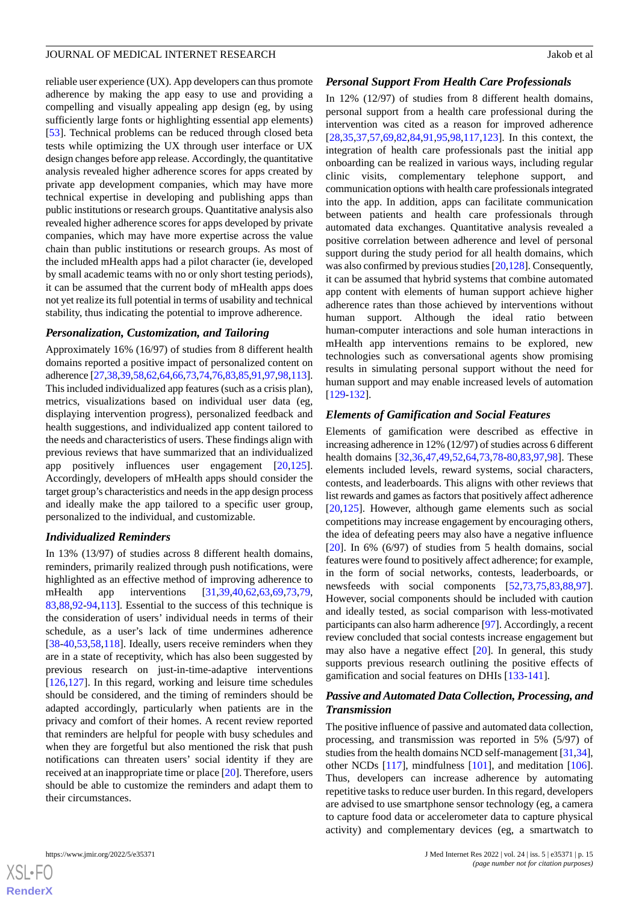reliable user experience (UX). App developers can thus promote adherence by making the app easy to use and providing a compelling and visually appealing app design (eg, by using sufficiently large fonts or highlighting essential app elements) [[53\]](#page-20-5). Technical problems can be reduced through closed beta tests while optimizing the UX through user interface or UX design changes before app release. Accordingly, the quantitative analysis revealed higher adherence scores for apps created by private app development companies, which may have more technical expertise in developing and publishing apps than public institutions or research groups. Quantitative analysis also revealed higher adherence scores for apps developed by private companies, which may have more expertise across the value chain than public institutions or research groups. As most of the included mHealth apps had a pilot character (ie, developed by small academic teams with no or only short testing periods), it can be assumed that the current body of mHealth apps does not yet realize its full potential in terms of usability and technical stability, thus indicating the potential to improve adherence.

### *Personalization, Customization, and Tailoring*

Approximately 16% (16/97) of studies from 8 different health domains reported a positive impact of personalized content on adherence [\[27](#page-19-17),[38,](#page-20-7)[39](#page-20-8)[,58](#page-21-7)[,62](#page-21-0),[64](#page-21-3)[,66](#page-21-14)[,73](#page-21-15)[,74](#page-21-16),[76,](#page-22-6)[83,](#page-22-2)[85](#page-22-12)[,91](#page-22-13),[97](#page-23-11),[98,](#page-23-10)[113\]](#page-23-12). This included individualized app features (such as a crisis plan), metrics, visualizations based on individual user data (eg, displaying intervention progress), personalized feedback and health suggestions, and individualized app content tailored to the needs and characteristics of users. These findings align with previous reviews that have summarized that an individualized app positively influences user engagement [\[20](#page-19-2),[125\]](#page-24-9). Accordingly, developers of mHealth apps should consider the target group's characteristics and needs in the app design process and ideally make the app tailored to a specific user group, personalized to the individual, and customizable.

# *Individualized Reminders*

In 13% (13/97) of studies across 8 different health domains, reminders, primarily realized through push notifications, were highlighted as an effective method of improving adherence to mHealth app interventions [[31,](#page-19-14)[39](#page-20-8),[40,](#page-20-9)[62](#page-21-0),[63,](#page-21-1)[69](#page-21-11),[73,](#page-21-15)[79](#page-22-7), [83](#page-22-2)[,88](#page-22-10),[92-](#page-22-4)[94](#page-22-16)[,113](#page-23-12)]. Essential to the success of this technique is the consideration of users' individual needs in terms of their schedule, as a user's lack of time undermines adherence [[38](#page-20-7)[-40](#page-20-9),[53,](#page-20-5)[58](#page-21-7),[118\]](#page-24-6). Ideally, users receive reminders when they are in a state of receptivity, which has also been suggested by previous research on just-in-time-adaptive interventions [[126](#page-24-10)[,127](#page-24-11)]. In this regard, working and leisure time schedules should be considered, and the timing of reminders should be adapted accordingly, particularly when patients are in the privacy and comfort of their homes. A recent review reported that reminders are helpful for people with busy schedules and when they are forgetful but also mentioned the risk that push notifications can threaten users' social identity if they are received at an inappropriate time or place [[20\]](#page-19-2). Therefore, users should be able to customize the reminders and adapt them to their circumstances.

### *Personal Support From Health Care Professionals*

In 12% (12/97) of studies from 8 different health domains, personal support from a health care professional during the intervention was cited as a reason for improved adherence [[28,](#page-19-11)[35,](#page-19-12)[37](#page-19-10)[,57](#page-21-9),[69,](#page-21-11)[82,](#page-22-9)[84](#page-22-3)[,91](#page-22-13),[95,](#page-23-9)[98,](#page-23-10)[117,](#page-24-4)[123](#page-24-0)]. In this context, the integration of health care professionals past the initial app onboarding can be realized in various ways, including regular clinic visits, complementary telephone support, and communication options with health care professionals integrated into the app. In addition, apps can facilitate communication between patients and health care professionals through automated data exchanges. Quantitative analysis revealed a positive correlation between adherence and level of personal support during the study period for all health domains, which was also confirmed by previous studies [[20](#page-19-2),[128\]](#page-24-12). Consequently, it can be assumed that hybrid systems that combine automated app content with elements of human support achieve higher adherence rates than those achieved by interventions without human support. Although the ideal ratio between human-computer interactions and sole human interactions in mHealth app interventions remains to be explored, new technologies such as conversational agents show promising results in simulating personal support without the need for human support and may enable increased levels of automation [[129](#page-24-13)[-132](#page-24-14)].

### *Elements of Gamification and Social Features*

Elements of gamification were described as effective in increasing adherence in 12% (12/97) of studies across 6 different health domains [[32,](#page-19-15)[36](#page-19-13),[47,](#page-20-12)[49](#page-20-10),[52,](#page-20-11)[64](#page-21-3),[73,](#page-21-15)[78](#page-22-1)[-80](#page-22-8),[83](#page-22-2)[,97](#page-23-11),[98\]](#page-23-10). These elements included levels, reward systems, social characters, contests, and leaderboards. This aligns with other reviews that list rewards and games as factors that positively affect adherence [[20,](#page-19-2)[125](#page-24-9)]. However, although game elements such as social competitions may increase engagement by encouraging others, the idea of defeating peers may also have a negative influence [[20\]](#page-19-2). In 6% (6/97) of studies from 5 health domains, social features were found to positively affect adherence; for example, in the form of social networks, contests, leaderboards, or newsfeeds with social components [\[52](#page-20-11),[73](#page-21-15)[,75](#page-21-17),[83](#page-22-2)[,88](#page-22-10),[97\]](#page-23-11). However, social components should be included with caution and ideally tested, as social comparison with less-motivated participants can also harm adherence [\[97\]](#page-23-11). Accordingly, a recent review concluded that social contests increase engagement but may also have a negative effect [[20\]](#page-19-2). In general, this study supports previous research outlining the positive effects of gamification and social features on DHIs [\[133](#page-24-15)-[141\]](#page-25-0).

# *Passive and Automated Data Collection, Processing, and Transmission*

The positive influence of passive and automated data collection, processing, and transmission was reported in 5% (5/97) of studies from the health domains NCD self-management [[31,](#page-19-14)[34](#page-19-9)], other NCDs [[117\]](#page-24-4), mindfulness [[101\]](#page-23-1), and meditation [[106\]](#page-23-4). Thus, developers can increase adherence by automating repetitive tasks to reduce user burden. In this regard, developers are advised to use smartphone sensor technology (eg, a camera to capture food data or accelerometer data to capture physical activity) and complementary devices (eg, a smartwatch to

 $XS$  $\cdot$ FC **[RenderX](http://www.renderx.com/)**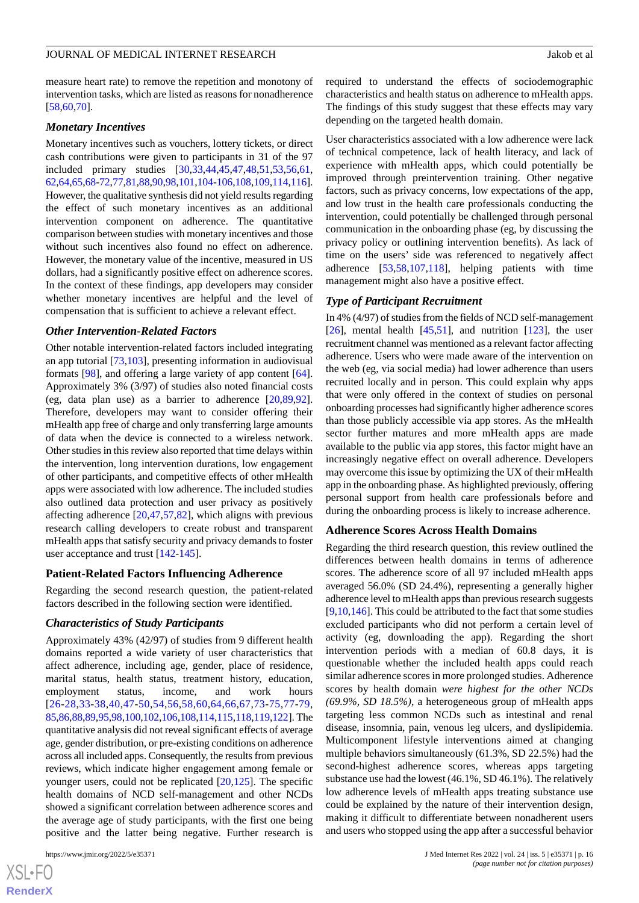measure heart rate) to remove the repetition and monotony of intervention tasks, which are listed as reasons for nonadherence [[58](#page-21-7)[,60](#page-21-10),[70\]](#page-21-5).

#### *Monetary Incentives*

Monetary incentives such as vouchers, lottery tickets, or direct cash contributions were given to participants in 31 of the 97 included primary studies [[30,](#page-19-18)[33](#page-19-16),[44,](#page-20-3)[45](#page-20-4),[47,](#page-20-12)[48](#page-20-14),[51,](#page-20-15)[53](#page-20-5),[56,](#page-20-16)[61](#page-21-8), [62](#page-21-0),[64,](#page-21-3)[65](#page-21-4),[68](#page-21-12)-[72](#page-21-6)[,77](#page-22-0)[,81](#page-22-17),[88,](#page-22-10)[90](#page-22-18)[,98](#page-23-10),[101](#page-23-1),[104-](#page-23-16)[106](#page-23-4)[,108](#page-23-8)[,109](#page-23-2),[114,](#page-23-15)[116\]](#page-24-8). However, the qualitative synthesis did not yield results regarding the effect of such monetary incentives as an additional intervention component on adherence. The quantitative comparison between studies with monetary incentives and those without such incentives also found no effect on adherence. However, the monetary value of the incentive, measured in US dollars, had a significantly positive effect on adherence scores. In the context of these findings, app developers may consider whether monetary incentives are helpful and the level of compensation that is sufficient to achieve a relevant effect.

#### *Other Intervention-Related Factors*

Other notable intervention-related factors included integrating an app tutorial [[73](#page-21-15)[,103](#page-23-5)], presenting information in audiovisual formats [\[98](#page-23-10)], and offering a large variety of app content [[64\]](#page-21-3). Approximately 3% (3/97) of studies also noted financial costs (eg, data plan use) as a barrier to adherence [[20](#page-19-2)[,89](#page-22-14),[92\]](#page-22-4). Therefore, developers may want to consider offering their mHealth app free of charge and only transferring large amounts of data when the device is connected to a wireless network. Other studies in this review also reported that time delays within the intervention, long intervention durations, low engagement of other participants, and competitive effects of other mHealth apps were associated with low adherence. The included studies also outlined data protection and user privacy as positively affecting adherence [\[20](#page-19-2),[47,](#page-20-12)[57](#page-21-9),[82\]](#page-22-9), which aligns with previous research calling developers to create robust and transparent mHealth apps that satisfy security and privacy demands to foster user acceptance and trust [[142-](#page-25-1)[145\]](#page-25-2).

#### **Patient-Related Factors Influencing Adherence**

Regarding the second research question, the patient-related factors described in the following section were identified.

#### *Characteristics of Study Participants*

Approximately 43% (42/97) of studies from 9 different health domains reported a wide variety of user characteristics that affect adherence, including age, gender, place of residence, marital status, health status, treatment history, education, employment status, income, and work hours [[26-](#page-19-7)[28](#page-19-11),[33](#page-19-16)-[38,](#page-20-7)[40](#page-20-9),[47-](#page-20-12)[50,](#page-20-13)[54](#page-20-6),[56,](#page-20-16)[58](#page-21-7),[60,](#page-21-10)[64,](#page-21-3)[66](#page-21-14),[67,](#page-21-13)[73](#page-21-15)-[75,](#page-21-17)[77](#page-22-0)[-79](#page-22-7), [85](#page-22-12),[86,](#page-22-15)[88](#page-22-10)[,89](#page-22-14),[95,](#page-23-9)[98](#page-23-10)[,100](#page-23-0)[,102](#page-23-7),[106](#page-23-4),[108,](#page-23-8)[114](#page-23-15)[,115](#page-24-7),[118](#page-24-6),[119,](#page-24-5)[122\]](#page-24-2). The quantitative analysis did not reveal significant effects of average age, gender distribution, or pre-existing conditions on adherence across all included apps. Consequently, the results from previous reviews, which indicate higher engagement among female or younger users, could not be replicated [\[20](#page-19-2),[125\]](#page-24-9). The specific health domains of NCD self-management and other NCDs showed a significant correlation between adherence scores and the average age of study participants, with the first one being positive and the latter being negative. Further research is

required to understand the effects of sociodemographic characteristics and health status on adherence to mHealth apps. The findings of this study suggest that these effects may vary depending on the targeted health domain.

User characteristics associated with a low adherence were lack of technical competence, lack of health literacy, and lack of experience with mHealth apps, which could potentially be improved through preintervention training. Other negative factors, such as privacy concerns, low expectations of the app, and low trust in the health care professionals conducting the intervention, could potentially be challenged through personal communication in the onboarding phase (eg, by discussing the privacy policy or outlining intervention benefits). As lack of time on the users' side was referenced to negatively affect adherence [\[53](#page-20-5)[,58](#page-21-7),[107](#page-23-6)[,118](#page-24-6)], helping patients with time management might also have a positive effect.

# *Type of Participant Recruitment*

In 4% (4/97) of studies from the fields of NCD self-management [[26\]](#page-19-7), mental health  $[45,51]$  $[45,51]$  $[45,51]$  $[45,51]$ , and nutrition  $[123]$  $[123]$ , the user recruitment channel was mentioned as a relevant factor affecting adherence. Users who were made aware of the intervention on the web (eg, via social media) had lower adherence than users recruited locally and in person. This could explain why apps that were only offered in the context of studies on personal onboarding processes had significantly higher adherence scores than those publicly accessible via app stores. As the mHealth sector further matures and more mHealth apps are made available to the public via app stores, this factor might have an increasingly negative effect on overall adherence. Developers may overcome this issue by optimizing the UX of their mHealth app in the onboarding phase. As highlighted previously, offering personal support from health care professionals before and during the onboarding process is likely to increase adherence.

#### **Adherence Scores Across Health Domains**

Regarding the third research question, this review outlined the differences between health domains in terms of adherence scores. The adherence score of all 97 included mHealth apps averaged 56.0% (SD 24.4%), representing a generally higher adherence level to mHealth apps than previous research suggests  $[9,10,146]$  $[9,10,146]$  $[9,10,146]$  $[9,10,146]$  $[9,10,146]$ . This could be attributed to the fact that some studies excluded participants who did not perform a certain level of activity (eg, downloading the app). Regarding the short intervention periods with a median of 60.8 days, it is questionable whether the included health apps could reach similar adherence scores in more prolonged studies. Adherence scores by health domain *were highest for the other NCDs (69.9%, SD 18.5%)*, a heterogeneous group of mHealth apps targeting less common NCDs such as intestinal and renal disease, insomnia, pain, venous leg ulcers, and dyslipidemia. Multicomponent lifestyle interventions aimed at changing multiple behaviors simultaneously (61.3%, SD 22.5%) had the second-highest adherence scores, whereas apps targeting substance use had the lowest (46.1%, SD 46.1%). The relatively low adherence levels of mHealth apps treating substance use could be explained by the nature of their intervention design, making it difficult to differentiate between nonadherent users and users who stopped using the app after a successful behavior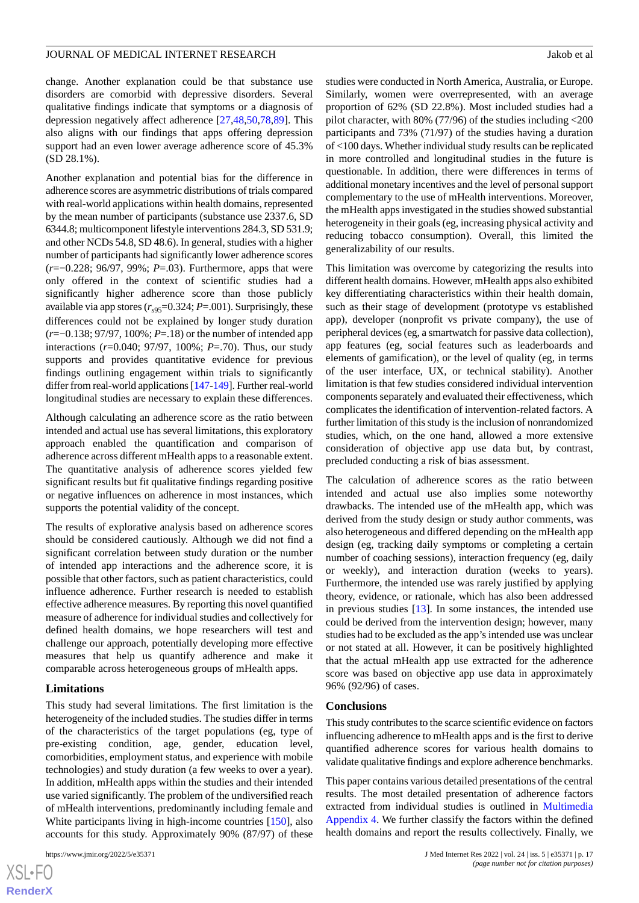change. Another explanation could be that substance use disorders are comorbid with depressive disorders. Several qualitative findings indicate that symptoms or a diagnosis of depression negatively affect adherence [[27,](#page-19-17)[48,](#page-20-14)[50](#page-20-13)[,78](#page-22-1),[89\]](#page-22-14). This also aligns with our findings that apps offering depression support had an even lower average adherence score of 45.3% (SD 28.1%).

Another explanation and potential bias for the difference in adherence scores are asymmetric distributions of trials compared with real-world applications within health domains, represented by the mean number of participants (substance use 2337.6, SD 6344.8; multicomponent lifestyle interventions 284.3, SD 531.9; and other NCDs 54.8, SD 48.6). In general, studies with a higher number of participants had significantly lower adherence scores (*r*=−0.228; 96/97, 99%; *P*=.03). Furthermore, apps that were only offered in the context of scientific studies had a significantly higher adherence score than those publicly available via app stores  $(r_{s95}=0.324; P=.001)$ . Surprisingly, these differences could not be explained by longer study duration (*r*=−0.138; 97/97, 100%; *P*=.18) or the number of intended app interactions (*r*=0.040; 97/97, 100%; *P*=.70). Thus, our study supports and provides quantitative evidence for previous findings outlining engagement within trials to significantly differ from real-world applications [[147](#page-25-4)-[149](#page-25-5)]. Further real-world longitudinal studies are necessary to explain these differences.

Although calculating an adherence score as the ratio between intended and actual use has several limitations, this exploratory approach enabled the quantification and comparison of adherence across different mHealth apps to a reasonable extent. The quantitative analysis of adherence scores yielded few significant results but fit qualitative findings regarding positive or negative influences on adherence in most instances, which supports the potential validity of the concept.

The results of explorative analysis based on adherence scores should be considered cautiously. Although we did not find a significant correlation between study duration or the number of intended app interactions and the adherence score, it is possible that other factors, such as patient characteristics, could influence adherence. Further research is needed to establish effective adherence measures. By reporting this novel quantified measure of adherence for individual studies and collectively for defined health domains, we hope researchers will test and challenge our approach, potentially developing more effective measures that help us quantify adherence and make it comparable across heterogeneous groups of mHealth apps.

#### **Limitations**

This study had several limitations. The first limitation is the heterogeneity of the included studies. The studies differ in terms of the characteristics of the target populations (eg, type of pre-existing condition, age, gender, education level, comorbidities, employment status, and experience with mobile technologies) and study duration (a few weeks to over a year). In addition, mHealth apps within the studies and their intended use varied significantly. The problem of the undiversified reach of mHealth interventions, predominantly including female and White participants living in high-income countries [[150\]](#page-25-6), also accounts for this study. Approximately 90% (87/97) of these

studies were conducted in North America, Australia, or Europe. Similarly, women were overrepresented, with an average proportion of 62% (SD 22.8%). Most included studies had a pilot character, with 80% (77/96) of the studies including <200 participants and 73% (71/97) of the studies having a duration of <100 days. Whether individual study results can be replicated in more controlled and longitudinal studies in the future is questionable. In addition, there were differences in terms of additional monetary incentives and the level of personal support complementary to the use of mHealth interventions. Moreover, the mHealth apps investigated in the studies showed substantial heterogeneity in their goals (eg, increasing physical activity and reducing tobacco consumption). Overall, this limited the generalizability of our results.

This limitation was overcome by categorizing the results into different health domains. However, mHealth apps also exhibited key differentiating characteristics within their health domain, such as their stage of development (prototype vs established app), developer (nonprofit vs private company), the use of peripheral devices (eg, a smartwatch for passive data collection), app features (eg, social features such as leaderboards and elements of gamification), or the level of quality (eg, in terms of the user interface, UX, or technical stability). Another limitation is that few studies considered individual intervention components separately and evaluated their effectiveness, which complicates the identification of intervention-related factors. A further limitation of this study is the inclusion of nonrandomized studies, which, on the one hand, allowed a more extensive consideration of objective app use data but, by contrast, precluded conducting a risk of bias assessment.

The calculation of adherence scores as the ratio between intended and actual use also implies some noteworthy drawbacks. The intended use of the mHealth app, which was derived from the study design or study author comments, was also heterogeneous and differed depending on the mHealth app design (eg, tracking daily symptoms or completing a certain number of coaching sessions), interaction frequency (eg, daily or weekly), and interaction duration (weeks to years). Furthermore, the intended use was rarely justified by applying theory, evidence, or rationale, which has also been addressed in previous studies  $[13]$  $[13]$ . In some instances, the intended use could be derived from the intervention design; however, many studies had to be excluded as the app's intended use was unclear or not stated at all. However, it can be positively highlighted that the actual mHealth app use extracted for the adherence score was based on objective app use data in approximately 96% (92/96) of cases.

#### **Conclusions**

This study contributes to the scarce scientific evidence on factors influencing adherence to mHealth apps and is the first to derive quantified adherence scores for various health domains to validate qualitative findings and explore adherence benchmarks.

This paper contains various detailed presentations of the central results. The most detailed presentation of adherence factors extracted from individual studies is outlined in [Multimedia](#page-18-16) [Appendix 4.](#page-18-16) We further classify the factors within the defined health domains and report the results collectively. Finally, we

```
XSL•FO
RenderX
```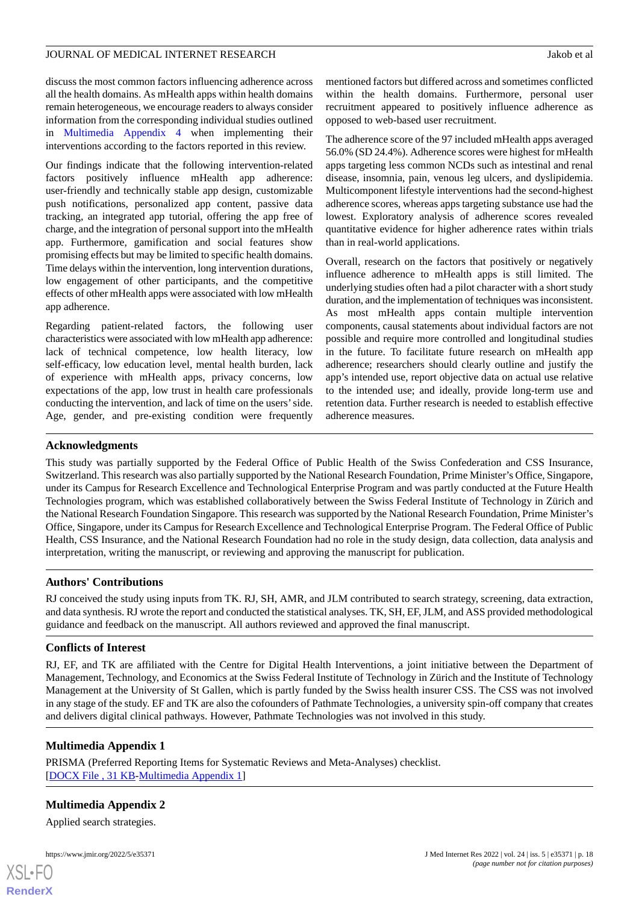discuss the most common factors influencing adherence across all the health domains. As mHealth apps within health domains remain heterogeneous, we encourage readers to always consider information from the corresponding individual studies outlined in [Multimedia Appendix 4](#page-18-16) when implementing their interventions according to the factors reported in this review.

Our findings indicate that the following intervention-related factors positively influence mHealth app adherence: user-friendly and technically stable app design, customizable push notifications, personalized app content, passive data tracking, an integrated app tutorial, offering the app free of charge, and the integration of personal support into the mHealth app. Furthermore, gamification and social features show promising effects but may be limited to specific health domains. Time delays within the intervention, long intervention durations, low engagement of other participants, and the competitive effects of other mHealth apps were associated with low mHealth app adherence.

Regarding patient-related factors, the following user characteristics were associated with low mHealth app adherence: lack of technical competence, low health literacy, low self-efficacy, low education level, mental health burden, lack of experience with mHealth apps, privacy concerns, low expectations of the app, low trust in health care professionals conducting the intervention, and lack of time on the users'side. Age, gender, and pre-existing condition were frequently

mentioned factors but differed across and sometimes conflicted within the health domains. Furthermore, personal user recruitment appeared to positively influence adherence as opposed to web-based user recruitment.

The adherence score of the 97 included mHealth apps averaged 56.0% (SD 24.4%). Adherence scores were highest for mHealth apps targeting less common NCDs such as intestinal and renal disease, insomnia, pain, venous leg ulcers, and dyslipidemia. Multicomponent lifestyle interventions had the second-highest adherence scores, whereas apps targeting substance use had the lowest. Exploratory analysis of adherence scores revealed quantitative evidence for higher adherence rates within trials than in real-world applications.

Overall, research on the factors that positively or negatively influence adherence to mHealth apps is still limited. The underlying studies often had a pilot character with a short study duration, and the implementation of techniques was inconsistent. As most mHealth apps contain multiple intervention components, causal statements about individual factors are not possible and require more controlled and longitudinal studies in the future. To facilitate future research on mHealth app adherence; researchers should clearly outline and justify the app's intended use, report objective data on actual use relative to the intended use; and ideally, provide long-term use and retention data. Further research is needed to establish effective adherence measures.

# **Acknowledgments**

This study was partially supported by the Federal Office of Public Health of the Swiss Confederation and CSS Insurance, Switzerland. This research was also partially supported by the National Research Foundation, Prime Minister's Office, Singapore, under its Campus for Research Excellence and Technological Enterprise Program and was partly conducted at the Future Health Technologies program, which was established collaboratively between the Swiss Federal Institute of Technology in Zürich and the National Research Foundation Singapore. This research was supported by the National Research Foundation, Prime Minister's Office, Singapore, under its Campus for Research Excellence and Technological Enterprise Program. The Federal Office of Public Health, CSS Insurance, and the National Research Foundation had no role in the study design, data collection, data analysis and interpretation, writing the manuscript, or reviewing and approving the manuscript for publication.

# **Authors' Contributions**

RJ conceived the study using inputs from TK. RJ, SH, AMR, and JLM contributed to search strategy, screening, data extraction, and data synthesis. RJ wrote the report and conducted the statistical analyses. TK, SH, EF, JLM, and ASS provided methodological guidance and feedback on the manuscript. All authors reviewed and approved the final manuscript.

# **Conflicts of Interest**

<span id="page-17-0"></span>RJ, EF, and TK are affiliated with the Centre for Digital Health Interventions, a joint initiative between the Department of Management, Technology, and Economics at the Swiss Federal Institute of Technology in Zürich and the Institute of Technology Management at the University of St Gallen, which is partly funded by the Swiss health insurer CSS. The CSS was not involved in any stage of the study. EF and TK are also the cofounders of Pathmate Technologies, a university spin-off company that creates and delivers digital clinical pathways. However, Pathmate Technologies was not involved in this study.

# <span id="page-17-1"></span>**Multimedia Appendix 1**

PRISMA (Preferred Reporting Items for Systematic Reviews and Meta-Analyses) checklist. [[DOCX File , 31 KB](https://jmir.org/api/download?alt_name=jmir_v24i5e35371_app1.docx&filename=4580e2543d3337cd43a34879d19dcb49.docx)-[Multimedia Appendix 1\]](https://jmir.org/api/download?alt_name=jmir_v24i5e35371_app1.docx&filename=4580e2543d3337cd43a34879d19dcb49.docx)

# **Multimedia Appendix 2**

Applied search strategies.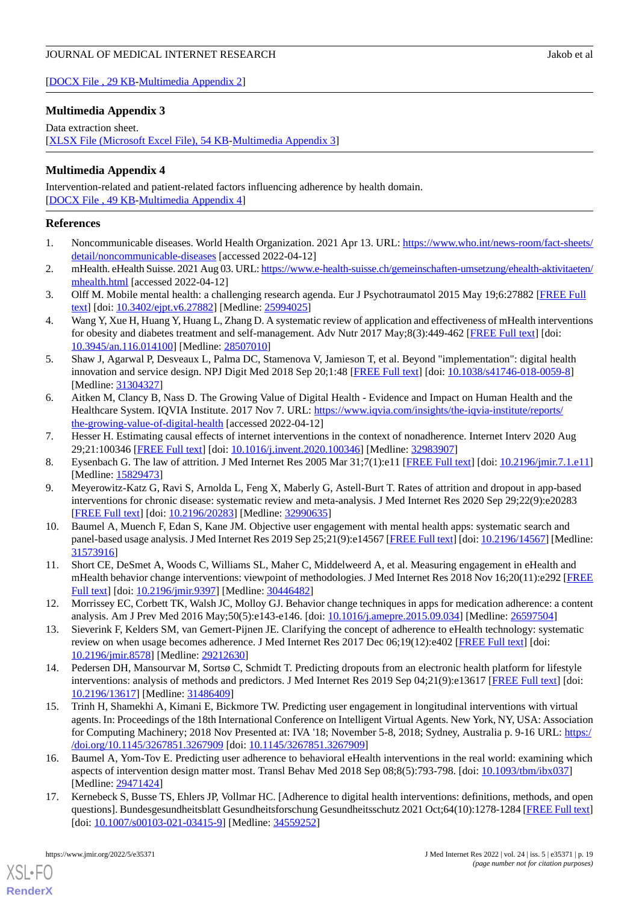[[DOCX File , 29 KB](https://jmir.org/api/download?alt_name=jmir_v24i5e35371_app2.docx&filename=bd5cec6c3bae2a2dc080d6f76f216807.docx)-[Multimedia Appendix 2\]](https://jmir.org/api/download?alt_name=jmir_v24i5e35371_app2.docx&filename=bd5cec6c3bae2a2dc080d6f76f216807.docx)

# <span id="page-18-15"></span>**Multimedia Appendix 3**

Data extraction sheet. [[XLSX File \(Microsoft Excel File\), 54 KB](https://jmir.org/api/download?alt_name=jmir_v24i5e35371_app3.xlsx&filename=30a5ff63d67861a7add375b42cf8dfe2.xlsx)-[Multimedia Appendix 3\]](https://jmir.org/api/download?alt_name=jmir_v24i5e35371_app3.xlsx&filename=30a5ff63d67861a7add375b42cf8dfe2.xlsx)

# <span id="page-18-16"></span>**Multimedia Appendix 4**

Intervention-related and patient-related factors influencing adherence by health domain. [[DOCX File , 49 KB](https://jmir.org/api/download?alt_name=jmir_v24i5e35371_app4.docx&filename=a2a41d6e328cb8dac2ae4f2733afaab8.docx)-[Multimedia Appendix 4\]](https://jmir.org/api/download?alt_name=jmir_v24i5e35371_app4.docx&filename=a2a41d6e328cb8dac2ae4f2733afaab8.docx)

# <span id="page-18-0"></span>**References**

- <span id="page-18-1"></span>1. Noncommunicable diseases. World Health Organization. 2021 Apr 13. URL: [https://www.who.int/news-room/fact-sheets/](https://www.who.int/news-room/fact-sheets/detail/noncommunicable-diseases) [detail/noncommunicable-diseases](https://www.who.int/news-room/fact-sheets/detail/noncommunicable-diseases) [accessed 2022-04-12]
- <span id="page-18-2"></span>2. mHealth. eHealth Suisse. 2021 Aug 03. URL: [https://www.e-health-suisse.ch/gemeinschaften-umsetzung/ehealth-aktivitaeten/](https://www.e-health-suisse.ch/gemeinschaften-umsetzung/ehealth-aktivitaeten/mhealth.html) [mhealth.html](https://www.e-health-suisse.ch/gemeinschaften-umsetzung/ehealth-aktivitaeten/mhealth.html) [accessed 2022-04-12]
- 3. Olff M. Mobile mental health: a challenging research agenda. Eur J Psychotraumatol 2015 May 19;6:27882 [\[FREE Full](http://europepmc.org/abstract/MED/25994025) [text](http://europepmc.org/abstract/MED/25994025)] [doi: [10.3402/ejpt.v6.27882\]](http://dx.doi.org/10.3402/ejpt.v6.27882) [Medline: [25994025\]](http://www.ncbi.nlm.nih.gov/entrez/query.fcgi?cmd=Retrieve&db=PubMed&list_uids=25994025&dopt=Abstract)
- <span id="page-18-3"></span>4. Wang Y, Xue H, Huang Y, Huang L, Zhang D. A systematic review of application and effectiveness of mHealth interventions for obesity and diabetes treatment and self-management. Adv Nutr 2017 May;8(3):449-462 [\[FREE Full text](http://europepmc.org/abstract/MED/28507010)] [doi: [10.3945/an.116.014100](http://dx.doi.org/10.3945/an.116.014100)] [Medline: [28507010](http://www.ncbi.nlm.nih.gov/entrez/query.fcgi?cmd=Retrieve&db=PubMed&list_uids=28507010&dopt=Abstract)]
- <span id="page-18-4"></span>5. Shaw J, Agarwal P, Desveaux L, Palma DC, Stamenova V, Jamieson T, et al. Beyond "implementation": digital health innovation and service design. NPJ Digit Med 2018 Sep 20;1:48 [[FREE Full text](https://doi.org/10.1038/s41746-018-0059-8)] [doi: [10.1038/s41746-018-0059-8\]](http://dx.doi.org/10.1038/s41746-018-0059-8) [Medline: [31304327](http://www.ncbi.nlm.nih.gov/entrez/query.fcgi?cmd=Retrieve&db=PubMed&list_uids=31304327&dopt=Abstract)]
- <span id="page-18-6"></span><span id="page-18-5"></span>6. Aitken M, Clancy B, Nass D. The Growing Value of Digital Health - Evidence and Impact on Human Health and the Healthcare System. IQVIA Institute. 2017 Nov 7. URL: [https://www.iqvia.com/insights/the-iqvia-institute/reports/](https://www.iqvia.com/insights/the-iqvia-institute/reports/the-growing-value-of-digital-health) [the-growing-value-of-digital-health](https://www.iqvia.com/insights/the-iqvia-institute/reports/the-growing-value-of-digital-health) [accessed 2022-04-12]
- <span id="page-18-7"></span>7. Hesser H. Estimating causal effects of internet interventions in the context of nonadherence. Internet Interv 2020 Aug 29;21:100346 [[FREE Full text](https://linkinghub.elsevier.com/retrieve/pii/S2214-7829(20)30112-3)] [doi: [10.1016/j.invent.2020.100346\]](http://dx.doi.org/10.1016/j.invent.2020.100346) [Medline: [32983907](http://www.ncbi.nlm.nih.gov/entrez/query.fcgi?cmd=Retrieve&db=PubMed&list_uids=32983907&dopt=Abstract)]
- <span id="page-18-8"></span>8. Eysenbach G. The law of attrition. J Med Internet Res 2005 Mar 31;7(1):e11 [[FREE Full text\]](https://www.jmir.org/2005/1/e11/) [doi: [10.2196/jmir.7.1.e11](http://dx.doi.org/10.2196/jmir.7.1.e11)] [Medline: [15829473](http://www.ncbi.nlm.nih.gov/entrez/query.fcgi?cmd=Retrieve&db=PubMed&list_uids=15829473&dopt=Abstract)]
- 9. Meyerowitz-Katz G, Ravi S, Arnolda L, Feng X, Maberly G, Astell-Burt T. Rates of attrition and dropout in app-based interventions for chronic disease: systematic review and meta-analysis. J Med Internet Res 2020 Sep 29;22(9):e20283 [[FREE Full text](https://www.jmir.org/2020/9/e20283/)] [doi: [10.2196/20283\]](http://dx.doi.org/10.2196/20283) [Medline: [32990635\]](http://www.ncbi.nlm.nih.gov/entrez/query.fcgi?cmd=Retrieve&db=PubMed&list_uids=32990635&dopt=Abstract)
- <span id="page-18-10"></span><span id="page-18-9"></span>10. Baumel A, Muench F, Edan S, Kane JM. Objective user engagement with mental health apps: systematic search and panel-based usage analysis. J Med Internet Res 2019 Sep 25;21(9):e14567 [\[FREE Full text](https://www.jmir.org/2019/9/e14567/)] [doi: [10.2196/14567](http://dx.doi.org/10.2196/14567)] [Medline: [31573916](http://www.ncbi.nlm.nih.gov/entrez/query.fcgi?cmd=Retrieve&db=PubMed&list_uids=31573916&dopt=Abstract)]
- <span id="page-18-12"></span>11. Short CE, DeSmet A, Woods C, Williams SL, Maher C, Middelweerd A, et al. Measuring engagement in eHealth and mHealth behavior change interventions: viewpoint of methodologies. J Med Internet Res 2018 Nov 16;20(11):e292 [\[FREE](https://www.jmir.org/2018/11/e292/) [Full text\]](https://www.jmir.org/2018/11/e292/) [doi: [10.2196/jmir.9397](http://dx.doi.org/10.2196/jmir.9397)] [Medline: [30446482\]](http://www.ncbi.nlm.nih.gov/entrez/query.fcgi?cmd=Retrieve&db=PubMed&list_uids=30446482&dopt=Abstract)
- 12. Morrissey EC, Corbett TK, Walsh JC, Molloy GJ. Behavior change techniques in apps for medication adherence: a content analysis. Am J Prev Med 2016 May;50(5):e143-e146. [doi: [10.1016/j.amepre.2015.09.034](http://dx.doi.org/10.1016/j.amepre.2015.09.034)] [Medline: [26597504\]](http://www.ncbi.nlm.nih.gov/entrez/query.fcgi?cmd=Retrieve&db=PubMed&list_uids=26597504&dopt=Abstract)
- <span id="page-18-11"></span>13. Sieverink F, Kelders SM, van Gemert-Pijnen JE. Clarifying the concept of adherence to eHealth technology: systematic review on when usage becomes adherence. J Med Internet Res 2017 Dec 06;19(12):e402 [[FREE Full text](https://www.jmir.org/2017/12/e402/)] [doi: [10.2196/jmir.8578](http://dx.doi.org/10.2196/jmir.8578)] [Medline: [29212630](http://www.ncbi.nlm.nih.gov/entrez/query.fcgi?cmd=Retrieve&db=PubMed&list_uids=29212630&dopt=Abstract)]
- <span id="page-18-13"></span>14. Pedersen DH, Mansourvar M, Sortsø C, Schmidt T. Predicting dropouts from an electronic health platform for lifestyle interventions: analysis of methods and predictors. J Med Internet Res 2019 Sep 04;21(9):e13617 [\[FREE Full text\]](https://www.jmir.org/2019/9/e13617/) [doi: [10.2196/13617\]](http://dx.doi.org/10.2196/13617) [Medline: [31486409\]](http://www.ncbi.nlm.nih.gov/entrez/query.fcgi?cmd=Retrieve&db=PubMed&list_uids=31486409&dopt=Abstract)
- <span id="page-18-14"></span>15. Trinh H, Shamekhi A, Kimani E, Bickmore TW. Predicting user engagement in longitudinal interventions with virtual agents. In: Proceedings of the 18th International Conference on Intelligent Virtual Agents. New York, NY, USA: Association for Computing Machinery; 2018 Nov Presented at: IVA '18; November 5-8, 2018; Sydney, Australia p. 9-16 URL: [https:/](https://doi.org/10.1145/3267851.3267909) [/doi.org/10.1145/3267851.3267909](https://doi.org/10.1145/3267851.3267909) [doi: [10.1145/3267851.3267909\]](http://dx.doi.org/10.1145/3267851.3267909)
- 16. Baumel A, Yom-Tov E. Predicting user adherence to behavioral eHealth interventions in the real world: examining which aspects of intervention design matter most. Transl Behav Med 2018 Sep 08;8(5):793-798. [doi: [10.1093/tbm/ibx037](http://dx.doi.org/10.1093/tbm/ibx037)] [Medline: [29471424](http://www.ncbi.nlm.nih.gov/entrez/query.fcgi?cmd=Retrieve&db=PubMed&list_uids=29471424&dopt=Abstract)]
- 17. Kernebeck S, Busse TS, Ehlers JP, Vollmar HC. [Adherence to digital health interventions: definitions, methods, and open questions]. Bundesgesundheitsblatt Gesundheitsforschung Gesundheitsschutz 2021 Oct;64(10):1278-1284 [[FREE Full text\]](http://europepmc.org/abstract/MED/34559252) [doi: [10.1007/s00103-021-03415-9](http://dx.doi.org/10.1007/s00103-021-03415-9)] [Medline: [34559252\]](http://www.ncbi.nlm.nih.gov/entrez/query.fcgi?cmd=Retrieve&db=PubMed&list_uids=34559252&dopt=Abstract)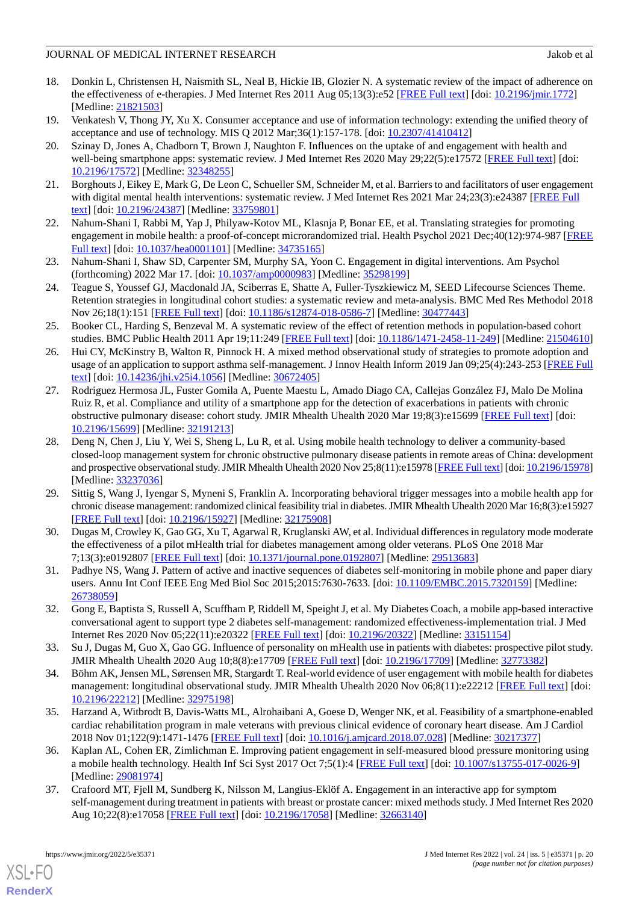- <span id="page-19-0"></span>18. Donkin L, Christensen H, Naismith SL, Neal B, Hickie IB, Glozier N. A systematic review of the impact of adherence on the effectiveness of e-therapies. J Med Internet Res 2011 Aug 05;13(3):e52 [\[FREE Full text](https://www.jmir.org/2011/3/e52/)] [doi: [10.2196/jmir.1772\]](http://dx.doi.org/10.2196/jmir.1772) [Medline: [21821503](http://www.ncbi.nlm.nih.gov/entrez/query.fcgi?cmd=Retrieve&db=PubMed&list_uids=21821503&dopt=Abstract)]
- <span id="page-19-2"></span><span id="page-19-1"></span>19. Venkatesh V, Thong JY, Xu X. Consumer acceptance and use of information technology: extending the unified theory of acceptance and use of technology. MIS Q 2012 Mar;36(1):157-178. [doi: [10.2307/41410412\]](http://dx.doi.org/10.2307/41410412)
- 20. Szinay D, Jones A, Chadborn T, Brown J, Naughton F. Influences on the uptake of and engagement with health and well-being smartphone apps: systematic review. J Med Internet Res 2020 May 29;22(5):e17572 [\[FREE Full text\]](https://www.jmir.org/2020/5/e17572/) [doi: [10.2196/17572\]](http://dx.doi.org/10.2196/17572) [Medline: [32348255\]](http://www.ncbi.nlm.nih.gov/entrez/query.fcgi?cmd=Retrieve&db=PubMed&list_uids=32348255&dopt=Abstract)
- <span id="page-19-4"></span>21. Borghouts J, Eikey E, Mark G, De Leon C, Schueller SM, Schneider M, et al. Barriers to and facilitators of user engagement with digital mental health interventions: systematic review. J Med Internet Res 2021 Mar 24;23(3):e24387 [\[FREE Full](https://www.jmir.org/2021/3/e24387/) [text](https://www.jmir.org/2021/3/e24387/)] [doi: [10.2196/24387\]](http://dx.doi.org/10.2196/24387) [Medline: [33759801\]](http://www.ncbi.nlm.nih.gov/entrez/query.fcgi?cmd=Retrieve&db=PubMed&list_uids=33759801&dopt=Abstract)
- <span id="page-19-3"></span>22. Nahum-Shani I, Rabbi M, Yap J, Philyaw-Kotov ML, Klasnja P, Bonar EE, et al. Translating strategies for promoting engagement in mobile health: a proof-of-concept microrandomized trial. Health Psychol 2021 Dec;40(12):974-987 [\[FREE](http://europepmc.org/abstract/MED/34735165) [Full text\]](http://europepmc.org/abstract/MED/34735165) [doi: [10.1037/hea0001101](http://dx.doi.org/10.1037/hea0001101)] [Medline: [34735165](http://www.ncbi.nlm.nih.gov/entrez/query.fcgi?cmd=Retrieve&db=PubMed&list_uids=34735165&dopt=Abstract)]
- <span id="page-19-5"></span>23. Nahum-Shani I, Shaw SD, Carpenter SM, Murphy SA, Yoon C. Engagement in digital interventions. Am Psychol (forthcoming) 2022 Mar 17. [doi: [10.1037/amp0000983\]](http://dx.doi.org/10.1037/amp0000983) [Medline: [35298199](http://www.ncbi.nlm.nih.gov/entrez/query.fcgi?cmd=Retrieve&db=PubMed&list_uids=35298199&dopt=Abstract)]
- <span id="page-19-6"></span>24. Teague S, Youssef GJ, Macdonald JA, Sciberras E, Shatte A, Fuller-Tyszkiewicz M, SEED Lifecourse Sciences Theme. Retention strategies in longitudinal cohort studies: a systematic review and meta-analysis. BMC Med Res Methodol 2018 Nov 26;18(1):151 [\[FREE Full text\]](https://bmcmedresmethodol.biomedcentral.com/articles/10.1186/s12874-018-0586-7) [doi: [10.1186/s12874-018-0586-7\]](http://dx.doi.org/10.1186/s12874-018-0586-7) [Medline: [30477443\]](http://www.ncbi.nlm.nih.gov/entrez/query.fcgi?cmd=Retrieve&db=PubMed&list_uids=30477443&dopt=Abstract)
- <span id="page-19-7"></span>25. Booker CL, Harding S, Benzeval M. A systematic review of the effect of retention methods in population-based cohort studies. BMC Public Health 2011 Apr 19;11:249 [[FREE Full text\]](https://bmcpublichealth.biomedcentral.com/articles/10.1186/1471-2458-11-249) [doi: [10.1186/1471-2458-11-249](http://dx.doi.org/10.1186/1471-2458-11-249)] [Medline: [21504610](http://www.ncbi.nlm.nih.gov/entrez/query.fcgi?cmd=Retrieve&db=PubMed&list_uids=21504610&dopt=Abstract)]
- <span id="page-19-17"></span>26. Hui CY, McKinstry B, Walton R, Pinnock H. A mixed method observational study of strategies to promote adoption and usage of an application to support asthma self-management. J Innov Health Inform 2019 Jan 09;25(4):243-253 [\[FREE Full](https://informatics.bmj.com/lookup/pmidlookup?view=long&pmid=30672405) [text](https://informatics.bmj.com/lookup/pmidlookup?view=long&pmid=30672405)] [doi: [10.14236/jhi.v25i4.1056](http://dx.doi.org/10.14236/jhi.v25i4.1056)] [Medline: [30672405\]](http://www.ncbi.nlm.nih.gov/entrez/query.fcgi?cmd=Retrieve&db=PubMed&list_uids=30672405&dopt=Abstract)
- <span id="page-19-11"></span>27. Rodriguez Hermosa JL, Fuster Gomila A, Puente Maestu L, Amado Diago CA, Callejas González FJ, Malo De Molina Ruiz R, et al. Compliance and utility of a smartphone app for the detection of exacerbations in patients with chronic obstructive pulmonary disease: cohort study. JMIR Mhealth Uhealth 2020 Mar 19;8(3):e15699 [[FREE Full text\]](https://mhealth.jmir.org/2020/3/e15699/) [doi: [10.2196/15699\]](http://dx.doi.org/10.2196/15699) [Medline: [32191213\]](http://www.ncbi.nlm.nih.gov/entrez/query.fcgi?cmd=Retrieve&db=PubMed&list_uids=32191213&dopt=Abstract)
- <span id="page-19-8"></span>28. Deng N, Chen J, Liu Y, Wei S, Sheng L, Lu R, et al. Using mobile health technology to deliver a community-based closed-loop management system for chronic obstructive pulmonary disease patients in remote areas of China: development and prospective observational study. JMIR Mhealth Uhealth 2020 Nov 25;8(11):e15978 [\[FREE Full text\]](https://mhealth.jmir.org/2020/11/e15978/) [doi: [10.2196/15978](http://dx.doi.org/10.2196/15978)] [Medline: [33237036](http://www.ncbi.nlm.nih.gov/entrez/query.fcgi?cmd=Retrieve&db=PubMed&list_uids=33237036&dopt=Abstract)]
- <span id="page-19-18"></span>29. Sittig S, Wang J, Iyengar S, Myneni S, Franklin A. Incorporating behavioral trigger messages into a mobile health app for chronic disease management: randomized clinical feasibility trial in diabetes. JMIR Mhealth Uhealth 2020 Mar 16;8(3):e15927 [[FREE Full text](https://mhealth.jmir.org/2020/3/e15927/)] [doi: [10.2196/15927\]](http://dx.doi.org/10.2196/15927) [Medline: [32175908\]](http://www.ncbi.nlm.nih.gov/entrez/query.fcgi?cmd=Retrieve&db=PubMed&list_uids=32175908&dopt=Abstract)
- <span id="page-19-15"></span><span id="page-19-14"></span>30. Dugas M, Crowley K, Gao GG, Xu T, Agarwal R, Kruglanski AW, et al. Individual differences in regulatory mode moderate the effectiveness of a pilot mHealth trial for diabetes management among older veterans. PLoS One 2018 Mar 7;13(3):e0192807 [\[FREE Full text](https://dx.plos.org/10.1371/journal.pone.0192807)] [doi: [10.1371/journal.pone.0192807\]](http://dx.doi.org/10.1371/journal.pone.0192807) [Medline: [29513683](http://www.ncbi.nlm.nih.gov/entrez/query.fcgi?cmd=Retrieve&db=PubMed&list_uids=29513683&dopt=Abstract)]
- <span id="page-19-16"></span>31. Padhye NS, Wang J. Pattern of active and inactive sequences of diabetes self-monitoring in mobile phone and paper diary users. Annu Int Conf IEEE Eng Med Biol Soc 2015;2015:7630-7633. [doi: [10.1109/EMBC.2015.7320159\]](http://dx.doi.org/10.1109/EMBC.2015.7320159) [Medline: [26738059](http://www.ncbi.nlm.nih.gov/entrez/query.fcgi?cmd=Retrieve&db=PubMed&list_uids=26738059&dopt=Abstract)]
- <span id="page-19-9"></span>32. Gong E, Baptista S, Russell A, Scuffham P, Riddell M, Speight J, et al. My Diabetes Coach, a mobile app-based interactive conversational agent to support type 2 diabetes self-management: randomized effectiveness-implementation trial. J Med Internet Res 2020 Nov 05;22(11):e20322 [\[FREE Full text\]](https://www.jmir.org/2020/11/e20322/) [doi: [10.2196/20322](http://dx.doi.org/10.2196/20322)] [Medline: [33151154\]](http://www.ncbi.nlm.nih.gov/entrez/query.fcgi?cmd=Retrieve&db=PubMed&list_uids=33151154&dopt=Abstract)
- <span id="page-19-12"></span>33. Su J, Dugas M, Guo X, Gao GG. Influence of personality on mHealth use in patients with diabetes: prospective pilot study. JMIR Mhealth Uhealth 2020 Aug 10;8(8):e17709 [[FREE Full text\]](https://mhealth.jmir.org/2020/8/e17709/) [doi: [10.2196/17709](http://dx.doi.org/10.2196/17709)] [Medline: [32773382](http://www.ncbi.nlm.nih.gov/entrez/query.fcgi?cmd=Retrieve&db=PubMed&list_uids=32773382&dopt=Abstract)]
- <span id="page-19-13"></span>34. Böhm AK, Jensen ML, Sørensen MR, Stargardt T. Real-world evidence of user engagement with mobile health for diabetes management: longitudinal observational study. JMIR Mhealth Uhealth 2020 Nov 06;8(11):e22212 [[FREE Full text](https://mhealth.jmir.org/2020/11/e22212/)] [doi: [10.2196/22212\]](http://dx.doi.org/10.2196/22212) [Medline: [32975198\]](http://www.ncbi.nlm.nih.gov/entrez/query.fcgi?cmd=Retrieve&db=PubMed&list_uids=32975198&dopt=Abstract)
- <span id="page-19-10"></span>35. Harzand A, Witbrodt B, Davis-Watts ML, Alrohaibani A, Goese D, Wenger NK, et al. Feasibility of a smartphone-enabled cardiac rehabilitation program in male veterans with previous clinical evidence of coronary heart disease. Am J Cardiol 2018 Nov 01;122(9):1471-1476 [[FREE Full text](http://europepmc.org/abstract/MED/30217377)] [doi: [10.1016/j.amjcard.2018.07.028\]](http://dx.doi.org/10.1016/j.amjcard.2018.07.028) [Medline: [30217377\]](http://www.ncbi.nlm.nih.gov/entrez/query.fcgi?cmd=Retrieve&db=PubMed&list_uids=30217377&dopt=Abstract)
- 36. Kaplan AL, Cohen ER, Zimlichman E. Improving patient engagement in self-measured blood pressure monitoring using a mobile health technology. Health Inf Sci Syst 2017 Oct 7;5(1):4 [\[FREE Full text\]](http://europepmc.org/abstract/MED/29081974) [doi: [10.1007/s13755-017-0026-9](http://dx.doi.org/10.1007/s13755-017-0026-9)] [Medline: [29081974](http://www.ncbi.nlm.nih.gov/entrez/query.fcgi?cmd=Retrieve&db=PubMed&list_uids=29081974&dopt=Abstract)]
- 37. Crafoord MT, Fjell M, Sundberg K, Nilsson M, Langius-Eklöf A. Engagement in an interactive app for symptom self-management during treatment in patients with breast or prostate cancer: mixed methods study. J Med Internet Res 2020 Aug 10;22(8):e17058 [[FREE Full text](https://www.jmir.org/2020/8/e17058/)] [doi: [10.2196/17058\]](http://dx.doi.org/10.2196/17058) [Medline: [32663140](http://www.ncbi.nlm.nih.gov/entrez/query.fcgi?cmd=Retrieve&db=PubMed&list_uids=32663140&dopt=Abstract)]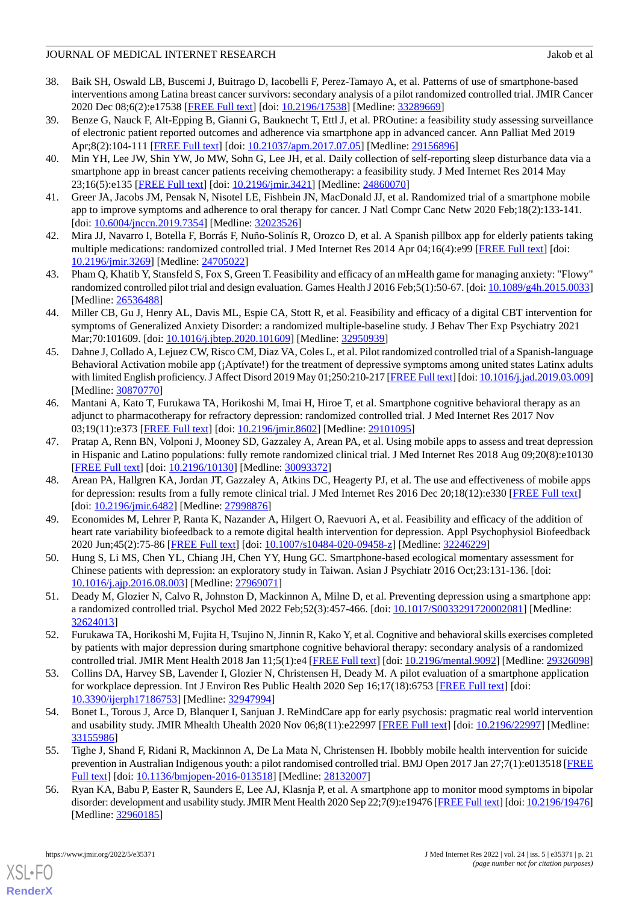- <span id="page-20-7"></span>38. Baik SH, Oswald LB, Buscemi J, Buitrago D, Iacobelli F, Perez-Tamayo A, et al. Patterns of use of smartphone-based interventions among Latina breast cancer survivors: secondary analysis of a pilot randomized controlled trial. JMIR Cancer 2020 Dec 08;6(2):e17538 [\[FREE Full text\]](https://cancer.jmir.org/2020/2/e17538/) [doi: [10.2196/17538](http://dx.doi.org/10.2196/17538)] [Medline: [33289669\]](http://www.ncbi.nlm.nih.gov/entrez/query.fcgi?cmd=Retrieve&db=PubMed&list_uids=33289669&dopt=Abstract)
- <span id="page-20-8"></span>39. Benze G, Nauck F, Alt-Epping B, Gianni G, Bauknecht T, Ettl J, et al. PROutine: a feasibility study assessing surveillance of electronic patient reported outcomes and adherence via smartphone app in advanced cancer. Ann Palliat Med 2019 Apr;8(2):104-111 [\[FREE Full text\]](https://doi.org/10.21037/apm.2017.07.05) [doi: [10.21037/apm.2017.07.05](http://dx.doi.org/10.21037/apm.2017.07.05)] [Medline: [29156896\]](http://www.ncbi.nlm.nih.gov/entrez/query.fcgi?cmd=Retrieve&db=PubMed&list_uids=29156896&dopt=Abstract)
- <span id="page-20-9"></span>40. Min YH, Lee JW, Shin YW, Jo MW, Sohn G, Lee JH, et al. Daily collection of self-reporting sleep disturbance data via a smartphone app in breast cancer patients receiving chemotherapy: a feasibility study. J Med Internet Res 2014 May 23;16(5):e135 [\[FREE Full text](https://www.jmir.org/2014/5/e135/)] [doi: [10.2196/jmir.3421](http://dx.doi.org/10.2196/jmir.3421)] [Medline: [24860070](http://www.ncbi.nlm.nih.gov/entrez/query.fcgi?cmd=Retrieve&db=PubMed&list_uids=24860070&dopt=Abstract)]
- <span id="page-20-1"></span><span id="page-20-0"></span>41. Greer JA, Jacobs JM, Pensak N, Nisotel LE, Fishbein JN, MacDonald JJ, et al. Randomized trial of a smartphone mobile app to improve symptoms and adherence to oral therapy for cancer. J Natl Compr Canc Netw 2020 Feb;18(2):133-141. [doi: [10.6004/jnccn.2019.7354\]](http://dx.doi.org/10.6004/jnccn.2019.7354) [Medline: [32023526\]](http://www.ncbi.nlm.nih.gov/entrez/query.fcgi?cmd=Retrieve&db=PubMed&list_uids=32023526&dopt=Abstract)
- <span id="page-20-2"></span>42. Mira JJ, Navarro I, Botella F, Borrás F, Nuño-Solinís R, Orozco D, et al. A Spanish pillbox app for elderly patients taking multiple medications: randomized controlled trial. J Med Internet Res 2014 Apr 04;16(4):e99 [\[FREE Full text\]](https://www.jmir.org/2014/4/e99/) [doi: [10.2196/jmir.3269](http://dx.doi.org/10.2196/jmir.3269)] [Medline: [24705022](http://www.ncbi.nlm.nih.gov/entrez/query.fcgi?cmd=Retrieve&db=PubMed&list_uids=24705022&dopt=Abstract)]
- <span id="page-20-3"></span>43. Pham Q, Khatib Y, Stansfeld S, Fox S, Green T. Feasibility and efficacy of an mHealth game for managing anxiety: "Flowy" randomized controlled pilot trial and design evaluation. Games Health J 2016 Feb;5(1):50-67. [doi: [10.1089/g4h.2015.0033\]](http://dx.doi.org/10.1089/g4h.2015.0033) [Medline: [26536488](http://www.ncbi.nlm.nih.gov/entrez/query.fcgi?cmd=Retrieve&db=PubMed&list_uids=26536488&dopt=Abstract)]
- <span id="page-20-4"></span>44. Miller CB, Gu J, Henry AL, Davis ML, Espie CA, Stott R, et al. Feasibility and efficacy of a digital CBT intervention for symptoms of Generalized Anxiety Disorder: a randomized multiple-baseline study. J Behav Ther Exp Psychiatry 2021 Mar;70:101609. [doi: [10.1016/j.jbtep.2020.101609\]](http://dx.doi.org/10.1016/j.jbtep.2020.101609) [Medline: [32950939](http://www.ncbi.nlm.nih.gov/entrez/query.fcgi?cmd=Retrieve&db=PubMed&list_uids=32950939&dopt=Abstract)]
- 45. Dahne J, Collado A, Lejuez CW, Risco CM, Diaz VA, Coles L, et al. Pilot randomized controlled trial of a Spanish-language Behavioral Activation mobile app (¡Aptívate!) for the treatment of depressive symptoms among united states Latinx adults with limited English proficiency. J Affect Disord 2019 May 01;250:210-217 [[FREE Full text\]](http://europepmc.org/abstract/MED/30870770) [doi: [10.1016/j.jad.2019.03.009\]](http://dx.doi.org/10.1016/j.jad.2019.03.009) [Medline: [30870770](http://www.ncbi.nlm.nih.gov/entrez/query.fcgi?cmd=Retrieve&db=PubMed&list_uids=30870770&dopt=Abstract)]
- <span id="page-20-12"></span>46. Mantani A, Kato T, Furukawa TA, Horikoshi M, Imai H, Hiroe T, et al. Smartphone cognitive behavioral therapy as an adjunct to pharmacotherapy for refractory depression: randomized controlled trial. J Med Internet Res 2017 Nov 03;19(11):e373 [\[FREE Full text](https://www.jmir.org/2017/11/e373/)] [doi: [10.2196/jmir.8602\]](http://dx.doi.org/10.2196/jmir.8602) [Medline: [29101095](http://www.ncbi.nlm.nih.gov/entrez/query.fcgi?cmd=Retrieve&db=PubMed&list_uids=29101095&dopt=Abstract)]
- <span id="page-20-14"></span>47. Pratap A, Renn BN, Volponi J, Mooney SD, Gazzaley A, Arean PA, et al. Using mobile apps to assess and treat depression in Hispanic and Latino populations: fully remote randomized clinical trial. J Med Internet Res 2018 Aug 09;20(8):e10130 [[FREE Full text](https://www.jmir.org/2018/8/e10130/)] [doi: [10.2196/10130\]](http://dx.doi.org/10.2196/10130) [Medline: [30093372\]](http://www.ncbi.nlm.nih.gov/entrez/query.fcgi?cmd=Retrieve&db=PubMed&list_uids=30093372&dopt=Abstract)
- <span id="page-20-10"></span>48. Arean PA, Hallgren KA, Jordan JT, Gazzaley A, Atkins DC, Heagerty PJ, et al. The use and effectiveness of mobile apps for depression: results from a fully remote clinical trial. J Med Internet Res 2016 Dec 20;18(12):e330 [[FREE Full text](https://www.jmir.org/2016/12/e330/)] [doi: [10.2196/jmir.6482\]](http://dx.doi.org/10.2196/jmir.6482) [Medline: [27998876\]](http://www.ncbi.nlm.nih.gov/entrez/query.fcgi?cmd=Retrieve&db=PubMed&list_uids=27998876&dopt=Abstract)
- <span id="page-20-15"></span><span id="page-20-13"></span>49. Economides M, Lehrer P, Ranta K, Nazander A, Hilgert O, Raevuori A, et al. Feasibility and efficacy of the addition of heart rate variability biofeedback to a remote digital health intervention for depression. Appl Psychophysiol Biofeedback 2020 Jun;45(2):75-86 [\[FREE Full text\]](http://europepmc.org/abstract/MED/32246229) [doi: [10.1007/s10484-020-09458-z\]](http://dx.doi.org/10.1007/s10484-020-09458-z) [Medline: [32246229](http://www.ncbi.nlm.nih.gov/entrez/query.fcgi?cmd=Retrieve&db=PubMed&list_uids=32246229&dopt=Abstract)]
- <span id="page-20-11"></span>50. Hung S, Li MS, Chen YL, Chiang JH, Chen YY, Hung GC. Smartphone-based ecological momentary assessment for Chinese patients with depression: an exploratory study in Taiwan. Asian J Psychiatr 2016 Oct;23:131-136. [doi: [10.1016/j.ajp.2016.08.003\]](http://dx.doi.org/10.1016/j.ajp.2016.08.003) [Medline: [27969071\]](http://www.ncbi.nlm.nih.gov/entrez/query.fcgi?cmd=Retrieve&db=PubMed&list_uids=27969071&dopt=Abstract)
- <span id="page-20-5"></span>51. Deady M, Glozier N, Calvo R, Johnston D, Mackinnon A, Milne D, et al. Preventing depression using a smartphone app: a randomized controlled trial. Psychol Med 2022 Feb;52(3):457-466. [doi: [10.1017/S0033291720002081\]](http://dx.doi.org/10.1017/S0033291720002081) [Medline: [32624013](http://www.ncbi.nlm.nih.gov/entrez/query.fcgi?cmd=Retrieve&db=PubMed&list_uids=32624013&dopt=Abstract)]
- <span id="page-20-6"></span>52. Furukawa TA, Horikoshi M, Fujita H, Tsujino N, Jinnin R, Kako Y, et al. Cognitive and behavioral skills exercises completed by patients with major depression during smartphone cognitive behavioral therapy: secondary analysis of a randomized controlled trial. JMIR Ment Health 2018 Jan 11;5(1):e4 [\[FREE Full text](https://mental.jmir.org/2018/1/e4/)] [doi: [10.2196/mental.9092](http://dx.doi.org/10.2196/mental.9092)] [Medline: [29326098](http://www.ncbi.nlm.nih.gov/entrez/query.fcgi?cmd=Retrieve&db=PubMed&list_uids=29326098&dopt=Abstract)]
- <span id="page-20-17"></span>53. Collins DA, Harvey SB, Lavender I, Glozier N, Christensen H, Deady M. A pilot evaluation of a smartphone application for workplace depression. Int J Environ Res Public Health 2020 Sep 16;17(18):6753 [[FREE Full text](https://www.mdpi.com/resolver?pii=ijerph17186753)] [doi: [10.3390/ijerph17186753](http://dx.doi.org/10.3390/ijerph17186753)] [Medline: [32947994\]](http://www.ncbi.nlm.nih.gov/entrez/query.fcgi?cmd=Retrieve&db=PubMed&list_uids=32947994&dopt=Abstract)
- <span id="page-20-16"></span>54. Bonet L, Torous J, Arce D, Blanquer I, Sanjuan J. ReMindCare app for early psychosis: pragmatic real world intervention and usability study. JMIR Mhealth Uhealth 2020 Nov 06;8(11):e22997 [\[FREE Full text\]](https://mhealth.jmir.org/2020/11/e22997/) [doi: [10.2196/22997](http://dx.doi.org/10.2196/22997)] [Medline: [33155986](http://www.ncbi.nlm.nih.gov/entrez/query.fcgi?cmd=Retrieve&db=PubMed&list_uids=33155986&dopt=Abstract)]
- 55. Tighe J, Shand F, Ridani R, Mackinnon A, De La Mata N, Christensen H. Ibobbly mobile health intervention for suicide prevention in Australian Indigenous youth: a pilot randomised controlled trial. BMJ Open 2017 Jan 27;7(1):e013518 [\[FREE](https://bmjopen.bmj.com/lookup/pmidlookup?view=long&pmid=28132007) [Full text\]](https://bmjopen.bmj.com/lookup/pmidlookup?view=long&pmid=28132007) [doi: [10.1136/bmjopen-2016-013518](http://dx.doi.org/10.1136/bmjopen-2016-013518)] [Medline: [28132007\]](http://www.ncbi.nlm.nih.gov/entrez/query.fcgi?cmd=Retrieve&db=PubMed&list_uids=28132007&dopt=Abstract)
- 56. Ryan KA, Babu P, Easter R, Saunders E, Lee AJ, Klasnja P, et al. A smartphone app to monitor mood symptoms in bipolar disorder: development and usability study. JMIR Ment Health 2020 Sep 22;7(9):e19476 [[FREE Full text\]](https://mental.jmir.org/2020/9/e19476/) [doi: [10.2196/19476\]](http://dx.doi.org/10.2196/19476) [Medline: [32960185](http://www.ncbi.nlm.nih.gov/entrez/query.fcgi?cmd=Retrieve&db=PubMed&list_uids=32960185&dopt=Abstract)]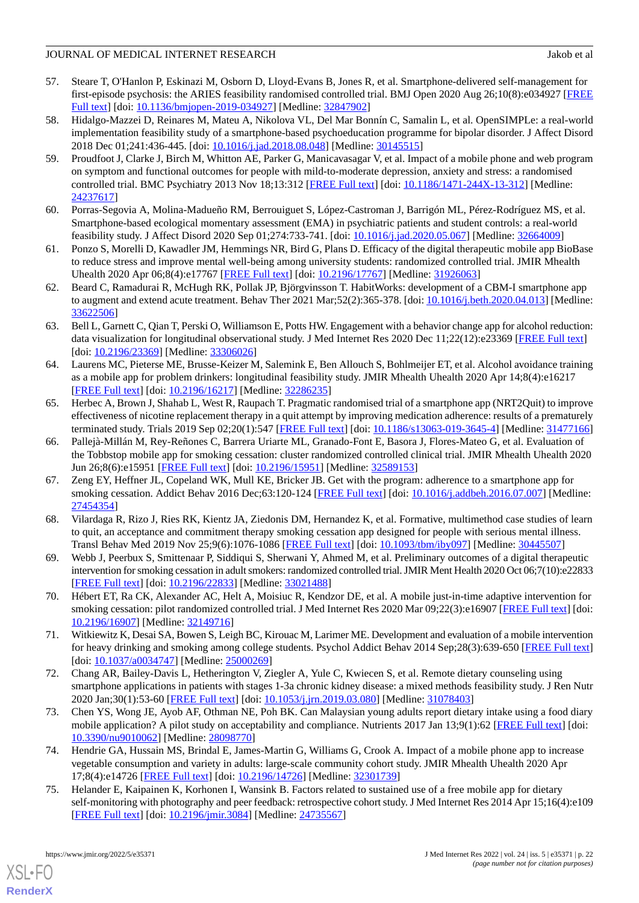- <span id="page-21-9"></span>57. Steare T, O'Hanlon P, Eskinazi M, Osborn D, Lloyd-Evans B, Jones R, et al. Smartphone-delivered self-management for first-episode psychosis: the ARIES feasibility randomised controlled trial. BMJ Open 2020 Aug 26;10(8):e034927 [\[FREE](https://bmjopen.bmj.com/lookup/pmidlookup?view=long&pmid=32847902) [Full text\]](https://bmjopen.bmj.com/lookup/pmidlookup?view=long&pmid=32847902) [doi: [10.1136/bmjopen-2019-034927](http://dx.doi.org/10.1136/bmjopen-2019-034927)] [Medline: [32847902\]](http://www.ncbi.nlm.nih.gov/entrez/query.fcgi?cmd=Retrieve&db=PubMed&list_uids=32847902&dopt=Abstract)
- <span id="page-21-7"></span>58. Hidalgo-Mazzei D, Reinares M, Mateu A, Nikolova VL, Del Mar Bonnín C, Samalin L, et al. OpenSIMPLe: a real-world implementation feasibility study of a smartphone-based psychoeducation programme for bipolar disorder. J Affect Disord 2018 Dec 01;241:436-445. [doi: [10.1016/j.jad.2018.08.048](http://dx.doi.org/10.1016/j.jad.2018.08.048)] [Medline: [30145515\]](http://www.ncbi.nlm.nih.gov/entrez/query.fcgi?cmd=Retrieve&db=PubMed&list_uids=30145515&dopt=Abstract)
- 59. Proudfoot J, Clarke J, Birch M, Whitton AE, Parker G, Manicavasagar V, et al. Impact of a mobile phone and web program on symptom and functional outcomes for people with mild-to-moderate depression, anxiety and stress: a randomised controlled trial. BMC Psychiatry 2013 Nov 18;13:312 [[FREE Full text](https://bmcpsychiatry.biomedcentral.com/articles/10.1186/1471-244X-13-312)] [doi: [10.1186/1471-244X-13-312\]](http://dx.doi.org/10.1186/1471-244X-13-312) [Medline: [24237617](http://www.ncbi.nlm.nih.gov/entrez/query.fcgi?cmd=Retrieve&db=PubMed&list_uids=24237617&dopt=Abstract)]
- <span id="page-21-10"></span><span id="page-21-8"></span>60. Porras-Segovia A, Molina-Madueño RM, Berrouiguet S, López-Castroman J, Barrigón ML, Pérez-Rodríguez MS, et al. Smartphone-based ecological momentary assessment (EMA) in psychiatric patients and student controls: a real-world feasibility study. J Affect Disord 2020 Sep 01;274:733-741. [doi: [10.1016/j.jad.2020.05.067](http://dx.doi.org/10.1016/j.jad.2020.05.067)] [Medline: [32664009](http://www.ncbi.nlm.nih.gov/entrez/query.fcgi?cmd=Retrieve&db=PubMed&list_uids=32664009&dopt=Abstract)]
- <span id="page-21-0"></span>61. Ponzo S, Morelli D, Kawadler JM, Hemmings NR, Bird G, Plans D. Efficacy of the digital therapeutic mobile app BioBase to reduce stress and improve mental well-being among university students: randomized controlled trial. JMIR Mhealth Uhealth 2020 Apr 06;8(4):e17767 [[FREE Full text](https://mhealth.jmir.org/2020/4/e17767/)] [doi: [10.2196/17767\]](http://dx.doi.org/10.2196/17767) [Medline: [31926063](http://www.ncbi.nlm.nih.gov/entrez/query.fcgi?cmd=Retrieve&db=PubMed&list_uids=31926063&dopt=Abstract)]
- <span id="page-21-1"></span>62. Beard C, Ramadurai R, McHugh RK, Pollak JP, Björgvinsson T. HabitWorks: development of a CBM-I smartphone app to augment and extend acute treatment. Behav Ther 2021 Mar;52(2):365-378. [doi: [10.1016/j.beth.2020.04.013\]](http://dx.doi.org/10.1016/j.beth.2020.04.013) [Medline: [33622506](http://www.ncbi.nlm.nih.gov/entrez/query.fcgi?cmd=Retrieve&db=PubMed&list_uids=33622506&dopt=Abstract)]
- <span id="page-21-3"></span>63. Bell L, Garnett C, Qian T, Perski O, Williamson E, Potts HW. Engagement with a behavior change app for alcohol reduction: data visualization for longitudinal observational study. J Med Internet Res 2020 Dec 11;22(12):e23369 [\[FREE Full text\]](https://www.jmir.org/2020/12/e23369/) [doi: [10.2196/23369](http://dx.doi.org/10.2196/23369)] [Medline: [33306026\]](http://www.ncbi.nlm.nih.gov/entrez/query.fcgi?cmd=Retrieve&db=PubMed&list_uids=33306026&dopt=Abstract)
- <span id="page-21-4"></span>64. Laurens MC, Pieterse ME, Brusse-Keizer M, Salemink E, Ben Allouch S, Bohlmeijer ET, et al. Alcohol avoidance training as a mobile app for problem drinkers: longitudinal feasibility study. JMIR Mhealth Uhealth 2020 Apr 14;8(4):e16217 [[FREE Full text](https://mhealth.jmir.org/2020/4/e16217/)] [doi: [10.2196/16217\]](http://dx.doi.org/10.2196/16217) [Medline: [32286235\]](http://www.ncbi.nlm.nih.gov/entrez/query.fcgi?cmd=Retrieve&db=PubMed&list_uids=32286235&dopt=Abstract)
- <span id="page-21-14"></span>65. Herbec A, Brown J, Shahab L, West R, Raupach T. Pragmatic randomised trial of a smartphone app (NRT2Quit) to improve effectiveness of nicotine replacement therapy in a quit attempt by improving medication adherence: results of a prematurely terminated study. Trials 2019 Sep 02;20(1):547 [[FREE Full text\]](https://trialsjournal.biomedcentral.com/articles/10.1186/s13063-019-3645-4) [doi: [10.1186/s13063-019-3645-4\]](http://dx.doi.org/10.1186/s13063-019-3645-4) [Medline: [31477166](http://www.ncbi.nlm.nih.gov/entrez/query.fcgi?cmd=Retrieve&db=PubMed&list_uids=31477166&dopt=Abstract)]
- <span id="page-21-13"></span>66. Pallejà-Millán M, Rey-Reñones C, Barrera Uriarte ML, Granado-Font E, Basora J, Flores-Mateo G, et al. Evaluation of the Tobbstop mobile app for smoking cessation: cluster randomized controlled clinical trial. JMIR Mhealth Uhealth 2020 Jun 26;8(6):e15951 [\[FREE Full text\]](https://mhealth.jmir.org/2020/6/e15951/) [doi: [10.2196/15951](http://dx.doi.org/10.2196/15951)] [Medline: [32589153](http://www.ncbi.nlm.nih.gov/entrez/query.fcgi?cmd=Retrieve&db=PubMed&list_uids=32589153&dopt=Abstract)]
- <span id="page-21-12"></span>67. Zeng EY, Heffner JL, Copeland WK, Mull KE, Bricker JB. Get with the program: adherence to a smartphone app for smoking cessation. Addict Behav 2016 Dec;63:120-124 [\[FREE Full text](http://europepmc.org/abstract/MED/27454354)] [doi: [10.1016/j.addbeh.2016.07.007\]](http://dx.doi.org/10.1016/j.addbeh.2016.07.007) [Medline: [27454354](http://www.ncbi.nlm.nih.gov/entrez/query.fcgi?cmd=Retrieve&db=PubMed&list_uids=27454354&dopt=Abstract)]
- <span id="page-21-11"></span><span id="page-21-5"></span>68. Vilardaga R, Rizo J, Ries RK, Kientz JA, Ziedonis DM, Hernandez K, et al. Formative, multimethod case studies of learn to quit, an acceptance and commitment therapy smoking cessation app designed for people with serious mental illness. Transl Behav Med 2019 Nov 25;9(6):1076-1086 [\[FREE Full text\]](http://europepmc.org/abstract/MED/30445507) [doi: [10.1093/tbm/iby097](http://dx.doi.org/10.1093/tbm/iby097)] [Medline: [30445507](http://www.ncbi.nlm.nih.gov/entrez/query.fcgi?cmd=Retrieve&db=PubMed&list_uids=30445507&dopt=Abstract)]
- <span id="page-21-2"></span>69. Webb J, Peerbux S, Smittenaar P, Siddiqui S, Sherwani Y, Ahmed M, et al. Preliminary outcomes of a digital therapeutic intervention for smoking cessation in adult smokers: randomized controlled trial. JMIR Ment Health 2020 Oct 06;7(10):e22833 [[FREE Full text](https://mental.jmir.org/2020/10/e22833/)] [doi: [10.2196/22833\]](http://dx.doi.org/10.2196/22833) [Medline: [33021488\]](http://www.ncbi.nlm.nih.gov/entrez/query.fcgi?cmd=Retrieve&db=PubMed&list_uids=33021488&dopt=Abstract)
- <span id="page-21-6"></span>70. Hébert ET, Ra CK, Alexander AC, Helt A, Moisiuc R, Kendzor DE, et al. A mobile just-in-time adaptive intervention for smoking cessation: pilot randomized controlled trial. J Med Internet Res 2020 Mar 09;22(3):e16907 [[FREE Full text](https://www.jmir.org/2020/3/e16907/)] [doi: [10.2196/16907\]](http://dx.doi.org/10.2196/16907) [Medline: [32149716\]](http://www.ncbi.nlm.nih.gov/entrez/query.fcgi?cmd=Retrieve&db=PubMed&list_uids=32149716&dopt=Abstract)
- <span id="page-21-15"></span>71. Witkiewitz K, Desai SA, Bowen S, Leigh BC, Kirouac M, Larimer ME. Development and evaluation of a mobile intervention for heavy drinking and smoking among college students. Psychol Addict Behav 2014 Sep;28(3):639-650 [\[FREE Full text](http://europepmc.org/abstract/MED/25000269)] [doi: [10.1037/a0034747\]](http://dx.doi.org/10.1037/a0034747) [Medline: [25000269](http://www.ncbi.nlm.nih.gov/entrez/query.fcgi?cmd=Retrieve&db=PubMed&list_uids=25000269&dopt=Abstract)]
- <span id="page-21-16"></span>72. Chang AR, Bailey-Davis L, Hetherington V, Ziegler A, Yule C, Kwiecen S, et al. Remote dietary counseling using smartphone applications in patients with stages 1-3a chronic kidney disease: a mixed methods feasibility study. J Ren Nutr 2020 Jan;30(1):53-60 [[FREE Full text](http://europepmc.org/abstract/MED/31078403)] [doi: [10.1053/j.jrn.2019.03.080](http://dx.doi.org/10.1053/j.jrn.2019.03.080)] [Medline: [31078403](http://www.ncbi.nlm.nih.gov/entrez/query.fcgi?cmd=Retrieve&db=PubMed&list_uids=31078403&dopt=Abstract)]
- <span id="page-21-17"></span>73. Chen YS, Wong JE, Ayob AF, Othman NE, Poh BK. Can Malaysian young adults report dietary intake using a food diary mobile application? A pilot study on acceptability and compliance. Nutrients 2017 Jan 13;9(1):62 [\[FREE Full text\]](https://www.mdpi.com/resolver?pii=nu9010062) [doi: [10.3390/nu9010062\]](http://dx.doi.org/10.3390/nu9010062) [Medline: [28098770\]](http://www.ncbi.nlm.nih.gov/entrez/query.fcgi?cmd=Retrieve&db=PubMed&list_uids=28098770&dopt=Abstract)
- 74. Hendrie GA, Hussain MS, Brindal E, James-Martin G, Williams G, Crook A. Impact of a mobile phone app to increase vegetable consumption and variety in adults: large-scale community cohort study. JMIR Mhealth Uhealth 2020 Apr 17;8(4):e14726 [\[FREE Full text](https://mhealth.jmir.org/2020/4/e14726/)] [doi: [10.2196/14726\]](http://dx.doi.org/10.2196/14726) [Medline: [32301739\]](http://www.ncbi.nlm.nih.gov/entrez/query.fcgi?cmd=Retrieve&db=PubMed&list_uids=32301739&dopt=Abstract)
- 75. Helander E, Kaipainen K, Korhonen I, Wansink B. Factors related to sustained use of a free mobile app for dietary self-monitoring with photography and peer feedback: retrospective cohort study. J Med Internet Res 2014 Apr 15;16(4):e109 [[FREE Full text](https://www.jmir.org/2014/4/e109/)] [doi: [10.2196/jmir.3084](http://dx.doi.org/10.2196/jmir.3084)] [Medline: [24735567](http://www.ncbi.nlm.nih.gov/entrez/query.fcgi?cmd=Retrieve&db=PubMed&list_uids=24735567&dopt=Abstract)]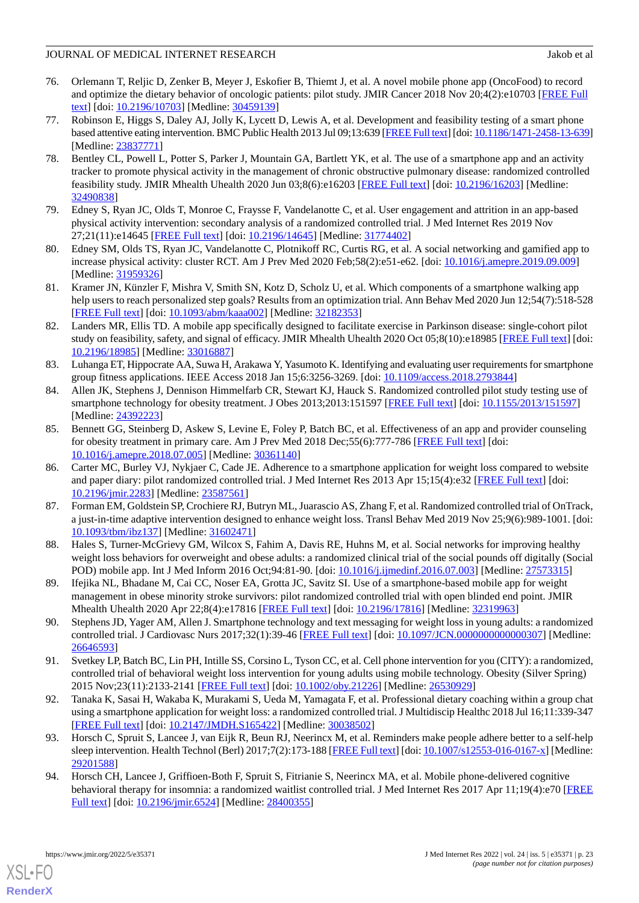- <span id="page-22-6"></span>76. Orlemann T, Reljic D, Zenker B, Meyer J, Eskofier B, Thiemt J, et al. A novel mobile phone app (OncoFood) to record and optimize the dietary behavior of oncologic patients: pilot study. JMIR Cancer 2018 Nov 20;4(2):e10703 [[FREE Full](https://cancer.jmir.org/2018/2/e10703/) [text](https://cancer.jmir.org/2018/2/e10703/)] [doi: [10.2196/10703\]](http://dx.doi.org/10.2196/10703) [Medline: [30459139\]](http://www.ncbi.nlm.nih.gov/entrez/query.fcgi?cmd=Retrieve&db=PubMed&list_uids=30459139&dopt=Abstract)
- <span id="page-22-0"></span>77. Robinson E, Higgs S, Daley AJ, Jolly K, Lycett D, Lewis A, et al. Development and feasibility testing of a smart phone based attentive eating intervention. BMC Public Health 2013 Jul 09;13:639 [\[FREE Full text\]](https://bmcpublichealth.biomedcentral.com/articles/10.1186/1471-2458-13-639) [doi: [10.1186/1471-2458-13-639\]](http://dx.doi.org/10.1186/1471-2458-13-639) [Medline: [23837771](http://www.ncbi.nlm.nih.gov/entrez/query.fcgi?cmd=Retrieve&db=PubMed&list_uids=23837771&dopt=Abstract)]
- <span id="page-22-1"></span>78. Bentley CL, Powell L, Potter S, Parker J, Mountain GA, Bartlett YK, et al. The use of a smartphone app and an activity tracker to promote physical activity in the management of chronic obstructive pulmonary disease: randomized controlled feasibility study. JMIR Mhealth Uhealth 2020 Jun 03;8(6):e16203 [[FREE Full text](https://mhealth.jmir.org/2020/6/e16203/)] [doi: [10.2196/16203\]](http://dx.doi.org/10.2196/16203) [Medline: [32490838](http://www.ncbi.nlm.nih.gov/entrez/query.fcgi?cmd=Retrieve&db=PubMed&list_uids=32490838&dopt=Abstract)]
- <span id="page-22-8"></span><span id="page-22-7"></span>79. Edney S, Ryan JC, Olds T, Monroe C, Fraysse F, Vandelanotte C, et al. User engagement and attrition in an app-based physical activity intervention: secondary analysis of a randomized controlled trial. J Med Internet Res 2019 Nov 27;21(11):e14645 [\[FREE Full text](https://www.jmir.org/2019/11/e14645/)] [doi: [10.2196/14645\]](http://dx.doi.org/10.2196/14645) [Medline: [31774402\]](http://www.ncbi.nlm.nih.gov/entrez/query.fcgi?cmd=Retrieve&db=PubMed&list_uids=31774402&dopt=Abstract)
- <span id="page-22-17"></span>80. Edney SM, Olds TS, Ryan JC, Vandelanotte C, Plotnikoff RC, Curtis RG, et al. A social networking and gamified app to increase physical activity: cluster RCT. Am J Prev Med 2020 Feb;58(2):e51-e62. [doi: [10.1016/j.amepre.2019.09.009\]](http://dx.doi.org/10.1016/j.amepre.2019.09.009) [Medline: [31959326](http://www.ncbi.nlm.nih.gov/entrez/query.fcgi?cmd=Retrieve&db=PubMed&list_uids=31959326&dopt=Abstract)]
- <span id="page-22-9"></span>81. Kramer JN, Künzler F, Mishra V, Smith SN, Kotz D, Scholz U, et al. Which components of a smartphone walking app help users to reach personalized step goals? Results from an optimization trial. Ann Behav Med 2020 Jun 12;54(7):518-528 [[FREE Full text](http://europepmc.org/abstract/MED/32182353)] [doi: [10.1093/abm/kaaa002](http://dx.doi.org/10.1093/abm/kaaa002)] [Medline: [32182353\]](http://www.ncbi.nlm.nih.gov/entrez/query.fcgi?cmd=Retrieve&db=PubMed&list_uids=32182353&dopt=Abstract)
- <span id="page-22-2"></span>82. Landers MR, Ellis TD. A mobile app specifically designed to facilitate exercise in Parkinson disease: single-cohort pilot study on feasibility, safety, and signal of efficacy. JMIR Mhealth Uhealth 2020 Oct 05;8(10):e18985 [[FREE Full text](https://mhealth.jmir.org/2020/10/e18985/)] [doi: [10.2196/18985\]](http://dx.doi.org/10.2196/18985) [Medline: [33016887\]](http://www.ncbi.nlm.nih.gov/entrez/query.fcgi?cmd=Retrieve&db=PubMed&list_uids=33016887&dopt=Abstract)
- <span id="page-22-3"></span>83. Luhanga ET, Hippocrate AA, Suwa H, Arakawa Y, Yasumoto K. Identifying and evaluating user requirements for smartphone group fitness applications. IEEE Access 2018 Jan 15;6:3256-3269. [doi: [10.1109/access.2018.2793844](http://dx.doi.org/10.1109/access.2018.2793844)]
- <span id="page-22-12"></span>84. Allen JK, Stephens J, Dennison Himmelfarb CR, Stewart KJ, Hauck S. Randomized controlled pilot study testing use of smartphone technology for obesity treatment. J Obes 2013;2013:151597 [[FREE Full text](https://doi.org/10.1155/2013/151597)] [doi: [10.1155/2013/151597\]](http://dx.doi.org/10.1155/2013/151597) [Medline: [24392223](http://www.ncbi.nlm.nih.gov/entrez/query.fcgi?cmd=Retrieve&db=PubMed&list_uids=24392223&dopt=Abstract)]
- <span id="page-22-15"></span>85. Bennett GG, Steinberg D, Askew S, Levine E, Foley P, Batch BC, et al. Effectiveness of an app and provider counseling for obesity treatment in primary care. Am J Prev Med 2018 Dec; 55(6): 777-786 [[FREE Full text](http://europepmc.org/abstract/MED/30361140)] [doi: [10.1016/j.amepre.2018.07.005](http://dx.doi.org/10.1016/j.amepre.2018.07.005)] [Medline: [30361140\]](http://www.ncbi.nlm.nih.gov/entrez/query.fcgi?cmd=Retrieve&db=PubMed&list_uids=30361140&dopt=Abstract)
- <span id="page-22-11"></span>86. Carter MC, Burley VJ, Nykjaer C, Cade JE. Adherence to a smartphone application for weight loss compared to website and paper diary: pilot randomized controlled trial. J Med Internet Res 2013 Apr 15;15(4):e32 [\[FREE Full text\]](https://www.jmir.org/2013/4/e32/) [doi: [10.2196/jmir.2283](http://dx.doi.org/10.2196/jmir.2283)] [Medline: [23587561](http://www.ncbi.nlm.nih.gov/entrez/query.fcgi?cmd=Retrieve&db=PubMed&list_uids=23587561&dopt=Abstract)]
- <span id="page-22-14"></span><span id="page-22-10"></span>87. Forman EM, Goldstein SP, Crochiere RJ, Butryn ML, Juarascio AS, Zhang F, et al. Randomized controlled trial of OnTrack, a just-in-time adaptive intervention designed to enhance weight loss. Transl Behav Med 2019 Nov 25;9(6):989-1001. [doi: [10.1093/tbm/ibz137](http://dx.doi.org/10.1093/tbm/ibz137)] [Medline: [31602471](http://www.ncbi.nlm.nih.gov/entrez/query.fcgi?cmd=Retrieve&db=PubMed&list_uids=31602471&dopt=Abstract)]
- <span id="page-22-18"></span>88. Hales S, Turner-McGrievy GM, Wilcox S, Fahim A, Davis RE, Huhns M, et al. Social networks for improving healthy weight loss behaviors for overweight and obese adults: a randomized clinical trial of the social pounds off digitally (Social POD) mobile app. Int J Med Inform 2016 Oct;94:81-90. [doi: [10.1016/j.ijmedinf.2016.07.003](http://dx.doi.org/10.1016/j.ijmedinf.2016.07.003)] [Medline: [27573315](http://www.ncbi.nlm.nih.gov/entrez/query.fcgi?cmd=Retrieve&db=PubMed&list_uids=27573315&dopt=Abstract)]
- <span id="page-22-13"></span>89. Ifejika NL, Bhadane M, Cai CC, Noser EA, Grotta JC, Savitz SI. Use of a smartphone-based mobile app for weight management in obese minority stroke survivors: pilot randomized controlled trial with open blinded end point. JMIR Mhealth Uhealth 2020 Apr 22;8(4):e17816 [[FREE Full text\]](https://mhealth.jmir.org/2020/4/e17816/) [doi: [10.2196/17816](http://dx.doi.org/10.2196/17816)] [Medline: [32319963](http://www.ncbi.nlm.nih.gov/entrez/query.fcgi?cmd=Retrieve&db=PubMed&list_uids=32319963&dopt=Abstract)]
- <span id="page-22-4"></span>90. Stephens JD, Yager AM, Allen J. Smartphone technology and text messaging for weight loss in young adults: a randomized controlled trial. J Cardiovasc Nurs 2017;32(1):39-46 [\[FREE Full text\]](http://europepmc.org/abstract/MED/26646593) [doi: 10.1097/JCN.00000000000000307] [Medline: [26646593](http://www.ncbi.nlm.nih.gov/entrez/query.fcgi?cmd=Retrieve&db=PubMed&list_uids=26646593&dopt=Abstract)]
- <span id="page-22-5"></span>91. Svetkey LP, Batch BC, Lin PH, Intille SS, Corsino L, Tyson CC, et al. Cell phone intervention for you (CITY): a randomized, controlled trial of behavioral weight loss intervention for young adults using mobile technology. Obesity (Silver Spring) 2015 Nov;23(11):2133-2141 [[FREE Full text\]](https://doi.org/10.1002/oby.21226) [doi: [10.1002/oby.21226](http://dx.doi.org/10.1002/oby.21226)] [Medline: [26530929](http://www.ncbi.nlm.nih.gov/entrez/query.fcgi?cmd=Retrieve&db=PubMed&list_uids=26530929&dopt=Abstract)]
- <span id="page-22-16"></span>92. Tanaka K, Sasai H, Wakaba K, Murakami S, Ueda M, Yamagata F, et al. Professional dietary coaching within a group chat using a smartphone application for weight loss: a randomized controlled trial. J Multidiscip Healthc 2018 Jul 16;11:339-347 [[FREE Full text](https://dx.doi.org/10.2147/JMDH.S165422)] [doi: [10.2147/JMDH.S165422](http://dx.doi.org/10.2147/JMDH.S165422)] [Medline: [30038502\]](http://www.ncbi.nlm.nih.gov/entrez/query.fcgi?cmd=Retrieve&db=PubMed&list_uids=30038502&dopt=Abstract)
- 93. Horsch C, Spruit S, Lancee J, van Eijk R, Beun RJ, Neerincx M, et al. Reminders make people adhere better to a self-help sleep intervention. Health Technol (Berl) 2017;7(2):173-188 [[FREE Full text\]](http://europepmc.org/abstract/MED/29201588) [doi: [10.1007/s12553-016-0167-x](http://dx.doi.org/10.1007/s12553-016-0167-x)] [Medline: [29201588](http://www.ncbi.nlm.nih.gov/entrez/query.fcgi?cmd=Retrieve&db=PubMed&list_uids=29201588&dopt=Abstract)]
- 94. Horsch CH, Lancee J, Griffioen-Both F, Spruit S, Fitrianie S, Neerincx MA, et al. Mobile phone-delivered cognitive behavioral therapy for insomnia: a randomized waitlist controlled trial. J Med Internet Res 2017 Apr 11;19(4):e70 [\[FREE](https://www.jmir.org/2017/4/e70/) [Full text\]](https://www.jmir.org/2017/4/e70/) [doi: [10.2196/jmir.6524](http://dx.doi.org/10.2196/jmir.6524)] [Medline: [28400355\]](http://www.ncbi.nlm.nih.gov/entrez/query.fcgi?cmd=Retrieve&db=PubMed&list_uids=28400355&dopt=Abstract)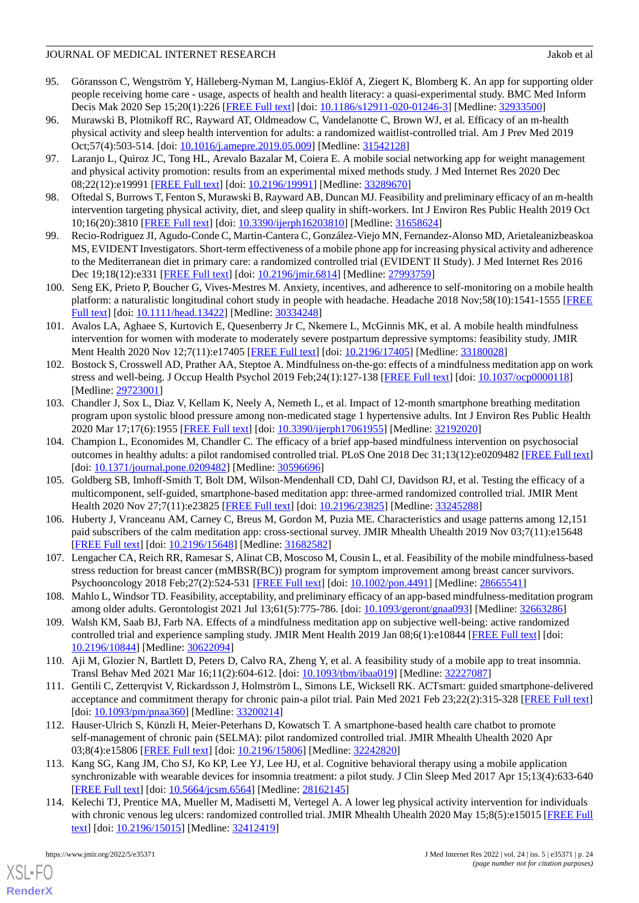- <span id="page-23-9"></span>95. Göransson C, Wengström Y, Hälleberg-Nyman M, Langius-Eklöf A, Ziegert K, Blomberg K. An app for supporting older people receiving home care - usage, aspects of health and health literacy: a quasi-experimental study. BMC Med Inform Decis Mak 2020 Sep 15;20(1):226 [[FREE Full text](https://bmcmedinformdecismak.biomedcentral.com/articles/10.1186/s12911-020-01246-3)] [doi: [10.1186/s12911-020-01246-3\]](http://dx.doi.org/10.1186/s12911-020-01246-3) [Medline: [32933500](http://www.ncbi.nlm.nih.gov/entrez/query.fcgi?cmd=Retrieve&db=PubMed&list_uids=32933500&dopt=Abstract)]
- 96. Murawski B, Plotnikoff RC, Rayward AT, Oldmeadow C, Vandelanotte C, Brown WJ, et al. Efficacy of an m-health physical activity and sleep health intervention for adults: a randomized waitlist-controlled trial. Am J Prev Med 2019 Oct;57(4):503-514. [doi: [10.1016/j.amepre.2019.05.009](http://dx.doi.org/10.1016/j.amepre.2019.05.009)] [Medline: [31542128](http://www.ncbi.nlm.nih.gov/entrez/query.fcgi?cmd=Retrieve&db=PubMed&list_uids=31542128&dopt=Abstract)]
- <span id="page-23-11"></span>97. Laranjo L, Quiroz JC, Tong HL, Arevalo Bazalar M, Coiera E. A mobile social networking app for weight management and physical activity promotion: results from an experimental mixed methods study. J Med Internet Res 2020 Dec 08;22(12):e19991 [\[FREE Full text](https://www.jmir.org/2020/12/e19991/)] [doi: [10.2196/19991\]](http://dx.doi.org/10.2196/19991) [Medline: [33289670\]](http://www.ncbi.nlm.nih.gov/entrez/query.fcgi?cmd=Retrieve&db=PubMed&list_uids=33289670&dopt=Abstract)
- <span id="page-23-10"></span>98. Oftedal S, Burrows T, Fenton S, Murawski B, Rayward AB, Duncan MJ. Feasibility and preliminary efficacy of an m-health intervention targeting physical activity, diet, and sleep quality in shift-workers. Int J Environ Res Public Health 2019 Oct 10;16(20):3810 [[FREE Full text\]](https://www.mdpi.com/resolver?pii=ijerph16203810) [doi: [10.3390/ijerph16203810\]](http://dx.doi.org/10.3390/ijerph16203810) [Medline: [31658624\]](http://www.ncbi.nlm.nih.gov/entrez/query.fcgi?cmd=Retrieve&db=PubMed&list_uids=31658624&dopt=Abstract)
- <span id="page-23-0"></span>99. Recio-Rodriguez JI, Agudo-Conde C, Martin-Cantera C, González-Viejo MN, Fernandez-Alonso MD, Arietaleanizbeaskoa MS, EVIDENT Investigators. Short-term effectiveness of a mobile phone app for increasing physical activity and adherence to the Mediterranean diet in primary care: a randomized controlled trial (EVIDENT II Study). J Med Internet Res 2016 Dec 19;18(12):e331 [[FREE Full text](https://www.jmir.org/2016/12/e331/)] [doi: [10.2196/jmir.6814](http://dx.doi.org/10.2196/jmir.6814)] [Medline: [27993759\]](http://www.ncbi.nlm.nih.gov/entrez/query.fcgi?cmd=Retrieve&db=PubMed&list_uids=27993759&dopt=Abstract)
- <span id="page-23-1"></span>100. Seng EK, Prieto P, Boucher G, Vives-Mestres M. Anxiety, incentives, and adherence to self-monitoring on a mobile health platform: a naturalistic longitudinal cohort study in people with headache. Headache 2018 Nov;58(10):1541-1555 [[FREE](http://europepmc.org/abstract/MED/30334248) [Full text\]](http://europepmc.org/abstract/MED/30334248) [doi: [10.1111/head.13422\]](http://dx.doi.org/10.1111/head.13422) [Medline: [30334248\]](http://www.ncbi.nlm.nih.gov/entrez/query.fcgi?cmd=Retrieve&db=PubMed&list_uids=30334248&dopt=Abstract)
- <span id="page-23-7"></span>101. Avalos LA, Aghaee S, Kurtovich E, Quesenberry Jr C, Nkemere L, McGinnis MK, et al. A mobile health mindfulness intervention for women with moderate to moderately severe postpartum depressive symptoms: feasibility study. JMIR Ment Health 2020 Nov 12;7(11):e17405 [[FREE Full text](https://mental.jmir.org/2020/11/e17405/)] [doi: [10.2196/17405\]](http://dx.doi.org/10.2196/17405) [Medline: [33180028\]](http://www.ncbi.nlm.nih.gov/entrez/query.fcgi?cmd=Retrieve&db=PubMed&list_uids=33180028&dopt=Abstract)
- <span id="page-23-5"></span>102. Bostock S, Crosswell AD, Prather AA, Steptoe A. Mindfulness on-the-go: effects of a mindfulness meditation app on work stress and well-being. J Occup Health Psychol 2019 Feb;24(1):127-138 [\[FREE Full text\]](http://europepmc.org/abstract/MED/29723001) [doi: [10.1037/ocp0000118](http://dx.doi.org/10.1037/ocp0000118)] [Medline: [29723001](http://www.ncbi.nlm.nih.gov/entrez/query.fcgi?cmd=Retrieve&db=PubMed&list_uids=29723001&dopt=Abstract)]
- <span id="page-23-16"></span>103. Chandler J, Sox L, Diaz V, Kellam K, Neely A, Nemeth L, et al. Impact of 12-month smartphone breathing meditation program upon systolic blood pressure among non-medicated stage 1 hypertensive adults. Int J Environ Res Public Health 2020 Mar 17;17(6):1955 [\[FREE Full text\]](https://www.mdpi.com/resolver?pii=ijerph17061955) [doi: [10.3390/ijerph17061955\]](http://dx.doi.org/10.3390/ijerph17061955) [Medline: [32192020](http://www.ncbi.nlm.nih.gov/entrez/query.fcgi?cmd=Retrieve&db=PubMed&list_uids=32192020&dopt=Abstract)]
- 104. Champion L, Economides M, Chandler C. The efficacy of a brief app-based mindfulness intervention on psychosocial outcomes in healthy adults: a pilot randomised controlled trial. PLoS One 2018 Dec 31;13(12):e0209482 [\[FREE Full text](https://dx.plos.org/10.1371/journal.pone.0209482)] [doi: [10.1371/journal.pone.0209482\]](http://dx.doi.org/10.1371/journal.pone.0209482) [Medline: [30596696\]](http://www.ncbi.nlm.nih.gov/entrez/query.fcgi?cmd=Retrieve&db=PubMed&list_uids=30596696&dopt=Abstract)
- <span id="page-23-4"></span>105. Goldberg SB, Imhoff-Smith T, Bolt DM, Wilson-Mendenhall CD, Dahl CJ, Davidson RJ, et al. Testing the efficacy of a multicomponent, self-guided, smartphone-based meditation app: three-armed randomized controlled trial. JMIR Ment Health 2020 Nov 27;7(11):e23825 [\[FREE Full text\]](https://mental.jmir.org/2020/11/e23825/) [doi: [10.2196/23825](http://dx.doi.org/10.2196/23825)] [Medline: [33245288\]](http://www.ncbi.nlm.nih.gov/entrez/query.fcgi?cmd=Retrieve&db=PubMed&list_uids=33245288&dopt=Abstract)
- <span id="page-23-8"></span><span id="page-23-6"></span>106. Huberty J, Vranceanu AM, Carney C, Breus M, Gordon M, Puzia ME. Characteristics and usage patterns among 12,151 paid subscribers of the calm meditation app: cross-sectional survey. JMIR Mhealth Uhealth 2019 Nov 03;7(11):e15648 [[FREE Full text](https://mhealth.jmir.org/2019/11/e15648/)] [doi: [10.2196/15648\]](http://dx.doi.org/10.2196/15648) [Medline: [31682582\]](http://www.ncbi.nlm.nih.gov/entrez/query.fcgi?cmd=Retrieve&db=PubMed&list_uids=31682582&dopt=Abstract)
- <span id="page-23-2"></span>107. Lengacher CA, Reich RR, Ramesar S, Alinat CB, Moscoso M, Cousin L, et al. Feasibility of the mobile mindfulness-based stress reduction for breast cancer (mMBSR(BC)) program for symptom improvement among breast cancer survivors. Psychooncology 2018 Feb;27(2):524-531 [\[FREE Full text](http://europepmc.org/abstract/MED/28665541)] [doi: [10.1002/pon.4491](http://dx.doi.org/10.1002/pon.4491)] [Medline: [28665541](http://www.ncbi.nlm.nih.gov/entrez/query.fcgi?cmd=Retrieve&db=PubMed&list_uids=28665541&dopt=Abstract)]
- <span id="page-23-3"></span>108. Mahlo L, Windsor TD. Feasibility, acceptability, and preliminary efficacy of an app-based mindfulness-meditation program among older adults. Gerontologist 2021 Jul 13;61(5):775-786. [doi: [10.1093/geront/gnaa093\]](http://dx.doi.org/10.1093/geront/gnaa093) [Medline: [32663286](http://www.ncbi.nlm.nih.gov/entrez/query.fcgi?cmd=Retrieve&db=PubMed&list_uids=32663286&dopt=Abstract)]
- <span id="page-23-13"></span>109. Walsh KM, Saab BJ, Farb NA. Effects of a mindfulness meditation app on subjective well-being: active randomized controlled trial and experience sampling study. JMIR Ment Health 2019 Jan 08;6(1):e10844 [[FREE Full text](https://mental.jmir.org/2019/1/e10844/)] [doi: [10.2196/10844\]](http://dx.doi.org/10.2196/10844) [Medline: [30622094\]](http://www.ncbi.nlm.nih.gov/entrez/query.fcgi?cmd=Retrieve&db=PubMed&list_uids=30622094&dopt=Abstract)
- <span id="page-23-14"></span>110. Aji M, Glozier N, Bartlett D, Peters D, Calvo RA, Zheng Y, et al. A feasibility study of a mobile app to treat insomnia. Transl Behav Med 2021 Mar 16;11(2):604-612. [doi: [10.1093/tbm/ibaa019\]](http://dx.doi.org/10.1093/tbm/ibaa019) [Medline: [32227087](http://www.ncbi.nlm.nih.gov/entrez/query.fcgi?cmd=Retrieve&db=PubMed&list_uids=32227087&dopt=Abstract)]
- <span id="page-23-12"></span>111. Gentili C, Zetterqvist V, Rickardsson J, Holmström L, Simons LE, Wicksell RK. ACTsmart: guided smartphone-delivered acceptance and commitment therapy for chronic pain-a pilot trial. Pain Med 2021 Feb 23;22(2):315-328 [[FREE Full text](http://europepmc.org/abstract/MED/33200214)] [doi: [10.1093/pm/pnaa360\]](http://dx.doi.org/10.1093/pm/pnaa360) [Medline: [33200214](http://www.ncbi.nlm.nih.gov/entrez/query.fcgi?cmd=Retrieve&db=PubMed&list_uids=33200214&dopt=Abstract)]
- <span id="page-23-15"></span>112. Hauser-Ulrich S, Künzli H, Meier-Peterhans D, Kowatsch T. A smartphone-based health care chatbot to promote self-management of chronic pain (SELMA): pilot randomized controlled trial. JMIR Mhealth Uhealth 2020 Apr 03;8(4):e15806 [\[FREE Full text](https://mhealth.jmir.org/2020/4/e15806/)] [doi: [10.2196/15806\]](http://dx.doi.org/10.2196/15806) [Medline: [32242820\]](http://www.ncbi.nlm.nih.gov/entrez/query.fcgi?cmd=Retrieve&db=PubMed&list_uids=32242820&dopt=Abstract)
- 113. Kang SG, Kang JM, Cho SJ, Ko KP, Lee YJ, Lee HJ, et al. Cognitive behavioral therapy using a mobile application synchronizable with wearable devices for insomnia treatment: a pilot study. J Clin Sleep Med 2017 Apr 15;13(4):633-640 [[FREE Full text](https://doi.org/10.5664/jcsm.6564)] [doi: [10.5664/jcsm.6564](http://dx.doi.org/10.5664/jcsm.6564)] [Medline: [28162145\]](http://www.ncbi.nlm.nih.gov/entrez/query.fcgi?cmd=Retrieve&db=PubMed&list_uids=28162145&dopt=Abstract)
- 114. Kelechi TJ, Prentice MA, Mueller M, Madisetti M, Vertegel A. A lower leg physical activity intervention for individuals with chronic venous leg ulcers: randomized controlled trial. JMIR Mhealth Uhealth 2020 May 15;8(5):e15015 [[FREE Full](https://mhealth.jmir.org/2020/5/e15015/) [text](https://mhealth.jmir.org/2020/5/e15015/)] [doi: [10.2196/15015\]](http://dx.doi.org/10.2196/15015) [Medline: [32412419\]](http://www.ncbi.nlm.nih.gov/entrez/query.fcgi?cmd=Retrieve&db=PubMed&list_uids=32412419&dopt=Abstract)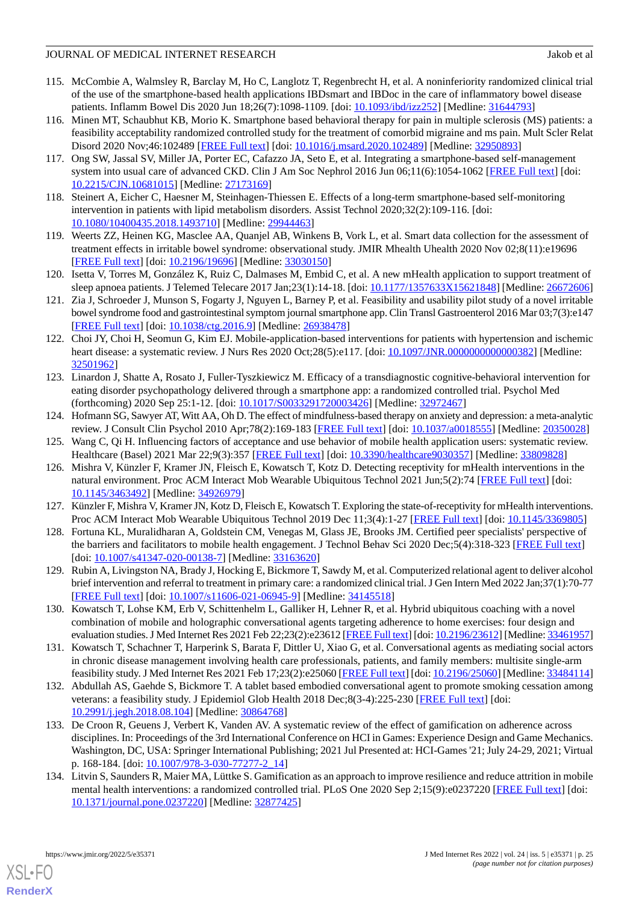- <span id="page-24-7"></span>115. McCombie A, Walmsley R, Barclay M, Ho C, Langlotz T, Regenbrecht H, et al. A noninferiority randomized clinical trial of the use of the smartphone-based health applications IBDsmart and IBDoc in the care of inflammatory bowel disease patients. Inflamm Bowel Dis 2020 Jun 18;26(7):1098-1109. [doi: [10.1093/ibd/izz252\]](http://dx.doi.org/10.1093/ibd/izz252) [Medline: [31644793](http://www.ncbi.nlm.nih.gov/entrez/query.fcgi?cmd=Retrieve&db=PubMed&list_uids=31644793&dopt=Abstract)]
- <span id="page-24-8"></span>116. Minen MT, Schaubhut KB, Morio K. Smartphone based behavioral therapy for pain in multiple sclerosis (MS) patients: a feasibility acceptability randomized controlled study for the treatment of comorbid migraine and ms pain. Mult Scler Relat Disord 2020 Nov;46:102489 [\[FREE Full text\]](http://europepmc.org/abstract/MED/32950893) [doi: [10.1016/j.msard.2020.102489\]](http://dx.doi.org/10.1016/j.msard.2020.102489) [Medline: [32950893\]](http://www.ncbi.nlm.nih.gov/entrez/query.fcgi?cmd=Retrieve&db=PubMed&list_uids=32950893&dopt=Abstract)
- <span id="page-24-6"></span><span id="page-24-4"></span>117. Ong SW, Jassal SV, Miller JA, Porter EC, Cafazzo JA, Seto E, et al. Integrating a smartphone-based self-management system into usual care of advanced CKD. Clin J Am Soc Nephrol 2016 Jun 06;11(6):1054-1062 [\[FREE Full text\]](https://cjasn.asnjournals.org/cgi/pmidlookup?view=long&pmid=27173169) [doi: [10.2215/CJN.10681015](http://dx.doi.org/10.2215/CJN.10681015)] [Medline: [27173169\]](http://www.ncbi.nlm.nih.gov/entrez/query.fcgi?cmd=Retrieve&db=PubMed&list_uids=27173169&dopt=Abstract)
- <span id="page-24-5"></span>118. Steinert A, Eicher C, Haesner M, Steinhagen-Thiessen E. Effects of a long-term smartphone-based self-monitoring intervention in patients with lipid metabolism disorders. Assist Technol 2020;32(2):109-116. [doi: [10.1080/10400435.2018.1493710\]](http://dx.doi.org/10.1080/10400435.2018.1493710) [Medline: [29944463\]](http://www.ncbi.nlm.nih.gov/entrez/query.fcgi?cmd=Retrieve&db=PubMed&list_uids=29944463&dopt=Abstract)
- 119. Weerts ZZ, Heinen KG, Masclee AA, Quanjel AB, Winkens B, Vork L, et al. Smart data collection for the assessment of treatment effects in irritable bowel syndrome: observational study. JMIR Mhealth Uhealth 2020 Nov 02;8(11):e19696 [[FREE Full text](https://mhealth.jmir.org/2020/11/e19696/)] [doi: [10.2196/19696\]](http://dx.doi.org/10.2196/19696) [Medline: [33030150\]](http://www.ncbi.nlm.nih.gov/entrez/query.fcgi?cmd=Retrieve&db=PubMed&list_uids=33030150&dopt=Abstract)
- <span id="page-24-1"></span>120. Isetta V, Torres M, González K, Ruiz C, Dalmases M, Embid C, et al. A new mHealth application to support treatment of sleep apnoea patients. J Telemed Telecare 2017 Jan;23(1):14-18. [doi: [10.1177/1357633X15621848](http://dx.doi.org/10.1177/1357633X15621848)] [Medline: [26672606](http://www.ncbi.nlm.nih.gov/entrez/query.fcgi?cmd=Retrieve&db=PubMed&list_uids=26672606&dopt=Abstract)]
- <span id="page-24-2"></span>121. Zia J, Schroeder J, Munson S, Fogarty J, Nguyen L, Barney P, et al. Feasibility and usability pilot study of a novel irritable bowel syndrome food and gastrointestinal symptom journal smartphone app. Clin Transl Gastroenterol 2016 Mar 03;7(3):e147 [[FREE Full text](http://europepmc.org/abstract/MED/26938478)] [doi: [10.1038/ctg.2016.9\]](http://dx.doi.org/10.1038/ctg.2016.9) [Medline: [26938478\]](http://www.ncbi.nlm.nih.gov/entrez/query.fcgi?cmd=Retrieve&db=PubMed&list_uids=26938478&dopt=Abstract)
- <span id="page-24-0"></span>122. Choi JY, Choi H, Seomun G, Kim EJ. Mobile-application-based interventions for patients with hypertension and ischemic heart disease: a systematic review. J Nurs Res 2020 Oct;28(5):e117. [doi: 10.1097/JNR.00000000000000382] [Medline: [32501962](http://www.ncbi.nlm.nih.gov/entrez/query.fcgi?cmd=Retrieve&db=PubMed&list_uids=32501962&dopt=Abstract)]
- <span id="page-24-3"></span>123. Linardon J, Shatte A, Rosato J, Fuller-Tyszkiewicz M. Efficacy of a transdiagnostic cognitive-behavioral intervention for eating disorder psychopathology delivered through a smartphone app: a randomized controlled trial. Psychol Med (forthcoming) 2020 Sep 25:1-12. [doi: [10.1017/S0033291720003426\]](http://dx.doi.org/10.1017/S0033291720003426) [Medline: [32972467](http://www.ncbi.nlm.nih.gov/entrez/query.fcgi?cmd=Retrieve&db=PubMed&list_uids=32972467&dopt=Abstract)]
- <span id="page-24-10"></span><span id="page-24-9"></span>124. Hofmann SG, Sawyer AT, Witt AA, Oh D. The effect of mindfulness-based therapy on anxiety and depression: a meta-analytic review. J Consult Clin Psychol 2010 Apr;78(2):169-183 [[FREE Full text](http://europepmc.org/abstract/MED/20350028)] [doi: [10.1037/a0018555](http://dx.doi.org/10.1037/a0018555)] [Medline: [20350028](http://www.ncbi.nlm.nih.gov/entrez/query.fcgi?cmd=Retrieve&db=PubMed&list_uids=20350028&dopt=Abstract)]
- 125. Wang C, Qi H. Influencing factors of acceptance and use behavior of mobile health application users: systematic review. Healthcare (Basel) 2021 Mar 22;9(3):357 [\[FREE Full text\]](https://www.mdpi.com/resolver?pii=healthcare9030357) [doi: [10.3390/healthcare9030357](http://dx.doi.org/10.3390/healthcare9030357)] [Medline: [33809828](http://www.ncbi.nlm.nih.gov/entrez/query.fcgi?cmd=Retrieve&db=PubMed&list_uids=33809828&dopt=Abstract)]
- <span id="page-24-12"></span><span id="page-24-11"></span>126. Mishra V, Künzler F, Kramer JN, Fleisch E, Kowatsch T, Kotz D. Detecting receptivity for mHealth interventions in the natural environment. Proc ACM Interact Mob Wearable Ubiquitous Technol 2021 Jun;5(2):74 [\[FREE Full text](http://europepmc.org/abstract/MED/34926979)] [doi: [10.1145/3463492\]](http://dx.doi.org/10.1145/3463492) [Medline: [34926979\]](http://www.ncbi.nlm.nih.gov/entrez/query.fcgi?cmd=Retrieve&db=PubMed&list_uids=34926979&dopt=Abstract)
- <span id="page-24-13"></span>127. Künzler F, Mishra V, Kramer JN, Kotz D, Fleisch E, Kowatsch T. Exploring the state-of-receptivity for mHealth interventions. Proc ACM Interact Mob Wearable Ubiquitous Technol 2019 Dec 11;3(4):1-27 [[FREE Full text](http://europepmc.org/abstract/MED/34926979)] [doi: [10.1145/3369805\]](http://dx.doi.org/10.1145/3369805)
- 128. Fortuna KL, Muralidharan A, Goldstein CM, Venegas M, Glass JE, Brooks JM. Certified peer specialists' perspective of the barriers and facilitators to mobile health engagement. J Technol Behav Sci 2020 Dec;5(4):318-323 [\[FREE Full text\]](http://europepmc.org/abstract/MED/33163620) [doi: [10.1007/s41347-020-00138-7](http://dx.doi.org/10.1007/s41347-020-00138-7)] [Medline: [33163620\]](http://www.ncbi.nlm.nih.gov/entrez/query.fcgi?cmd=Retrieve&db=PubMed&list_uids=33163620&dopt=Abstract)
- 129. Rubin A, Livingston NA, Brady J, Hocking E, Bickmore T, Sawdy M, et al. Computerized relational agent to deliver alcohol brief intervention and referral to treatment in primary care: a randomized clinical trial. J Gen Intern Med 2022 Jan;37(1):70-77 [[FREE Full text](http://europepmc.org/abstract/MED/34145518)] [doi: [10.1007/s11606-021-06945-9\]](http://dx.doi.org/10.1007/s11606-021-06945-9) [Medline: [34145518](http://www.ncbi.nlm.nih.gov/entrez/query.fcgi?cmd=Retrieve&db=PubMed&list_uids=34145518&dopt=Abstract)]
- <span id="page-24-14"></span>130. Kowatsch T, Lohse KM, Erb V, Schittenhelm L, Galliker H, Lehner R, et al. Hybrid ubiquitous coaching with a novel combination of mobile and holographic conversational agents targeting adherence to home exercises: four design and evaluation studies. J Med Internet Res 2021 Feb 22;23(2):e23612 [\[FREE Full text](https://www.jmir.org/2021/2/e23612/)] [doi: [10.2196/23612\]](http://dx.doi.org/10.2196/23612) [Medline: [33461957\]](http://www.ncbi.nlm.nih.gov/entrez/query.fcgi?cmd=Retrieve&db=PubMed&list_uids=33461957&dopt=Abstract)
- <span id="page-24-15"></span>131. Kowatsch T, Schachner T, Harperink S, Barata F, Dittler U, Xiao G, et al. Conversational agents as mediating social actors in chronic disease management involving health care professionals, patients, and family members: multisite single-arm feasibility study. J Med Internet Res 2021 Feb 17;23(2):e25060 [[FREE Full text\]](https://www.jmir.org/2021/2/e25060/) [doi: [10.2196/25060\]](http://dx.doi.org/10.2196/25060) [Medline: [33484114\]](http://www.ncbi.nlm.nih.gov/entrez/query.fcgi?cmd=Retrieve&db=PubMed&list_uids=33484114&dopt=Abstract)
- 132. Abdullah AS, Gaehde S, Bickmore T. A tablet based embodied conversational agent to promote smoking cessation among veterans: a feasibility study. J Epidemiol Glob Health 2018 Dec;8(3-4):225-230 [[FREE Full text](http://europepmc.org/abstract/MED/30864768)] [doi: [10.2991/j.jegh.2018.08.104\]](http://dx.doi.org/10.2991/j.jegh.2018.08.104) [Medline: [30864768](http://www.ncbi.nlm.nih.gov/entrez/query.fcgi?cmd=Retrieve&db=PubMed&list_uids=30864768&dopt=Abstract)]
- 133. De Croon R, Geuens J, Verbert K, Vanden AV. A systematic review of the effect of gamification on adherence across disciplines. In: Proceedings of the 3rd International Conference on HCI in Games: Experience Design and Game Mechanics. Washington, DC, USA: Springer International Publishing; 2021 Jul Presented at: HCI-Games '21; July 24-29, 2021; Virtual p. 168-184. [doi: [10.1007/978-3-030-77277-2\\_14\]](http://dx.doi.org/10.1007/978-3-030-77277-2_14)
- 134. Litvin S, Saunders R, Maier MA, Lüttke S. Gamification as an approach to improve resilience and reduce attrition in mobile mental health interventions: a randomized controlled trial. PLoS One 2020 Sep 2;15(9):e0237220 [[FREE Full text](https://dx.plos.org/10.1371/journal.pone.0237220)] [doi: [10.1371/journal.pone.0237220\]](http://dx.doi.org/10.1371/journal.pone.0237220) [Medline: [32877425](http://www.ncbi.nlm.nih.gov/entrez/query.fcgi?cmd=Retrieve&db=PubMed&list_uids=32877425&dopt=Abstract)]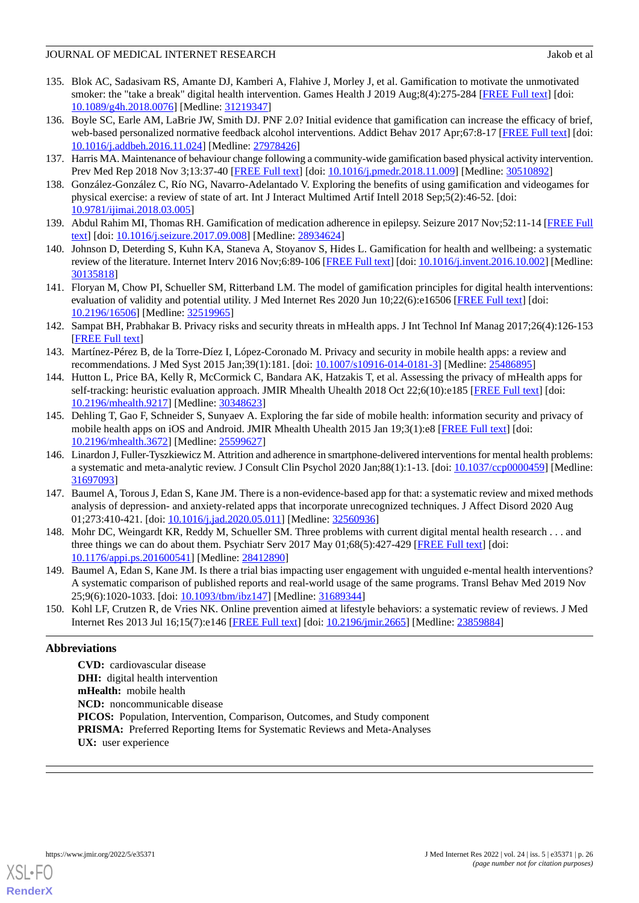- 135. Blok AC, Sadasivam RS, Amante DJ, Kamberi A, Flahive J, Morley J, et al. Gamification to motivate the unmotivated smoker: the "take a break" digital health intervention. Games Health J 2019 Aug;8(4):275-284 [[FREE Full text](http://europepmc.org/abstract/MED/31219347)] [doi: [10.1089/g4h.2018.0076\]](http://dx.doi.org/10.1089/g4h.2018.0076) [Medline: [31219347\]](http://www.ncbi.nlm.nih.gov/entrez/query.fcgi?cmd=Retrieve&db=PubMed&list_uids=31219347&dopt=Abstract)
- 136. Boyle SC, Earle AM, LaBrie JW, Smith DJ. PNF 2.0? Initial evidence that gamification can increase the efficacy of brief, web-based personalized normative feedback alcohol interventions. Addict Behav 2017 Apr;67:8-17 [\[FREE Full text](http://europepmc.org/abstract/MED/27978426)] [doi: [10.1016/j.addbeh.2016.11.024](http://dx.doi.org/10.1016/j.addbeh.2016.11.024)] [Medline: [27978426](http://www.ncbi.nlm.nih.gov/entrez/query.fcgi?cmd=Retrieve&db=PubMed&list_uids=27978426&dopt=Abstract)]
- 137. Harris MA. Maintenance of behaviour change following a community-wide gamification based physical activity intervention. Prev Med Rep 2018 Nov 3;13:37-40 [\[FREE Full text\]](https://linkinghub.elsevier.com/retrieve/pii/S2211-3355(18)30266-3) [doi: [10.1016/j.pmedr.2018.11.009](http://dx.doi.org/10.1016/j.pmedr.2018.11.009)] [Medline: [30510892\]](http://www.ncbi.nlm.nih.gov/entrez/query.fcgi?cmd=Retrieve&db=PubMed&list_uids=30510892&dopt=Abstract)
- 138. González-González C, Río NG, Navarro-Adelantado V. Exploring the benefits of using gamification and videogames for physical exercise: a review of state of art. Int J Interact Multimed Artif Intell 2018 Sep;5(2):46-52. [doi: [10.9781/ijimai.2018.03.005\]](http://dx.doi.org/10.9781/ijimai.2018.03.005)
- 139. Abdul Rahim MI, Thomas RH. Gamification of medication adherence in epilepsy. Seizure 2017 Nov;52:11-14 [\[FREE Full](https://linkinghub.elsevier.com/retrieve/pii/S1059-1311(17)30529-0) [text](https://linkinghub.elsevier.com/retrieve/pii/S1059-1311(17)30529-0)] [doi: [10.1016/j.seizure.2017.09.008\]](http://dx.doi.org/10.1016/j.seizure.2017.09.008) [Medline: [28934624\]](http://www.ncbi.nlm.nih.gov/entrez/query.fcgi?cmd=Retrieve&db=PubMed&list_uids=28934624&dopt=Abstract)
- <span id="page-25-0"></span>140. Johnson D, Deterding S, Kuhn KA, Staneva A, Stoyanov S, Hides L. Gamification for health and wellbeing: a systematic review of the literature. Internet Interv 2016 Nov;6:89-106 [\[FREE Full text\]](https://linkinghub.elsevier.com/retrieve/pii/S2214-7829(16)30038-0) [doi: [10.1016/j.invent.2016.10.002\]](http://dx.doi.org/10.1016/j.invent.2016.10.002) [Medline: [30135818](http://www.ncbi.nlm.nih.gov/entrez/query.fcgi?cmd=Retrieve&db=PubMed&list_uids=30135818&dopt=Abstract)]
- <span id="page-25-1"></span>141. Floryan M, Chow PI, Schueller SM, Ritterband LM. The model of gamification principles for digital health interventions: evaluation of validity and potential utility. J Med Internet Res 2020 Jun 10:22(6):e16506 [\[FREE Full text\]](https://www.jmir.org/2020/6/e16506/) [doi: [10.2196/16506\]](http://dx.doi.org/10.2196/16506) [Medline: [32519965\]](http://www.ncbi.nlm.nih.gov/entrez/query.fcgi?cmd=Retrieve&db=PubMed&list_uids=32519965&dopt=Abstract)
- 142. Sampat BH, Prabhakar B. Privacy risks and security threats in mHealth apps. J Int Technol Inf Manag 2017;26(4):126-153 [[FREE Full text](https://scholarworks.lib.csusb.edu/jitim/vol26/iss4/5/)]
- 143. Martínez-Pérez B, de la Torre-Díez I, López-Coronado M. Privacy and security in mobile health apps: a review and recommendations. J Med Syst 2015 Jan;39(1):181. [doi: [10.1007/s10916-014-0181-3](http://dx.doi.org/10.1007/s10916-014-0181-3)] [Medline: [25486895\]](http://www.ncbi.nlm.nih.gov/entrez/query.fcgi?cmd=Retrieve&db=PubMed&list_uids=25486895&dopt=Abstract)
- <span id="page-25-2"></span>144. Hutton L, Price BA, Kelly R, McCormick C, Bandara AK, Hatzakis T, et al. Assessing the privacy of mHealth apps for self-tracking: heuristic evaluation approach. JMIR Mhealth Uhealth 2018 Oct 22;6(10):e185 [[FREE Full text](https://mhealth.jmir.org/2018/10/e185/)] [doi: [10.2196/mhealth.9217](http://dx.doi.org/10.2196/mhealth.9217)] [Medline: [30348623](http://www.ncbi.nlm.nih.gov/entrez/query.fcgi?cmd=Retrieve&db=PubMed&list_uids=30348623&dopt=Abstract)]
- <span id="page-25-3"></span>145. Dehling T, Gao F, Schneider S, Sunyaev A. Exploring the far side of mobile health: information security and privacy of mobile health apps on iOS and Android. JMIR Mhealth Uhealth 2015 Jan 19;3(1):e8 [[FREE Full text\]](https://mhealth.jmir.org/2015/1/e8/) [doi: [10.2196/mhealth.3672](http://dx.doi.org/10.2196/mhealth.3672)] [Medline: [25599627](http://www.ncbi.nlm.nih.gov/entrez/query.fcgi?cmd=Retrieve&db=PubMed&list_uids=25599627&dopt=Abstract)]
- <span id="page-25-4"></span>146. Linardon J, Fuller-Tyszkiewicz M. Attrition and adherence in smartphone-delivered interventions for mental health problems: a systematic and meta-analytic review. J Consult Clin Psychol 2020 Jan;88(1):1-13. [doi: [10.1037/ccp0000459\]](http://dx.doi.org/10.1037/ccp0000459) [Medline: [31697093](http://www.ncbi.nlm.nih.gov/entrez/query.fcgi?cmd=Retrieve&db=PubMed&list_uids=31697093&dopt=Abstract)]
- 147. Baumel A, Torous J, Edan S, Kane JM. There is a non-evidence-based app for that: a systematic review and mixed methods analysis of depression- and anxiety-related apps that incorporate unrecognized techniques. J Affect Disord 2020 Aug 01;273:410-421. [doi: [10.1016/j.jad.2020.05.011](http://dx.doi.org/10.1016/j.jad.2020.05.011)] [Medline: [32560936\]](http://www.ncbi.nlm.nih.gov/entrez/query.fcgi?cmd=Retrieve&db=PubMed&list_uids=32560936&dopt=Abstract)
- <span id="page-25-6"></span><span id="page-25-5"></span>148. Mohr DC, Weingardt KR, Reddy M, Schueller SM. Three problems with current digital mental health research . . . and three things we can do about them. Psychiatr Serv 2017 May 01;68(5):427-429 [[FREE Full text](http://europepmc.org/abstract/MED/28412890)] [doi: [10.1176/appi.ps.201600541\]](http://dx.doi.org/10.1176/appi.ps.201600541) [Medline: [28412890\]](http://www.ncbi.nlm.nih.gov/entrez/query.fcgi?cmd=Retrieve&db=PubMed&list_uids=28412890&dopt=Abstract)
- 149. Baumel A, Edan S, Kane JM. Is there a trial bias impacting user engagement with unguided e-mental health interventions? A systematic comparison of published reports and real-world usage of the same programs. Transl Behav Med 2019 Nov 25;9(6):1020-1033. [doi: [10.1093/tbm/ibz147](http://dx.doi.org/10.1093/tbm/ibz147)] [Medline: [31689344](http://www.ncbi.nlm.nih.gov/entrez/query.fcgi?cmd=Retrieve&db=PubMed&list_uids=31689344&dopt=Abstract)]
- 150. Kohl LF, Crutzen R, de Vries NK. Online prevention aimed at lifestyle behaviors: a systematic review of reviews. J Med Internet Res 2013 Jul 16;15(7):e146 [[FREE Full text](https://www.jmir.org/2013/7/e146/)] [doi: [10.2196/jmir.2665](http://dx.doi.org/10.2196/jmir.2665)] [Medline: [23859884](http://www.ncbi.nlm.nih.gov/entrez/query.fcgi?cmd=Retrieve&db=PubMed&list_uids=23859884&dopt=Abstract)]

# **Abbreviations**

**CVD:** cardiovascular disease **DHI:** digital health intervention **mHealth:** mobile health **NCD:** noncommunicable disease PICOS: Population, Intervention, Comparison, Outcomes, and Study component **PRISMA:** Preferred Reporting Items for Systematic Reviews and Meta-Analyses **UX:** user experience